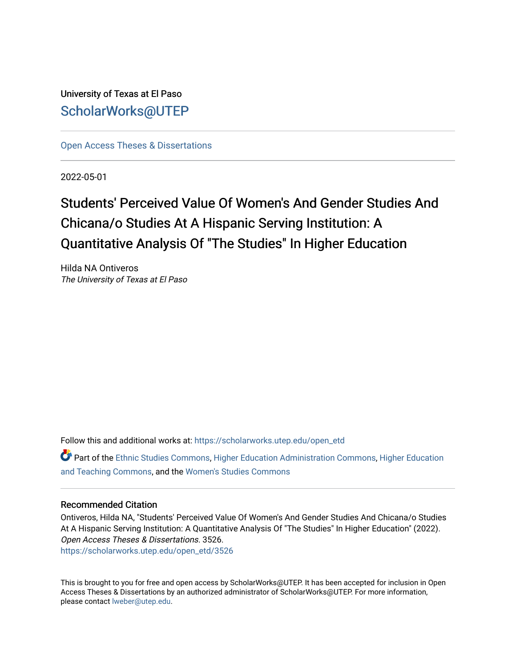University of Texas at El Paso [ScholarWorks@UTEP](https://scholarworks.utep.edu/)

[Open Access Theses & Dissertations](https://scholarworks.utep.edu/open_etd) 

2022-05-01

## Students' Perceived Value Of Women's And Gender Studies And Chicana/o Studies At A Hispanic Serving Institution: A Quantitative Analysis Of "The Studies" In Higher Education

Hilda NA Ontiveros The University of Texas at El Paso

Follow this and additional works at: [https://scholarworks.utep.edu/open\\_etd](https://scholarworks.utep.edu/open_etd?utm_source=scholarworks.utep.edu%2Fopen_etd%2F3526&utm_medium=PDF&utm_campaign=PDFCoverPages)

Part of the [Ethnic Studies Commons](https://network.bepress.com/hgg/discipline/570?utm_source=scholarworks.utep.edu%2Fopen_etd%2F3526&utm_medium=PDF&utm_campaign=PDFCoverPages), [Higher Education Administration Commons](https://network.bepress.com/hgg/discipline/791?utm_source=scholarworks.utep.edu%2Fopen_etd%2F3526&utm_medium=PDF&utm_campaign=PDFCoverPages), [Higher Education](https://network.bepress.com/hgg/discipline/806?utm_source=scholarworks.utep.edu%2Fopen_etd%2F3526&utm_medium=PDF&utm_campaign=PDFCoverPages)  [and Teaching Commons](https://network.bepress.com/hgg/discipline/806?utm_source=scholarworks.utep.edu%2Fopen_etd%2F3526&utm_medium=PDF&utm_campaign=PDFCoverPages), and the [Women's Studies Commons](https://network.bepress.com/hgg/discipline/561?utm_source=scholarworks.utep.edu%2Fopen_etd%2F3526&utm_medium=PDF&utm_campaign=PDFCoverPages) 

### Recommended Citation

Ontiveros, Hilda NA, "Students' Perceived Value Of Women's And Gender Studies And Chicana/o Studies At A Hispanic Serving Institution: A Quantitative Analysis Of "The Studies" In Higher Education" (2022). Open Access Theses & Dissertations. 3526. [https://scholarworks.utep.edu/open\\_etd/3526](https://scholarworks.utep.edu/open_etd/3526?utm_source=scholarworks.utep.edu%2Fopen_etd%2F3526&utm_medium=PDF&utm_campaign=PDFCoverPages) 

This is brought to you for free and open access by ScholarWorks@UTEP. It has been accepted for inclusion in Open Access Theses & Dissertations by an authorized administrator of ScholarWorks@UTEP. For more information, please contact [lweber@utep.edu.](mailto:lweber@utep.edu)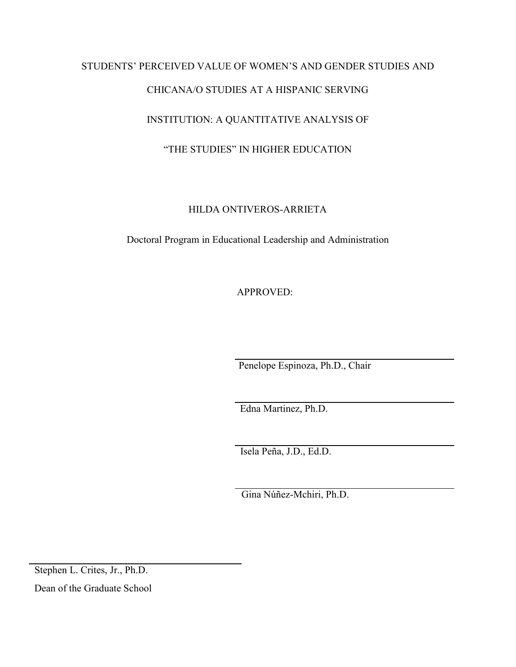# STUDENTS' PERCEIVED VALUE OF WOMEN'S AND GENDER STUDIES AND CHICANA/O STUDIES AT A HISPANIC SERVING INSTITUTION: A QUANTITATIVE ANALYSIS OF

### "THE STUDIES" IN HIGHER EDUCATION

### HILDA ONTIVEROS-ARRIETA

Doctoral Program in Educational Leadership and Administration

APPROVED:

Penelope Espinoza, Ph.D., Chair

Edna Martinez, Ph.D.

Isela Peña, J.D., Ed.D.

Gina Núñez-Mchiri, Ph.D.

Stephen L. Crites, Jr., Ph.D.

Dean of the Graduate School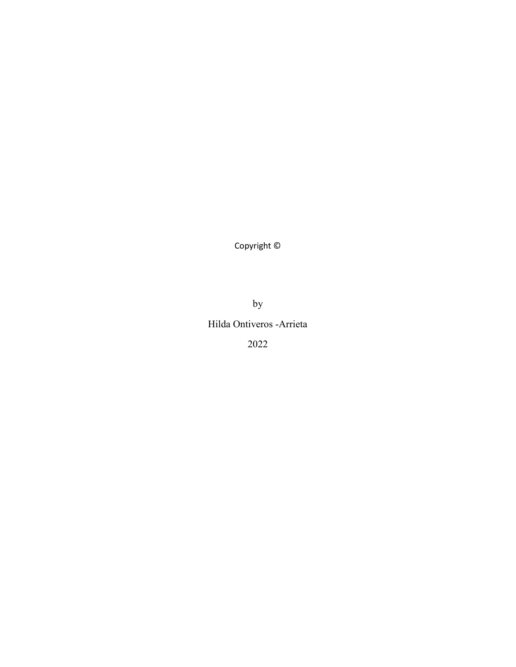Copyright ©

by

### Hilda Ontiveros -Arrieta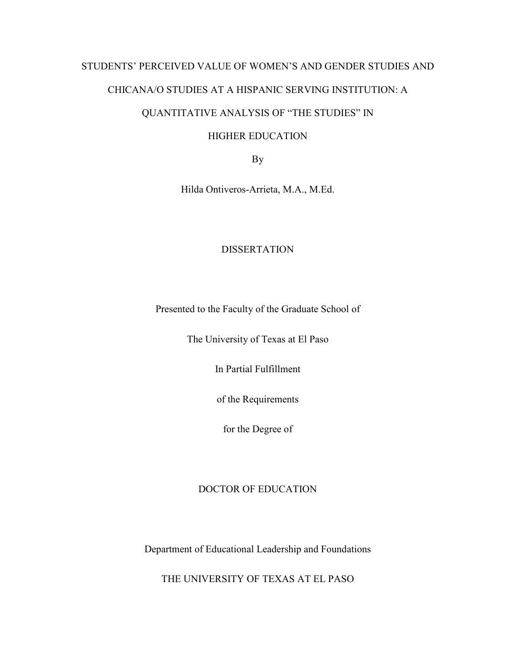# STUDENTS' PERCEIVED VALUE OF WOMEN'S AND GENDER STUDIES AND

### CHICANA/O STUDIES AT A HISPANIC SERVING INSTITUTION: A

### QUANTITATIVE ANALYSIS OF "THE STUDIES" IN

### HIGHER EDUCATION

By

Hilda Ontiveros-Arrieta, M.A., M.Ed.

### DISSERTATION

Presented to the Faculty of the Graduate School of

The University of Texas at El Paso

In Partial Fulfillment

of the Requirements

for the Degree of

### DOCTOR OF EDUCATION

Department of Educational Leadership and Foundations

THE UNIVERSITY OF TEXAS AT EL PASO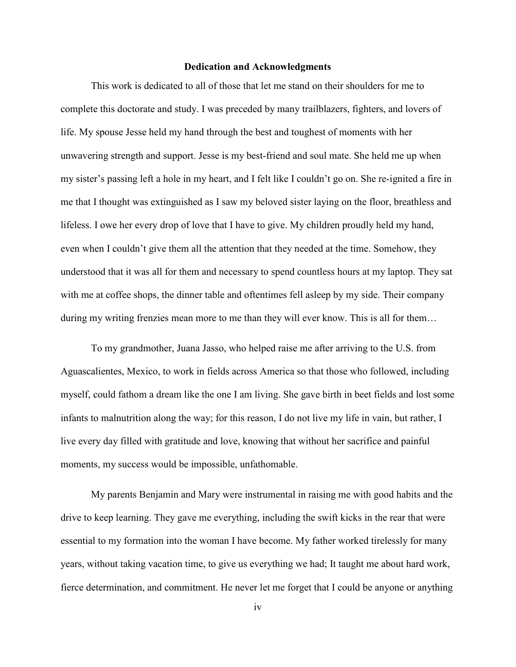#### **Dedication and Acknowledgments**

 This work is dedicated to all of those that let me stand on their shoulders for me to complete this doctorate and study. I was preceded by many trailblazers, fighters, and lovers of life. My spouse Jesse held my hand through the best and toughest of moments with her unwavering strength and support. Jesse is my best-friend and soul mate. She held me up when my sister's passing left a hole in my heart, and I felt like I couldn't go on. She re-ignited a fire in me that I thought was extinguished as I saw my beloved sister laying on the floor, breathless and lifeless. I owe her every drop of love that I have to give. My children proudly held my hand, even when I couldn't give them all the attention that they needed at the time. Somehow, they understood that it was all for them and necessary to spend countless hours at my laptop. They sat with me at coffee shops, the dinner table and oftentimes fell asleep by my side. Their company during my writing frenzies mean more to me than they will ever know. This is all for them...

 To my grandmother, Juana Jasso, who helped raise me after arriving to the U.S. from Aguascalientes, Mexico, to work in fields across America so that those who followed, including myself, could fathom a dream like the one I am living. She gave birth in beet fields and lost some infants to malnutrition along the way; for this reason, I do not live my life in vain, but rather, I live every day filled with gratitude and love, knowing that without her sacrifice and painful moments, my success would be impossible, unfathomable.

 My parents Benjamin and Mary were instrumental in raising me with good habits and the drive to keep learning. They gave me everything, including the swift kicks in the rear that were essential to my formation into the woman I have become. My father worked tirelessly for many years, without taking vacation time, to give us everything we had; It taught me about hard work, fierce determination, and commitment. He never let me forget that I could be anyone or anything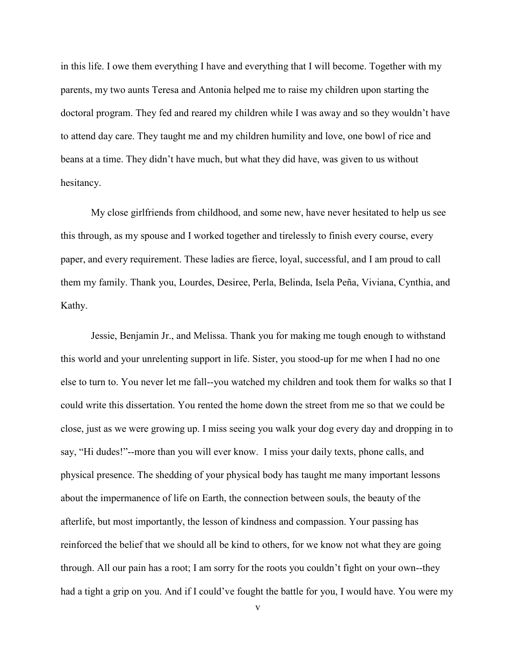in this life. I owe them everything I have and everything that I will become. Together with my parents, my two aunts Teresa and Antonia helped me to raise my children upon starting the doctoral program. They fed and reared my children while I was away and so they wouldn't have to attend day care. They taught me and my children humility and love, one bowl of rice and beans at a time. They didn't have much, but what they did have, was given to us without hesitancy.

 My close girlfriends from childhood, and some new, have never hesitated to help us see this through, as my spouse and I worked together and tirelessly to finish every course, every paper, and every requirement. These ladies are fierce, loyal, successful, and I am proud to call them my family. Thank you, Lourdes, Desiree, Perla, Belinda, Isela Peña, Viviana, Cynthia, and Kathy.

 Jessie, Benjamin Jr., and Melissa. Thank you for making me tough enough to withstand this world and your unrelenting support in life. Sister, you stood-up for me when I had no one else to turn to. You never let me fall--you watched my children and took them for walks so that I could write this dissertation. You rented the home down the street from me so that we could be close, just as we were growing up. I miss seeing you walk your dog every day and dropping in to say, "Hi dudes!"--more than you will ever know. I miss your daily texts, phone calls, and physical presence. The shedding of your physical body has taught me many important lessons about the impermanence of life on Earth, the connection between souls, the beauty of the afterlife, but most importantly, the lesson of kindness and compassion. Your passing has reinforced the belief that we should all be kind to others, for we know not what they are going through. All our pain has a root; I am sorry for the roots you couldn't fight on your own--they had a tight a grip on you. And if I could've fought the battle for you, I would have. You were my

v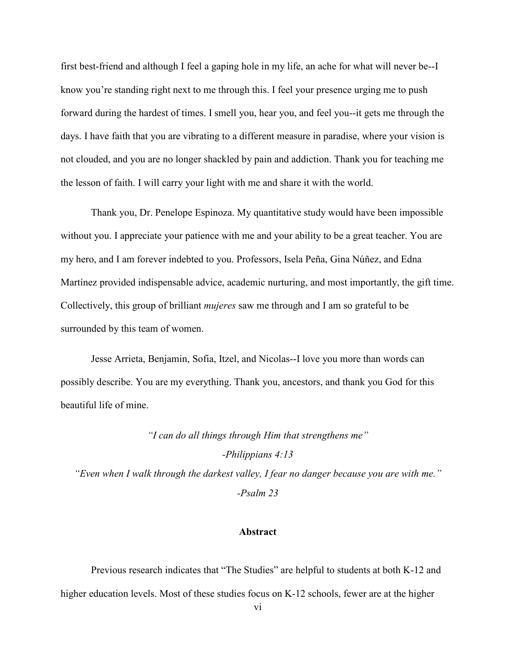first best-friend and although I feel a gaping hole in my life, an ache for what will never be--I know you're standing right next to me through this. I feel your presence urging me to push forward during the hardest of times. I smell you, hear you, and feel you--it gets me through the days. I have faith that you are vibrating to a different measure in paradise, where your vision is not clouded, and you are no longer shackled by pain and addiction. Thank you for teaching me the lesson of faith. I will carry your light with me and share it with the world.

 Thank you, Dr. Penelope Espinoza. My quantitative study would have been impossible without you. I appreciate your patience with me and your ability to be a great teacher. You are my hero, and I am forever indebted to you. Professors, Isela Peña, Gina Núñez, and Edna Martínez provided indispensable advice, academic nurturing, and most importantly, the gift time. Collectively, this group of brilliant *mujeres* saw me through and I am so grateful to be surrounded by this team of women.

 Jesse Arrieta, Benjamin, Sofia, Itzel, and Nicolas--I love you more than words can possibly describe. You are my everything. Thank you, ancestors, and thank you God for this beautiful life of mine.

*"I can do all things through Him that strengthens me"* 

*-Philippians 4:13* 

*"Even when I walk through the darkest valley, I fear no danger because you are with me." -Psalm 23* 

#### **Abstract**

 Previous research indicates that "The Studies" are helpful to students at both K-12 and higher education levels. Most of these studies focus on K-12 schools, fewer are at the higher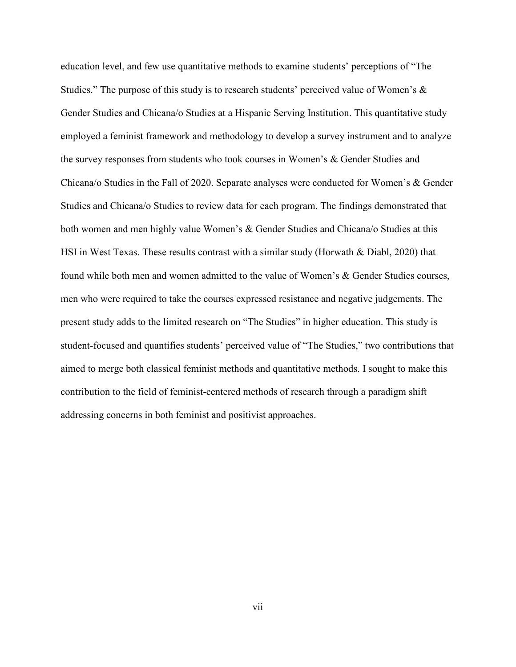education level, and few use quantitative methods to examine students' perceptions of "The Studies." The purpose of this study is to research students' perceived value of Women's & Gender Studies and Chicana/o Studies at a Hispanic Serving Institution. This quantitative study employed a feminist framework and methodology to develop a survey instrument and to analyze the survey responses from students who took courses in Women's & Gender Studies and Chicana/o Studies in the Fall of 2020. Separate analyses were conducted for Women's & Gender Studies and Chicana/o Studies to review data for each program. The findings demonstrated that both women and men highly value Women's & Gender Studies and Chicana/o Studies at this HSI in West Texas. These results contrast with a similar study (Horwath & Diabl, 2020) that found while both men and women admitted to the value of Women's & Gender Studies courses, men who were required to take the courses expressed resistance and negative judgements. The present study adds to the limited research on "The Studies" in higher education. This study is student-focused and quantifies students' perceived value of "The Studies," two contributions that aimed to merge both classical feminist methods and quantitative methods. I sought to make this contribution to the field of feminist-centered methods of research through a paradigm shift addressing concerns in both feminist and positivist approaches.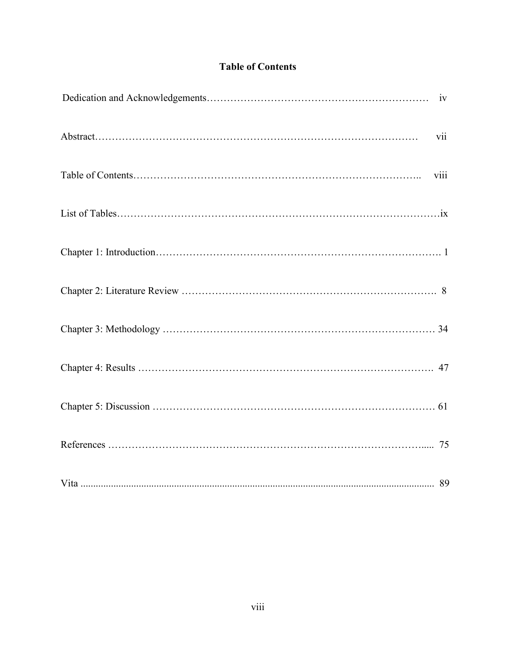### **Table of Contents**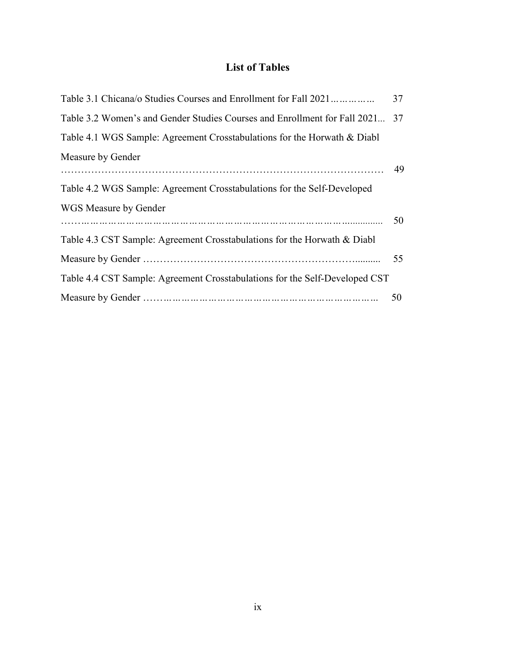### **List of Tables**

| Table 3.1 Chicana/o Studies Courses and Enrollment for Fall 2021            | 37 |
|-----------------------------------------------------------------------------|----|
| Table 3.2 Women's and Gender Studies Courses and Enrollment for Fall 2021   | 37 |
| Table 4.1 WGS Sample: Agreement Crosstabulations for the Horwath & Diabl    |    |
| Measure by Gender                                                           |    |
| Table 4.2 WGS Sample: Agreement Crosstabulations for the Self-Developed     |    |
| WGS Measure by Gender                                                       | 50 |
| Table 4.3 CST Sample: Agreement Crosstabulations for the Horwath & Diabl    |    |
|                                                                             | 55 |
| Table 4.4 CST Sample: Agreement Crosstabulations for the Self-Developed CST |    |
|                                                                             | 50 |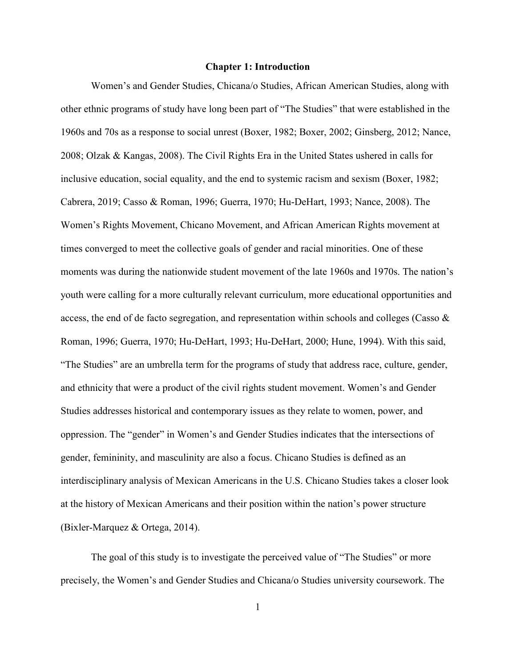#### **Chapter 1: Introduction**

Women's and Gender Studies, Chicana/o Studies, African American Studies, along with other ethnic programs of study have long been part of "The Studies" that were established in the 1960s and 70s as a response to social unrest (Boxer, 1982; Boxer, 2002; Ginsberg, 2012; Nance, 2008; Olzak & Kangas, 2008). The Civil Rights Era in the United States ushered in calls for inclusive education, social equality, and the end to systemic racism and sexism (Boxer, 1982; Cabrera, 2019; Casso & Roman, 1996; Guerra, 1970; Hu-DeHart, 1993; Nance, 2008). The Women's Rights Movement, Chicano Movement, and African American Rights movement at times converged to meet the collective goals of gender and racial minorities. One of these moments was during the nationwide student movement of the late 1960s and 1970s. The nation's youth were calling for a more culturally relevant curriculum, more educational opportunities and access, the end of de facto segregation, and representation within schools and colleges (Casso & Roman, 1996; Guerra, 1970; Hu-DeHart, 1993; Hu-DeHart, 2000; Hune, 1994). With this said, "The Studies" are an umbrella term for the programs of study that address race, culture, gender, and ethnicity that were a product of the civil rights student movement. Women's and Gender Studies addresses historical and contemporary issues as they relate to women, power, and oppression. The "gender" in Women's and Gender Studies indicates that the intersections of gender, femininity, and masculinity are also a focus. Chicano Studies is defined as an interdisciplinary analysis of Mexican Americans in the U.S. Chicano Studies takes a closer look at the history of Mexican Americans and their position within the nation's power structure (Bixler-Marquez & Ortega, 2014).

 The goal of this study is to investigate the perceived value of "The Studies" or more precisely, the Women's and Gender Studies and Chicana/o Studies university coursework. The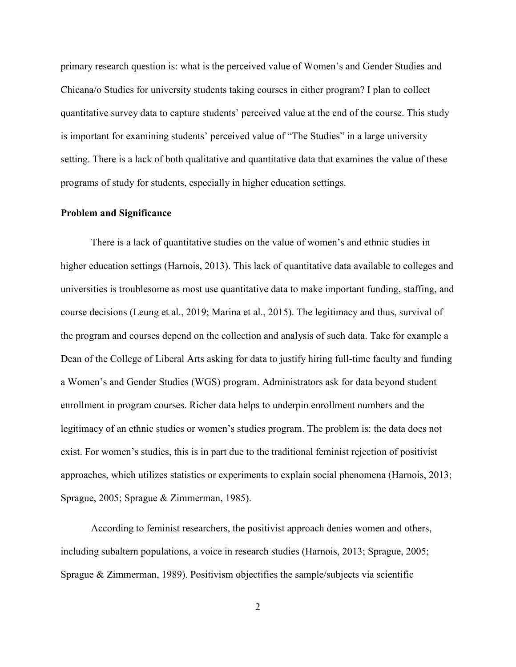primary research question is: what is the perceived value of Women's and Gender Studies and Chicana/o Studies for university students taking courses in either program? I plan to collect quantitative survey data to capture students' perceived value at the end of the course. This study is important for examining students' perceived value of "The Studies" in a large university setting. There is a lack of both qualitative and quantitative data that examines the value of these programs of study for students, especially in higher education settings.

### **Problem and Significance**

There is a lack of quantitative studies on the value of women's and ethnic studies in higher education settings (Harnois, 2013). This lack of quantitative data available to colleges and universities is troublesome as most use quantitative data to make important funding, staffing, and course decisions (Leung et al., 2019; Marina et al., 2015). The legitimacy and thus, survival of the program and courses depend on the collection and analysis of such data. Take for example a Dean of the College of Liberal Arts asking for data to justify hiring full-time faculty and funding a Women's and Gender Studies (WGS) program. Administrators ask for data beyond student enrollment in program courses. Richer data helps to underpin enrollment numbers and the legitimacy of an ethnic studies or women's studies program. The problem is: the data does not exist. For women's studies, this is in part due to the traditional feminist rejection of positivist approaches, which utilizes statistics or experiments to explain social phenomena (Harnois, 2013; Sprague, 2005; Sprague & Zimmerman, 1985).

 According to feminist researchers, the positivist approach denies women and others, including subaltern populations, a voice in research studies (Harnois, 2013; Sprague, 2005; Sprague & Zimmerman, 1989). Positivism objectifies the sample/subjects via scientific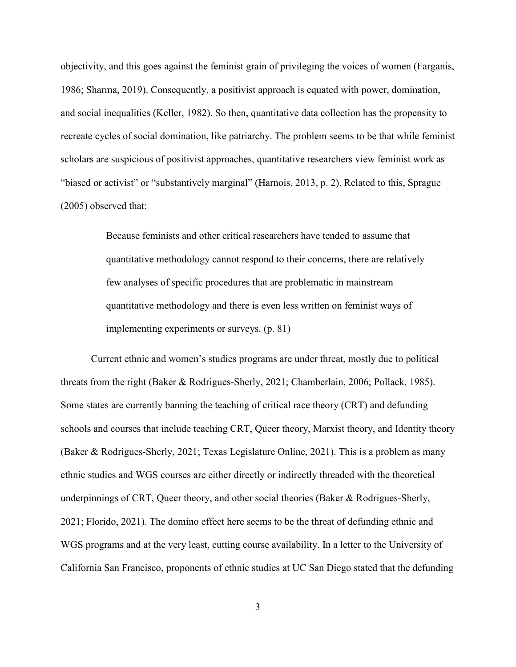objectivity, and this goes against the feminist grain of privileging the voices of women (Farganis, 1986; Sharma, 2019). Consequently, a positivist approach is equated with power, domination, and social inequalities (Keller, 1982). So then, quantitative data collection has the propensity to recreate cycles of social domination, like patriarchy. The problem seems to be that while feminist scholars are suspicious of positivist approaches, quantitative researchers view feminist work as "biased or activist" or "substantively marginal" (Harnois, 2013, p. 2). Related to this, Sprague (2005) observed that:

> Because feminists and other critical researchers have tended to assume that quantitative methodology cannot respond to their concerns, there are relatively few analyses of specific procedures that are problematic in mainstream quantitative methodology and there is even less written on feminist ways of implementing experiments or surveys. (p. 81)

 Current ethnic and women's studies programs are under threat, mostly due to political threats from the right (Baker & Rodrigues-Sherly, 2021; Chamberlain, 2006; Pollack, 1985). Some states are currently banning the teaching of critical race theory (CRT) and defunding schools and courses that include teaching CRT, Queer theory, Marxist theory, and Identity theory (Baker & Rodrigues-Sherly, 2021; Texas Legislature Online, 2021). This is a problem as many ethnic studies and WGS courses are either directly or indirectly threaded with the theoretical underpinnings of CRT, Queer theory, and other social theories (Baker & Rodrigues-Sherly, 2021; Florido, 2021). The domino effect here seems to be the threat of defunding ethnic and WGS programs and at the very least, cutting course availability. In a letter to the University of California San Francisco, proponents of ethnic studies at UC San Diego stated that the defunding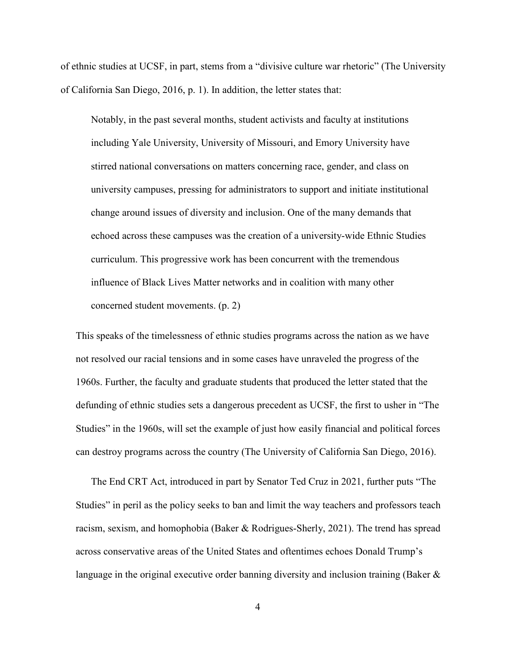of ethnic studies at UCSF, in part, stems from a "divisive culture war rhetoric" (The University of California San Diego, 2016, p. 1). In addition, the letter states that:

Notably, in the past several months, student activists and faculty at institutions including Yale University, University of Missouri, and Emory University have stirred national conversations on matters concerning race, gender, and class on university campuses, pressing for administrators to support and initiate institutional change around issues of diversity and inclusion. One of the many demands that echoed across these campuses was the creation of a university-wide Ethnic Studies curriculum. This progressive work has been concurrent with the tremendous influence of Black Lives Matter networks and in coalition with many other concerned student movements. (p. 2)

This speaks of the timelessness of ethnic studies programs across the nation as we have not resolved our racial tensions and in some cases have unraveled the progress of the 1960s. Further, the faculty and graduate students that produced the letter stated that the defunding of ethnic studies sets a dangerous precedent as UCSF, the first to usher in "The Studies" in the 1960s, will set the example of just how easily financial and political forces can destroy programs across the country (The University of California San Diego, 2016).

The End CRT Act, introduced in part by Senator Ted Cruz in 2021, further puts "The Studies" in peril as the policy seeks to ban and limit the way teachers and professors teach racism, sexism, and homophobia (Baker & Rodrigues-Sherly, 2021). The trend has spread across conservative areas of the United States and oftentimes echoes Donald Trump's language in the original executive order banning diversity and inclusion training (Baker  $\&$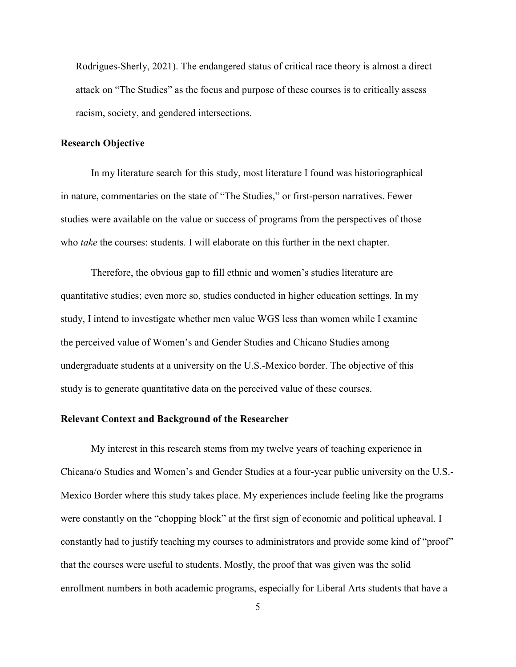Rodrigues-Sherly, 2021). The endangered status of critical race theory is almost a direct attack on "The Studies" as the focus and purpose of these courses is to critically assess racism, society, and gendered intersections.

#### **Research Objective**

 In my literature search for this study, most literature I found was historiographical in nature, commentaries on the state of "The Studies," or first-person narratives. Fewer studies were available on the value or success of programs from the perspectives of those who *take* the courses: students. I will elaborate on this further in the next chapter.

Therefore, the obvious gap to fill ethnic and women's studies literature are quantitative studies; even more so, studies conducted in higher education settings. In my study, I intend to investigate whether men value WGS less than women while I examine the perceived value of Women's and Gender Studies and Chicano Studies among undergraduate students at a university on the U.S.-Mexico border. The objective of this study is to generate quantitative data on the perceived value of these courses.

### **Relevant Context and Background of the Researcher**

 My interest in this research stems from my twelve years of teaching experience in Chicana/o Studies and Women's and Gender Studies at a four-year public university on the U.S.- Mexico Border where this study takes place. My experiences include feeling like the programs were constantly on the "chopping block" at the first sign of economic and political upheaval. I constantly had to justify teaching my courses to administrators and provide some kind of "proof" that the courses were useful to students. Mostly, the proof that was given was the solid enrollment numbers in both academic programs, especially for Liberal Arts students that have a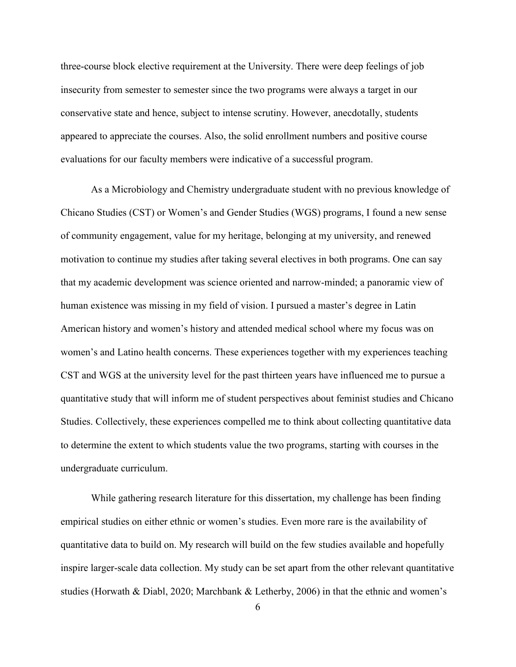three-course block elective requirement at the University. There were deep feelings of job insecurity from semester to semester since the two programs were always a target in our conservative state and hence, subject to intense scrutiny. However, anecdotally, students appeared to appreciate the courses. Also, the solid enrollment numbers and positive course evaluations for our faculty members were indicative of a successful program.

As a Microbiology and Chemistry undergraduate student with no previous knowledge of Chicano Studies (CST) or Women's and Gender Studies (WGS) programs, I found a new sense of community engagement, value for my heritage, belonging at my university, and renewed motivation to continue my studies after taking several electives in both programs. One can say that my academic development was science oriented and narrow-minded; a panoramic view of human existence was missing in my field of vision. I pursued a master's degree in Latin American history and women's history and attended medical school where my focus was on women's and Latino health concerns. These experiences together with my experiences teaching CST and WGS at the university level for the past thirteen years have influenced me to pursue a quantitative study that will inform me of student perspectives about feminist studies and Chicano Studies. Collectively, these experiences compelled me to think about collecting quantitative data to determine the extent to which students value the two programs, starting with courses in the undergraduate curriculum.

 While gathering research literature for this dissertation, my challenge has been finding empirical studies on either ethnic or women's studies. Even more rare is the availability of quantitative data to build on. My research will build on the few studies available and hopefully inspire larger-scale data collection. My study can be set apart from the other relevant quantitative studies (Horwath & Diabl, 2020; Marchbank & Letherby, 2006) in that the ethnic and women's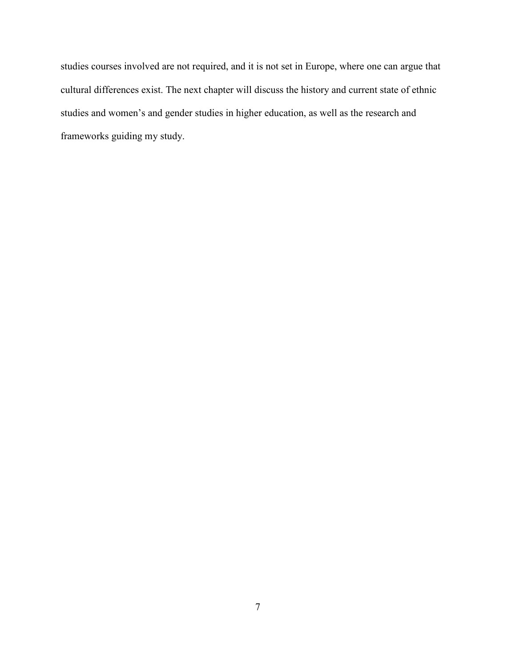studies courses involved are not required, and it is not set in Europe, where one can argue that cultural differences exist. The next chapter will discuss the history and current state of ethnic studies and women's and gender studies in higher education, as well as the research and frameworks guiding my study.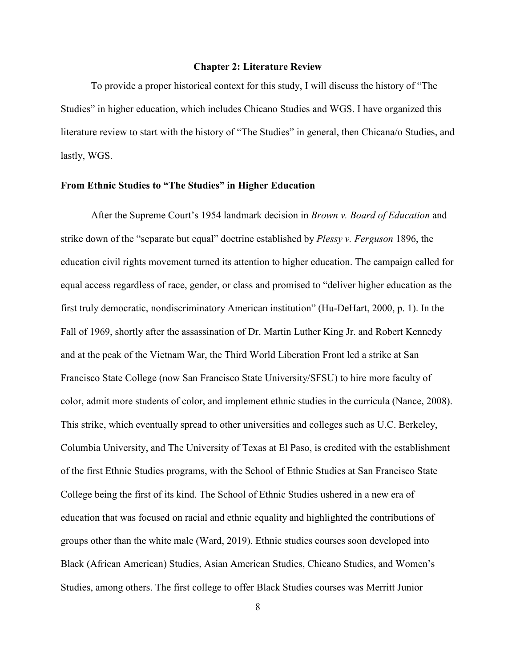#### **Chapter 2: Literature Review**

 To provide a proper historical context for this study, I will discuss the history of "The Studies" in higher education, which includes Chicano Studies and WGS. I have organized this literature review to start with the history of "The Studies" in general, then Chicana/o Studies, and lastly, WGS.

### **From Ethnic Studies to "The Studies" in Higher Education**

After the Supreme Court's 1954 landmark decision in *Brown v. Board of Education* and strike down of the "separate but equal" doctrine established by *Plessy v. Ferguson* 1896, the education civil rights movement turned its attention to higher education. The campaign called for equal access regardless of race, gender, or class and promised to "deliver higher education as the first truly democratic, nondiscriminatory American institution" (Hu-DeHart, 2000, p. 1). In the Fall of 1969, shortly after the assassination of Dr. Martin Luther King Jr. and Robert Kennedy and at the peak of the Vietnam War, the Third World Liberation Front led a strike at San Francisco State College (now San Francisco State University/SFSU) to hire more faculty of color, admit more students of color, and implement ethnic studies in the curricula (Nance, 2008). This strike, which eventually spread to other universities and colleges such as U.C. Berkeley, Columbia University, and The University of Texas at El Paso, is credited with the establishment of the first Ethnic Studies programs, with the School of Ethnic Studies at San Francisco State College being the first of its kind. The School of Ethnic Studies ushered in a new era of education that was focused on racial and ethnic equality and highlighted the contributions of groups other than the white male (Ward, 2019). Ethnic studies courses soon developed into Black (African American) Studies, Asian American Studies, Chicano Studies, and Women's Studies, among others. The first college to offer Black Studies courses was Merritt Junior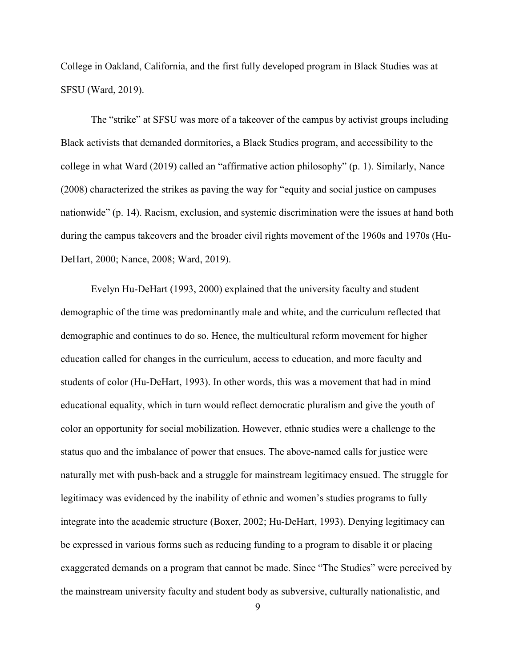College in Oakland, California, and the first fully developed program in Black Studies was at SFSU (Ward, 2019).

 The "strike" at SFSU was more of a takeover of the campus by activist groups including Black activists that demanded dormitories, a Black Studies program, and accessibility to the college in what Ward (2019) called an "affirmative action philosophy" (p. 1). Similarly, Nance (2008) characterized the strikes as paving the way for "equity and social justice on campuses nationwide" (p. 14). Racism, exclusion, and systemic discrimination were the issues at hand both during the campus takeovers and the broader civil rights movement of the 1960s and 1970s (Hu-DeHart, 2000; Nance, 2008; Ward, 2019).

 Evelyn Hu-DeHart (1993, 2000) explained that the university faculty and student demographic of the time was predominantly male and white, and the curriculum reflected that demographic and continues to do so. Hence, the multicultural reform movement for higher education called for changes in the curriculum, access to education, and more faculty and students of color (Hu-DeHart, 1993). In other words, this was a movement that had in mind educational equality, which in turn would reflect democratic pluralism and give the youth of color an opportunity for social mobilization. However, ethnic studies were a challenge to the status quo and the imbalance of power that ensues. The above-named calls for justice were naturally met with push-back and a struggle for mainstream legitimacy ensued. The struggle for legitimacy was evidenced by the inability of ethnic and women's studies programs to fully integrate into the academic structure (Boxer, 2002; Hu-DeHart, 1993). Denying legitimacy can be expressed in various forms such as reducing funding to a program to disable it or placing exaggerated demands on a program that cannot be made. Since "The Studies" were perceived by the mainstream university faculty and student body as subversive, culturally nationalistic, and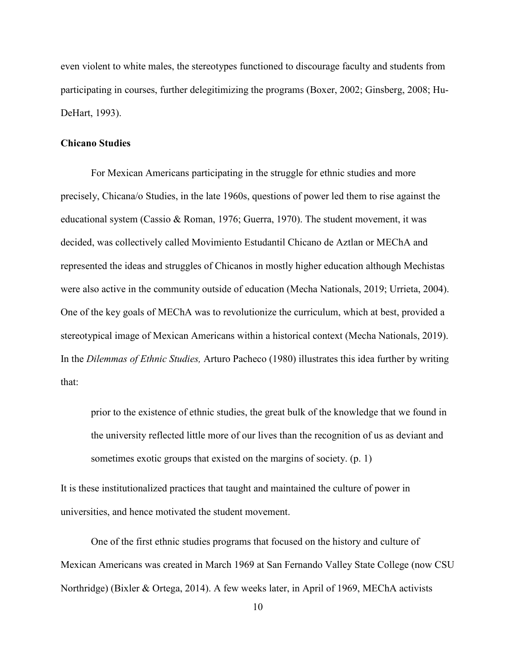even violent to white males, the stereotypes functioned to discourage faculty and students from participating in courses, further delegitimizing the programs (Boxer, 2002; Ginsberg, 2008; Hu-DeHart, 1993).

### **Chicano Studies**

For Mexican Americans participating in the struggle for ethnic studies and more precisely, Chicana/o Studies, in the late 1960s, questions of power led them to rise against the educational system (Cassio & Roman, 1976; Guerra, 1970). The student movement, it was decided, was collectively called Movimiento Estudantil Chicano de Aztlan or MEChA and represented the ideas and struggles of Chicanos in mostly higher education although Mechistas were also active in the community outside of education (Mecha Nationals, 2019; Urrieta, 2004). One of the key goals of MEChA was to revolutionize the curriculum, which at best, provided a stereotypical image of Mexican Americans within a historical context (Mecha Nationals, 2019). In the *Dilemmas of Ethnic Studies,* Arturo Pacheco (1980) illustrates this idea further by writing that:

prior to the existence of ethnic studies, the great bulk of the knowledge that we found in the university reflected little more of our lives than the recognition of us as deviant and sometimes exotic groups that existed on the margins of society. (p. 1)

It is these institutionalized practices that taught and maintained the culture of power in universities, and hence motivated the student movement.

 One of the first ethnic studies programs that focused on the history and culture of Mexican Americans was created in March 1969 at San Fernando Valley State College (now CSU Northridge) (Bixler & Ortega, 2014). A few weeks later, in April of 1969, MEChA activists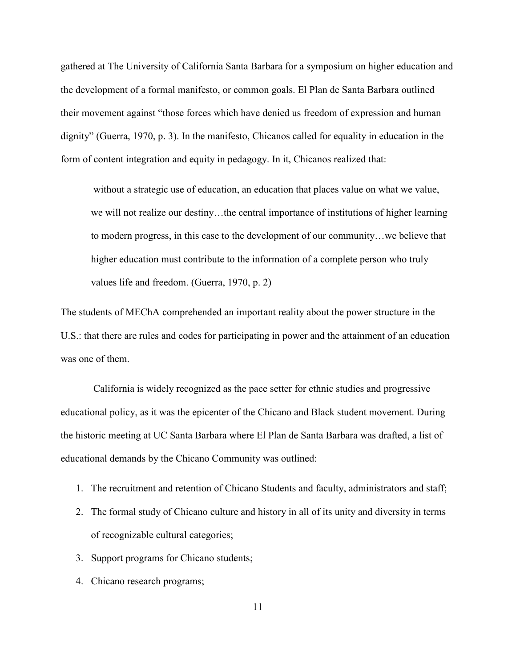gathered at The University of California Santa Barbara for a symposium on higher education and the development of a formal manifesto, or common goals. El Plan de Santa Barbara outlined their movement against "those forces which have denied us freedom of expression and human dignity" (Guerra, 1970, p. 3). In the manifesto, Chicanos called for equality in education in the form of content integration and equity in pedagogy. In it, Chicanos realized that:

 without a strategic use of education, an education that places value on what we value, we will not realize our destiny…the central importance of institutions of higher learning to modern progress, in this case to the development of our community…we believe that higher education must contribute to the information of a complete person who truly values life and freedom. (Guerra, 1970, p. 2)

The students of MEChA comprehended an important reality about the power structure in the U.S.: that there are rules and codes for participating in power and the attainment of an education was one of them.

 California is widely recognized as the pace setter for ethnic studies and progressive educational policy, as it was the epicenter of the Chicano and Black student movement. During the historic meeting at UC Santa Barbara where El Plan de Santa Barbara was drafted, a list of educational demands by the Chicano Community was outlined:

- 1. The recruitment and retention of Chicano Students and faculty, administrators and staff;
- 2. The formal study of Chicano culture and history in all of its unity and diversity in terms of recognizable cultural categories;
- 3. Support programs for Chicano students;
- 4. Chicano research programs;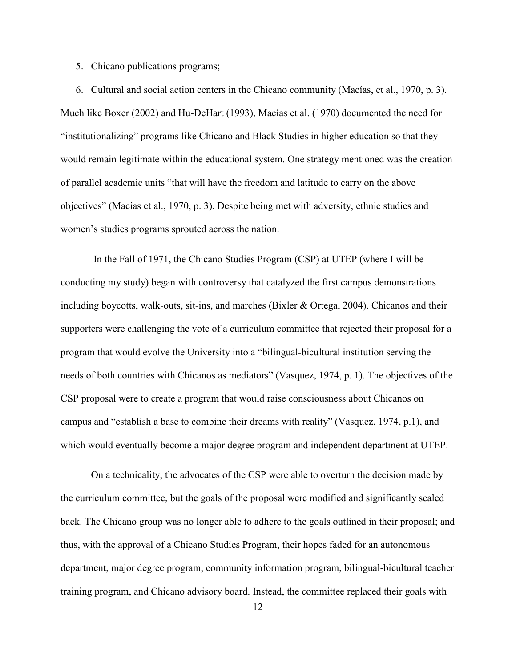#### 5. Chicano publications programs;

6. Cultural and social action centers in the Chicano community (Macías, et al., 1970, p. 3). Much like Boxer (2002) and Hu-DeHart (1993), Macías et al. (1970) documented the need for "institutionalizing" programs like Chicano and Black Studies in higher education so that they would remain legitimate within the educational system. One strategy mentioned was the creation of parallel academic units "that will have the freedom and latitude to carry on the above objectives" (Macías et al., 1970, p. 3). Despite being met with adversity, ethnic studies and women's studies programs sprouted across the nation.

 In the Fall of 1971, the Chicano Studies Program (CSP) at UTEP (where I will be conducting my study) began with controversy that catalyzed the first campus demonstrations including boycotts, walk-outs, sit-ins, and marches (Bixler & Ortega, 2004). Chicanos and their supporters were challenging the vote of a curriculum committee that rejected their proposal for a program that would evolve the University into a "bilingual-bicultural institution serving the needs of both countries with Chicanos as mediators" (Vasquez, 1974, p. 1). The objectives of the CSP proposal were to create a program that would raise consciousness about Chicanos on campus and "establish a base to combine their dreams with reality" (Vasquez, 1974, p.1), and which would eventually become a major degree program and independent department at UTEP.

 On a technicality, the advocates of the CSP were able to overturn the decision made by the curriculum committee, but the goals of the proposal were modified and significantly scaled back. The Chicano group was no longer able to adhere to the goals outlined in their proposal; and thus, with the approval of a Chicano Studies Program, their hopes faded for an autonomous department, major degree program, community information program, bilingual-bicultural teacher training program, and Chicano advisory board. Instead, the committee replaced their goals with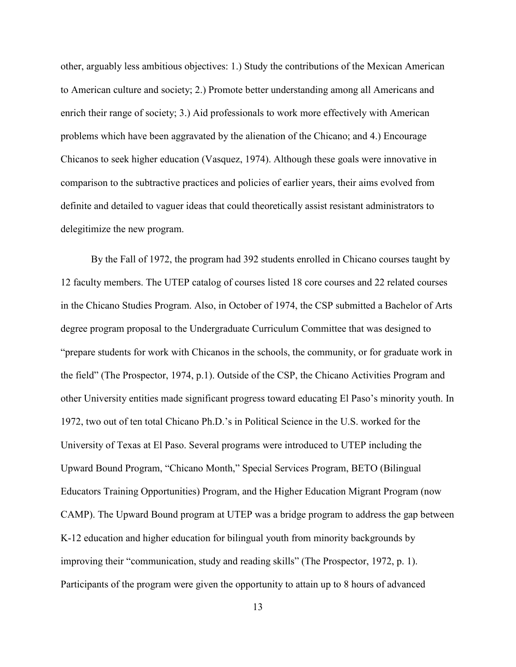other, arguably less ambitious objectives: 1.) Study the contributions of the Mexican American to American culture and society; 2.) Promote better understanding among all Americans and enrich their range of society; 3.) Aid professionals to work more effectively with American problems which have been aggravated by the alienation of the Chicano; and 4.) Encourage Chicanos to seek higher education (Vasquez, 1974). Although these goals were innovative in comparison to the subtractive practices and policies of earlier years, their aims evolved from definite and detailed to vaguer ideas that could theoretically assist resistant administrators to delegitimize the new program.

 By the Fall of 1972, the program had 392 students enrolled in Chicano courses taught by 12 faculty members. The UTEP catalog of courses listed 18 core courses and 22 related courses in the Chicano Studies Program. Also, in October of 1974, the CSP submitted a Bachelor of Arts degree program proposal to the Undergraduate Curriculum Committee that was designed to "prepare students for work with Chicanos in the schools, the community, or for graduate work in the field" (The Prospector, 1974, p.1). Outside of the CSP, the Chicano Activities Program and other University entities made significant progress toward educating El Paso's minority youth. In 1972, two out of ten total Chicano Ph.D.'s in Political Science in the U.S. worked for the University of Texas at El Paso. Several programs were introduced to UTEP including the Upward Bound Program, "Chicano Month," Special Services Program, BETO (Bilingual Educators Training Opportunities) Program, and the Higher Education Migrant Program (now CAMP). The Upward Bound program at UTEP was a bridge program to address the gap between K-12 education and higher education for bilingual youth from minority backgrounds by improving their "communication, study and reading skills" (The Prospector, 1972, p. 1). Participants of the program were given the opportunity to attain up to 8 hours of advanced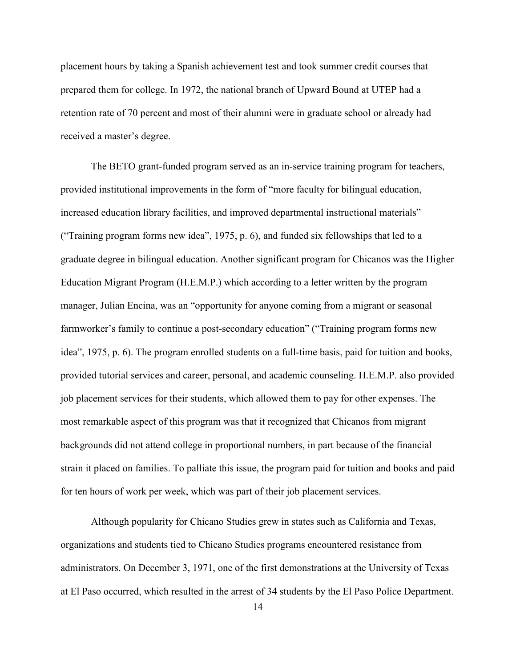placement hours by taking a Spanish achievement test and took summer credit courses that prepared them for college. In 1972, the national branch of Upward Bound at UTEP had a retention rate of 70 percent and most of their alumni were in graduate school or already had received a master's degree.

 The BETO grant-funded program served as an in-service training program for teachers, provided institutional improvements in the form of "more faculty for bilingual education, increased education library facilities, and improved departmental instructional materials" ("Training program forms new idea", 1975, p. 6), and funded six fellowships that led to a graduate degree in bilingual education. Another significant program for Chicanos was the Higher Education Migrant Program (H.E.M.P.) which according to a letter written by the program manager, Julian Encina, was an "opportunity for anyone coming from a migrant or seasonal farmworker's family to continue a post-secondary education" ("Training program forms new idea", 1975, p. 6). The program enrolled students on a full-time basis, paid for tuition and books, provided tutorial services and career, personal, and academic counseling. H.E.M.P. also provided job placement services for their students, which allowed them to pay for other expenses. The most remarkable aspect of this program was that it recognized that Chicanos from migrant backgrounds did not attend college in proportional numbers, in part because of the financial strain it placed on families. To palliate this issue, the program paid for tuition and books and paid for ten hours of work per week, which was part of their job placement services.

 Although popularity for Chicano Studies grew in states such as California and Texas, organizations and students tied to Chicano Studies programs encountered resistance from administrators. On December 3, 1971, one of the first demonstrations at the University of Texas at El Paso occurred, which resulted in the arrest of 34 students by the El Paso Police Department.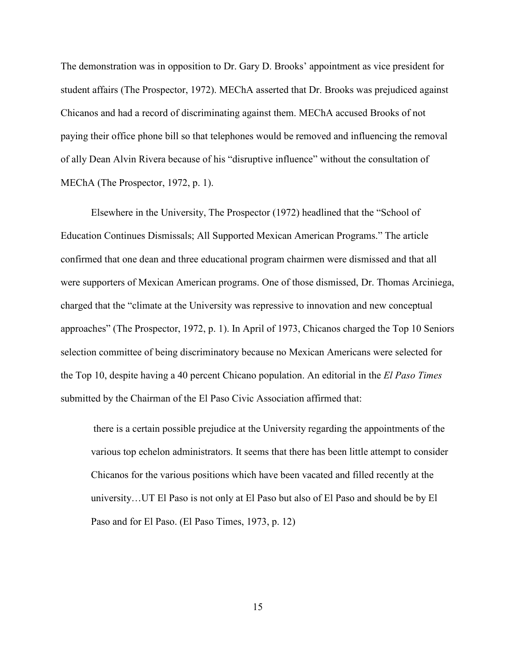The demonstration was in opposition to Dr. Gary D. Brooks' appointment as vice president for student affairs (The Prospector, 1972). MEChA asserted that Dr. Brooks was prejudiced against Chicanos and had a record of discriminating against them. MEChA accused Brooks of not paying their office phone bill so that telephones would be removed and influencing the removal of ally Dean Alvin Rivera because of his "disruptive influence" without the consultation of MEChA (The Prospector, 1972, p. 1).

 Elsewhere in the University, The Prospector (1972) headlined that the "School of Education Continues Dismissals; All Supported Mexican American Programs." The article confirmed that one dean and three educational program chairmen were dismissed and that all were supporters of Mexican American programs. One of those dismissed, Dr. Thomas Arciniega, charged that the "climate at the University was repressive to innovation and new conceptual approaches" (The Prospector, 1972, p. 1). In April of 1973, Chicanos charged the Top 10 Seniors selection committee of being discriminatory because no Mexican Americans were selected for the Top 10, despite having a 40 percent Chicano population. An editorial in the *El Paso Times* submitted by the Chairman of the El Paso Civic Association affirmed that:

 there is a certain possible prejudice at the University regarding the appointments of the various top echelon administrators. It seems that there has been little attempt to consider Chicanos for the various positions which have been vacated and filled recently at the university…UT El Paso is not only at El Paso but also of El Paso and should be by El Paso and for El Paso. (El Paso Times, 1973, p. 12)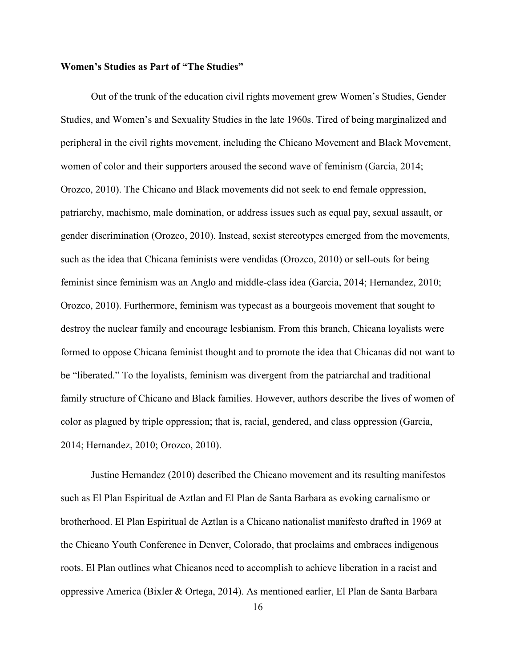### **Women's Studies as Part of "The Studies"**

 Out of the trunk of the education civil rights movement grew Women's Studies, Gender Studies, and Women's and Sexuality Studies in the late 1960s. Tired of being marginalized and peripheral in the civil rights movement, including the Chicano Movement and Black Movement, women of color and their supporters aroused the second wave of feminism (Garcia, 2014; Orozco, 2010). The Chicano and Black movements did not seek to end female oppression, patriarchy, machismo, male domination, or address issues such as equal pay, sexual assault, or gender discrimination (Orozco, 2010). Instead, sexist stereotypes emerged from the movements, such as the idea that Chicana feminists were vendidas (Orozco, 2010) or sell-outs for being feminist since feminism was an Anglo and middle-class idea (Garcia, 2014; Hernandez, 2010; Orozco, 2010). Furthermore, feminism was typecast as a bourgeois movement that sought to destroy the nuclear family and encourage lesbianism. From this branch, Chicana loyalists were formed to oppose Chicana feminist thought and to promote the idea that Chicanas did not want to be "liberated." To the loyalists, feminism was divergent from the patriarchal and traditional family structure of Chicano and Black families. However, authors describe the lives of women of color as plagued by triple oppression; that is, racial, gendered, and class oppression (Garcia, 2014; Hernandez, 2010; Orozco, 2010).

 Justine Hernandez (2010) described the Chicano movement and its resulting manifestos such as El Plan Espiritual de Aztlan and El Plan de Santa Barbara as evoking carnalismo or brotherhood. El Plan Espiritual de Aztlan is a Chicano nationalist manifesto drafted in 1969 at the Chicano Youth Conference in Denver, Colorado, that proclaims and embraces indigenous roots. El Plan outlines what Chicanos need to accomplish to achieve liberation in a racist and oppressive America (Bixler & Ortega, 2014). As mentioned earlier, El Plan de Santa Barbara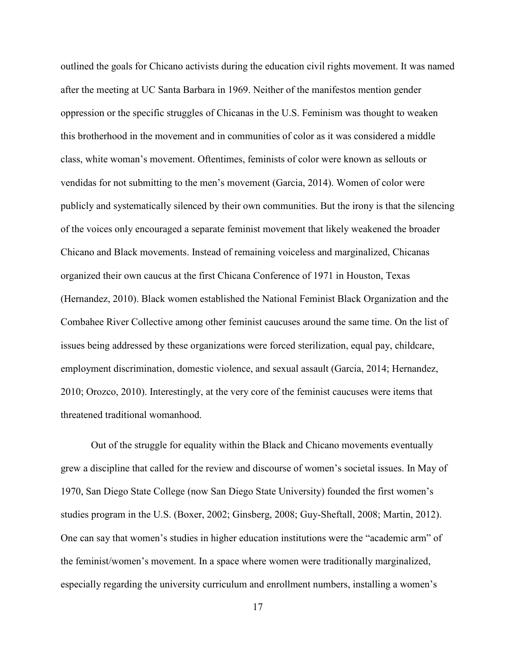outlined the goals for Chicano activists during the education civil rights movement. It was named after the meeting at UC Santa Barbara in 1969. Neither of the manifestos mention gender oppression or the specific struggles of Chicanas in the U.S. Feminism was thought to weaken this brotherhood in the movement and in communities of color as it was considered a middle class, white woman's movement. Oftentimes, feminists of color were known as sellouts or vendidas for not submitting to the men's movement (Garcia, 2014). Women of color were publicly and systematically silenced by their own communities. But the irony is that the silencing of the voices only encouraged a separate feminist movement that likely weakened the broader Chicano and Black movements. Instead of remaining voiceless and marginalized, Chicanas organized their own caucus at the first Chicana Conference of 1971 in Houston, Texas (Hernandez, 2010). Black women established the National Feminist Black Organization and the Combahee River Collective among other feminist caucuses around the same time. On the list of issues being addressed by these organizations were forced sterilization, equal pay, childcare, employment discrimination, domestic violence, and sexual assault (Garcia, 2014; Hernandez, 2010; Orozco, 2010). Interestingly, at the very core of the feminist caucuses were items that threatened traditional womanhood.

 Out of the struggle for equality within the Black and Chicano movements eventually grew a discipline that called for the review and discourse of women's societal issues. In May of 1970, San Diego State College (now San Diego State University) founded the first women's studies program in the U.S. (Boxer, 2002; Ginsberg, 2008; Guy-Sheftall, 2008; Martin, 2012). One can say that women's studies in higher education institutions were the "academic arm" of the feminist/women's movement. In a space where women were traditionally marginalized, especially regarding the university curriculum and enrollment numbers, installing a women's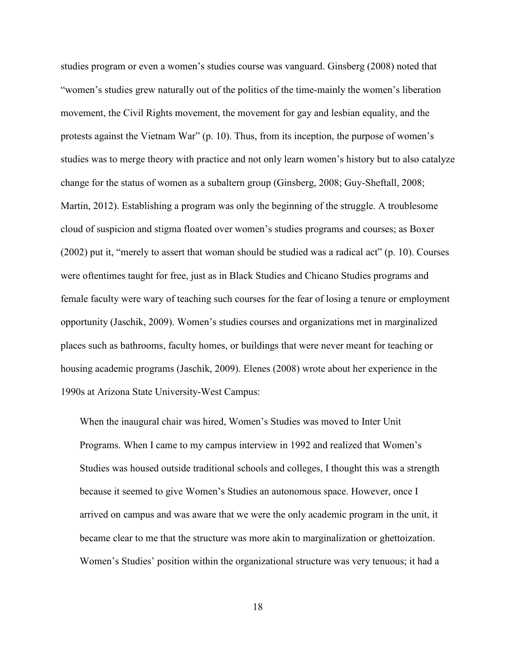studies program or even a women's studies course was vanguard. Ginsberg (2008) noted that "women's studies grew naturally out of the politics of the time-mainly the women's liberation movement, the Civil Rights movement, the movement for gay and lesbian equality, and the protests against the Vietnam War" (p. 10). Thus, from its inception, the purpose of women's studies was to merge theory with practice and not only learn women's history but to also catalyze change for the status of women as a subaltern group (Ginsberg, 2008; Guy-Sheftall, 2008; Martin, 2012). Establishing a program was only the beginning of the struggle. A troublesome cloud of suspicion and stigma floated over women's studies programs and courses; as Boxer (2002) put it, "merely to assert that woman should be studied was a radical act" (p. 10). Courses were oftentimes taught for free, just as in Black Studies and Chicano Studies programs and female faculty were wary of teaching such courses for the fear of losing a tenure or employment opportunity (Jaschik, 2009). Women's studies courses and organizations met in marginalized places such as bathrooms, faculty homes, or buildings that were never meant for teaching or housing academic programs (Jaschik, 2009). Elenes (2008) wrote about her experience in the 1990s at Arizona State University-West Campus:

When the inaugural chair was hired, Women's Studies was moved to Inter Unit Programs. When I came to my campus interview in 1992 and realized that Women's Studies was housed outside traditional schools and colleges, I thought this was a strength because it seemed to give Women's Studies an autonomous space. However, once I arrived on campus and was aware that we were the only academic program in the unit, it became clear to me that the structure was more akin to marginalization or ghettoization. Women's Studies' position within the organizational structure was very tenuous; it had a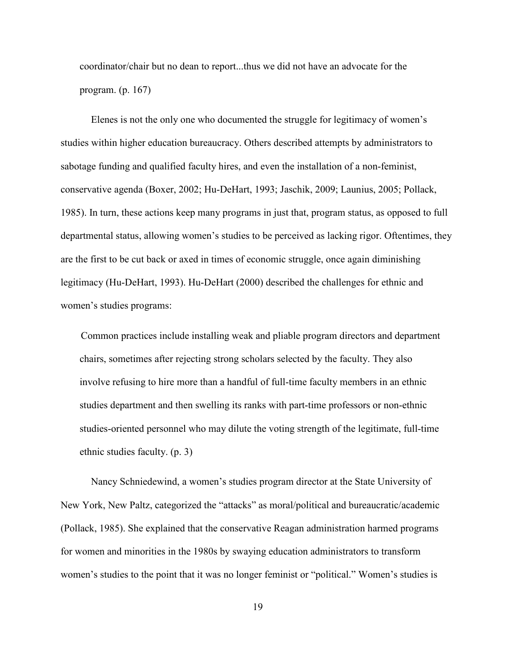coordinator/chair but no dean to report...thus we did not have an advocate for the program. (p. 167)

 Elenes is not the only one who documented the struggle for legitimacy of women's studies within higher education bureaucracy. Others described attempts by administrators to sabotage funding and qualified faculty hires, and even the installation of a non-feminist, conservative agenda (Boxer, 2002; Hu-DeHart, 1993; Jaschik, 2009; Launius, 2005; Pollack, 1985). In turn, these actions keep many programs in just that, program status, as opposed to full departmental status, allowing women's studies to be perceived as lacking rigor. Oftentimes, they are the first to be cut back or axed in times of economic struggle, once again diminishing legitimacy (Hu-DeHart, 1993). Hu-DeHart (2000) described the challenges for ethnic and women's studies programs:

 Common practices include installing weak and pliable program directors and department chairs, sometimes after rejecting strong scholars selected by the faculty. They also involve refusing to hire more than a handful of full-time faculty members in an ethnic studies department and then swelling its ranks with part-time professors or non-ethnic studies-oriented personnel who may dilute the voting strength of the legitimate, full-time ethnic studies faculty. (p. 3)

 Nancy Schniedewind, a women's studies program director at the State University of New York, New Paltz, categorized the "attacks" as moral/political and bureaucratic/academic (Pollack, 1985). She explained that the conservative Reagan administration harmed programs for women and minorities in the 1980s by swaying education administrators to transform women's studies to the point that it was no longer feminist or "political." Women's studies is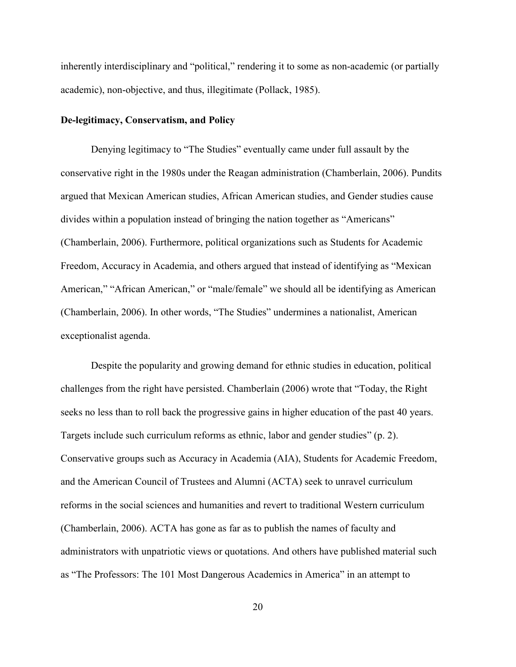inherently interdisciplinary and "political," rendering it to some as non-academic (or partially academic), non-objective, and thus, illegitimate (Pollack, 1985).

### **De-legitimacy, Conservatism, and Policy**

 Denying legitimacy to "The Studies" eventually came under full assault by the conservative right in the 1980s under the Reagan administration (Chamberlain, 2006). Pundits argued that Mexican American studies, African American studies, and Gender studies cause divides within a population instead of bringing the nation together as "Americans" (Chamberlain, 2006). Furthermore, political organizations such as Students for Academic Freedom, Accuracy in Academia, and others argued that instead of identifying as "Mexican American," "African American," or "male/female" we should all be identifying as American (Chamberlain, 2006). In other words, "The Studies" undermines a nationalist, American exceptionalist agenda.

 Despite the popularity and growing demand for ethnic studies in education, political challenges from the right have persisted. Chamberlain (2006) wrote that "Today, the Right seeks no less than to roll back the progressive gains in higher education of the past 40 years. Targets include such curriculum reforms as ethnic, labor and gender studies" (p. 2). Conservative groups such as Accuracy in Academia (AIA), Students for Academic Freedom, and the American Council of Trustees and Alumni (ACTA) seek to unravel curriculum reforms in the social sciences and humanities and revert to traditional Western curriculum (Chamberlain, 2006). ACTA has gone as far as to publish the names of faculty and administrators with unpatriotic views or quotations. And others have published material such as "The Professors: The 101 Most Dangerous Academics in America" in an attempt to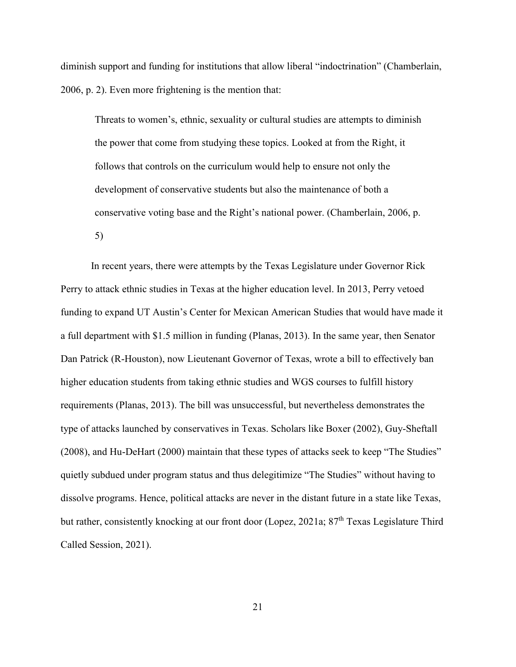diminish support and funding for institutions that allow liberal "indoctrination" (Chamberlain, 2006, p. 2). Even more frightening is the mention that:

Threats to women's, ethnic, sexuality or cultural studies are attempts to diminish the power that come from studying these topics. Looked at from the Right, it follows that controls on the curriculum would help to ensure not only the development of conservative students but also the maintenance of both a conservative voting base and the Right's national power. (Chamberlain, 2006, p. 5)

 In recent years, there were attempts by the Texas Legislature under Governor Rick Perry to attack ethnic studies in Texas at the higher education level. In 2013, Perry vetoed funding to expand UT Austin's Center for Mexican American Studies that would have made it a full department with \$1.5 million in funding (Planas, 2013). In the same year, then Senator Dan Patrick (R-Houston), now Lieutenant Governor of Texas, wrote a bill to effectively ban higher education students from taking ethnic studies and WGS courses to fulfill history requirements (Planas, 2013). The bill was unsuccessful, but nevertheless demonstrates the type of attacks launched by conservatives in Texas. Scholars like Boxer (2002), Guy-Sheftall (2008), and Hu-DeHart (2000) maintain that these types of attacks seek to keep "The Studies" quietly subdued under program status and thus delegitimize "The Studies" without having to dissolve programs. Hence, political attacks are never in the distant future in a state like Texas, but rather, consistently knocking at our front door (Lopez, 2021a; 87<sup>th</sup> Texas Legislature Third Called Session, 2021).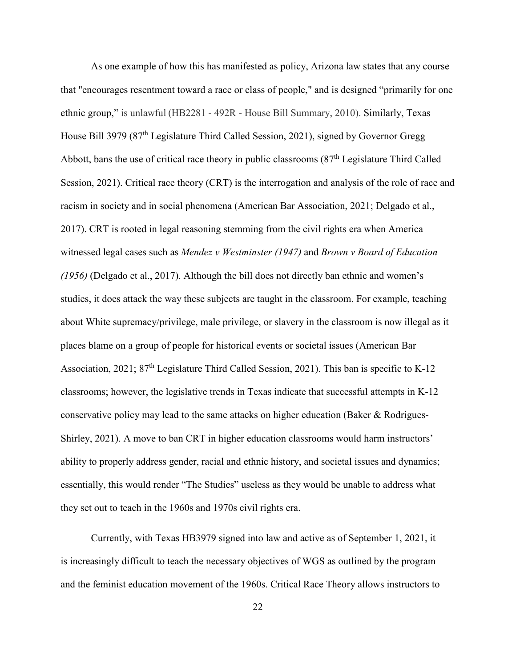As one example of how this has manifested as policy, Arizona law states that any course that "encourages resentment toward a race or class of people," and is designed "primarily for one ethnic group," is unlawful (HB2281 - 492R - House Bill Summary, 2010). Similarly, Texas House Bill 3979 (87<sup>th</sup> Legislature Third Called Session, 2021), signed by Governor Gregg Abbott, bans the use of critical race theory in public classrooms (87<sup>th</sup> Legislature Third Called Session, 2021). Critical race theory (CRT) is the interrogation and analysis of the role of race and racism in society and in social phenomena (American Bar Association, 2021; Delgado et al., 2017). CRT is rooted in legal reasoning stemming from the civil rights era when America witnessed legal cases such as *Mendez v Westminster (1947)* and *Brown v Board of Education (1956)* (Delgado et al., 2017)*.* Although the bill does not directly ban ethnic and women's studies, it does attack the way these subjects are taught in the classroom. For example, teaching about White supremacy/privilege, male privilege, or slavery in the classroom is now illegal as it places blame on a group of people for historical events or societal issues (American Bar Association, 2021;  $87<sup>th</sup>$  Legislature Third Called Session, 2021). This ban is specific to K-12 classrooms; however, the legislative trends in Texas indicate that successful attempts in K-12 conservative policy may lead to the same attacks on higher education (Baker & Rodrigues-Shirley, 2021). A move to ban CRT in higher education classrooms would harm instructors' ability to properly address gender, racial and ethnic history, and societal issues and dynamics; essentially, this would render "The Studies" useless as they would be unable to address what they set out to teach in the 1960s and 1970s civil rights era.

 Currently, with Texas HB3979 signed into law and active as of September 1, 2021, it is increasingly difficult to teach the necessary objectives of WGS as outlined by the program and the feminist education movement of the 1960s. Critical Race Theory allows instructors to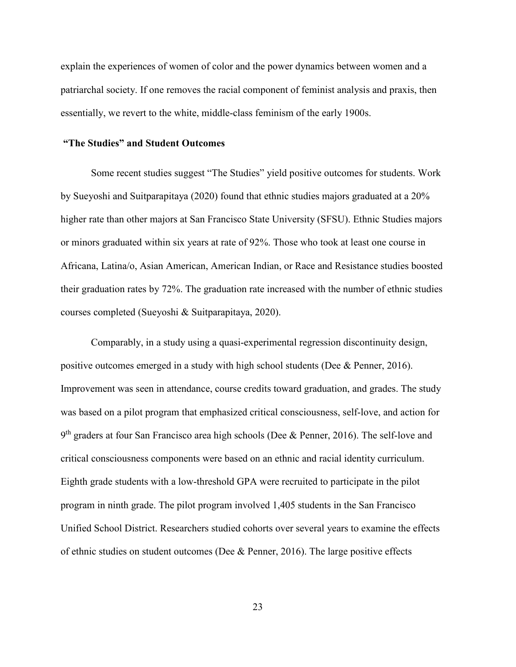explain the experiences of women of color and the power dynamics between women and a patriarchal society. If one removes the racial component of feminist analysis and praxis, then essentially, we revert to the white, middle-class feminism of the early 1900s.

#### **"The Studies" and Student Outcomes**

 Some recent studies suggest "The Studies" yield positive outcomes for students. Work by Sueyoshi and Suitparapitaya (2020) found that ethnic studies majors graduated at a 20% higher rate than other majors at San Francisco State University (SFSU). Ethnic Studies majors or minors graduated within six years at rate of 92%. Those who took at least one course in Africana, Latina/o, Asian American, American Indian, or Race and Resistance studies boosted their graduation rates by 72%. The graduation rate increased with the number of ethnic studies courses completed (Sueyoshi & Suitparapitaya, 2020).

 Comparably, in a study using a quasi-experimental regression discontinuity design, positive outcomes emerged in a study with high school students (Dee & Penner, 2016). Improvement was seen in attendance, course credits toward graduation, and grades. The study was based on a pilot program that emphasized critical consciousness, self-love, and action for 9<sup>th</sup> graders at four San Francisco area high schools (Dee & Penner, 2016). The self-love and critical consciousness components were based on an ethnic and racial identity curriculum. Eighth grade students with a low-threshold GPA were recruited to participate in the pilot program in ninth grade. The pilot program involved 1,405 students in the San Francisco Unified School District. Researchers studied cohorts over several years to examine the effects of ethnic studies on student outcomes (Dee & Penner, 2016). The large positive effects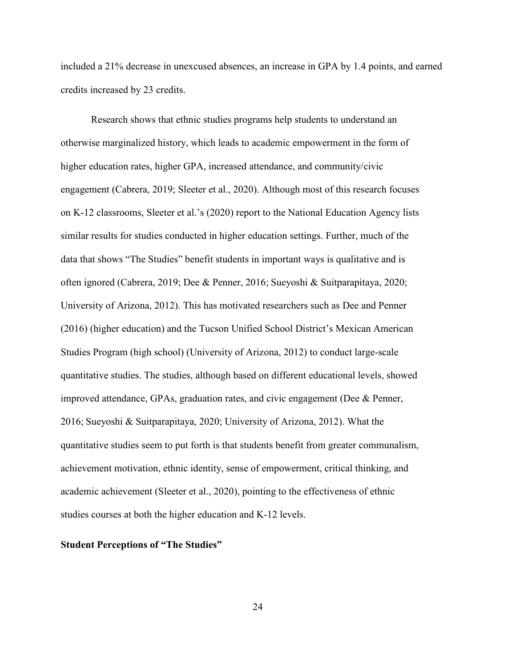included a 21% decrease in unexcused absences, an increase in GPA by 1.4 points, and earned credits increased by 23 credits.

Research shows that ethnic studies programs help students to understand an otherwise marginalized history, which leads to academic empowerment in the form of higher education rates, higher GPA, increased attendance, and community/civic engagement (Cabrera, 2019; Sleeter et al., 2020). Although most of this research focuses on K-12 classrooms, Sleeter et al.'s (2020) report to the National Education Agency lists similar results for studies conducted in higher education settings. Further, much of the data that shows "The Studies" benefit students in important ways is qualitative and is often ignored (Cabrera, 2019; Dee & Penner, 2016; Sueyoshi & Suitparapitaya, 2020; University of Arizona, 2012). This has motivated researchers such as Dee and Penner (2016) (higher education) and the Tucson Unified School District's Mexican American Studies Program (high school) (University of Arizona, 2012) to conduct large-scale quantitative studies. The studies, although based on different educational levels, showed improved attendance, GPAs, graduation rates, and civic engagement (Dee & Penner, 2016; Sueyoshi & Suitparapitaya, 2020; University of Arizona, 2012). What the quantitative studies seem to put forth is that students benefit from greater communalism, achievement motivation, ethnic identity, sense of empowerment, critical thinking, and academic achievement (Sleeter et al., 2020), pointing to the effectiveness of ethnic studies courses at both the higher education and K-12 levels.

### **Student Perceptions of "The Studies"**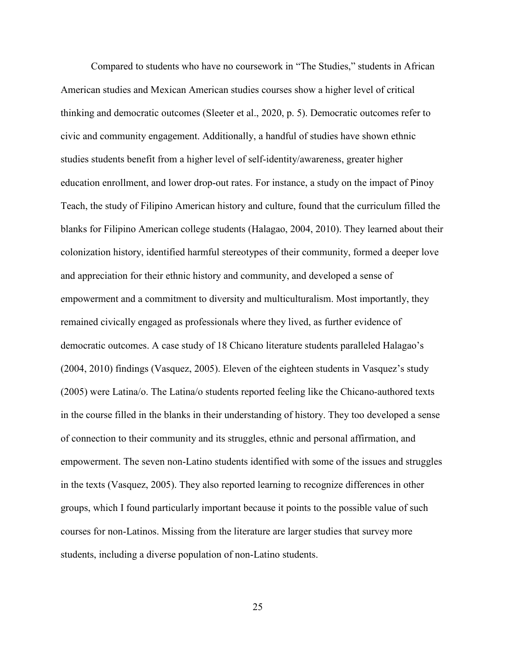Compared to students who have no coursework in "The Studies," students in African American studies and Mexican American studies courses show a higher level of critical thinking and democratic outcomes (Sleeter et al., 2020, p. 5). Democratic outcomes refer to civic and community engagement. Additionally, a handful of studies have shown ethnic studies students benefit from a higher level of self-identity/awareness, greater higher education enrollment, and lower drop-out rates. For instance, a study on the impact of Pinoy Teach, the study of Filipino American history and culture, found that the curriculum filled the blanks for Filipino American college students (Halagao, 2004, 2010). They learned about their colonization history, identified harmful stereotypes of their community, formed a deeper love and appreciation for their ethnic history and community, and developed a sense of empowerment and a commitment to diversity and multiculturalism. Most importantly, they remained civically engaged as professionals where they lived, as further evidence of democratic outcomes. A case study of 18 Chicano literature students paralleled Halagao's (2004, 2010) findings (Vasquez, 2005). Eleven of the eighteen students in Vasquez's study (2005) were Latina/o. The Latina/o students reported feeling like the Chicano-authored texts in the course filled in the blanks in their understanding of history. They too developed a sense of connection to their community and its struggles, ethnic and personal affirmation, and empowerment. The seven non-Latino students identified with some of the issues and struggles in the texts (Vasquez, 2005). They also reported learning to recognize differences in other groups, which I found particularly important because it points to the possible value of such courses for non-Latinos. Missing from the literature are larger studies that survey more students, including a diverse population of non-Latino students.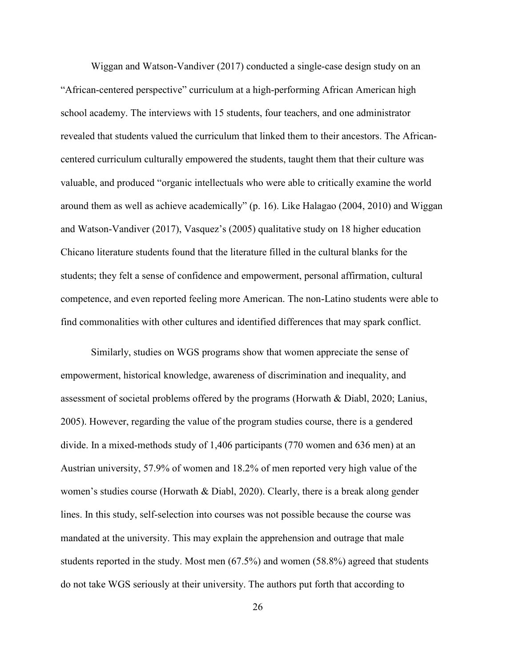Wiggan and Watson-Vandiver (2017) conducted a single-case design study on an "African-centered perspective" curriculum at a high-performing African American high school academy. The interviews with 15 students, four teachers, and one administrator revealed that students valued the curriculum that linked them to their ancestors. The Africancentered curriculum culturally empowered the students, taught them that their culture was valuable, and produced "organic intellectuals who were able to critically examine the world around them as well as achieve academically" (p. 16). Like Halagao (2004, 2010) and Wiggan and Watson-Vandiver (2017), Vasquez's (2005) qualitative study on 18 higher education Chicano literature students found that the literature filled in the cultural blanks for the students; they felt a sense of confidence and empowerment, personal affirmation, cultural competence, and even reported feeling more American. The non-Latino students were able to find commonalities with other cultures and identified differences that may spark conflict.

 Similarly, studies on WGS programs show that women appreciate the sense of empowerment, historical knowledge, awareness of discrimination and inequality, and assessment of societal problems offered by the programs (Horwath & Diabl, 2020; Lanius, 2005). However, regarding the value of the program studies course, there is a gendered divide. In a mixed-methods study of 1,406 participants (770 women and 636 men) at an Austrian university, 57.9% of women and 18.2% of men reported very high value of the women's studies course (Horwath & Diabl, 2020). Clearly, there is a break along gender lines. In this study, self-selection into courses was not possible because the course was mandated at the university. This may explain the apprehension and outrage that male students reported in the study. Most men (67.5%) and women (58.8%) agreed that students do not take WGS seriously at their university. The authors put forth that according to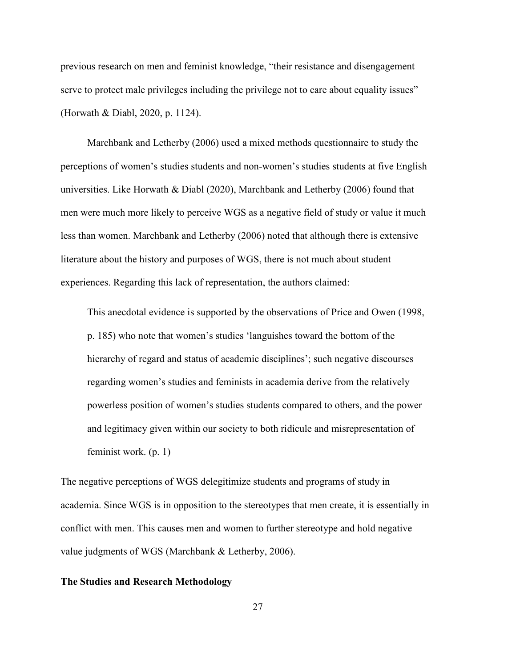previous research on men and feminist knowledge, "their resistance and disengagement serve to protect male privileges including the privilege not to care about equality issues" (Horwath & Diabl, 2020, p. 1124).

Marchbank and Letherby (2006) used a mixed methods questionnaire to study the perceptions of women's studies students and non-women's studies students at five English universities. Like Horwath & Diabl (2020), Marchbank and Letherby (2006) found that men were much more likely to perceive WGS as a negative field of study or value it much less than women. Marchbank and Letherby (2006) noted that although there is extensive literature about the history and purposes of WGS, there is not much about student experiences. Regarding this lack of representation, the authors claimed:

This anecdotal evidence is supported by the observations of Price and Owen (1998, p. 185) who note that women's studies 'languishes toward the bottom of the hierarchy of regard and status of academic disciplines'; such negative discourses regarding women's studies and feminists in academia derive from the relatively powerless position of women's studies students compared to others, and the power and legitimacy given within our society to both ridicule and misrepresentation of feminist work. (p. 1)

The negative perceptions of WGS delegitimize students and programs of study in academia. Since WGS is in opposition to the stereotypes that men create, it is essentially in conflict with men. This causes men and women to further stereotype and hold negative value judgments of WGS (Marchbank & Letherby, 2006).

### **The Studies and Research Methodology**

27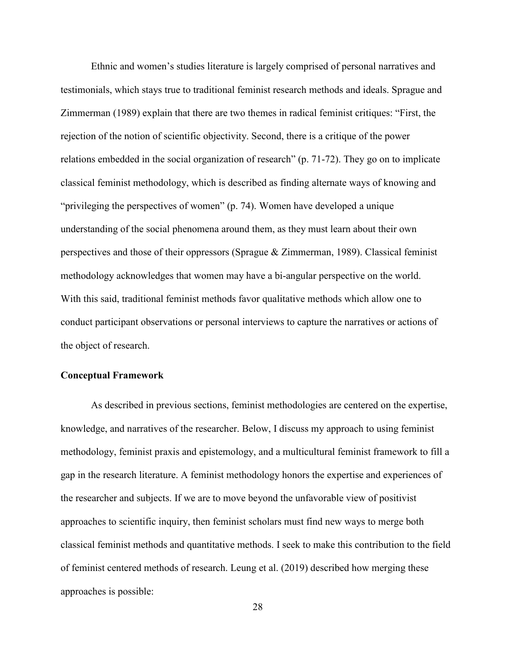Ethnic and women's studies literature is largely comprised of personal narratives and testimonials, which stays true to traditional feminist research methods and ideals. Sprague and Zimmerman (1989) explain that there are two themes in radical feminist critiques: "First, the rejection of the notion of scientific objectivity. Second, there is a critique of the power relations embedded in the social organization of research" (p. 71-72). They go on to implicate classical feminist methodology, which is described as finding alternate ways of knowing and "privileging the perspectives of women" (p. 74). Women have developed a unique understanding of the social phenomena around them, as they must learn about their own perspectives and those of their oppressors (Sprague & Zimmerman, 1989). Classical feminist methodology acknowledges that women may have a bi-angular perspective on the world. With this said, traditional feminist methods favor qualitative methods which allow one to conduct participant observations or personal interviews to capture the narratives or actions of the object of research.

### **Conceptual Framework**

As described in previous sections, feminist methodologies are centered on the expertise, knowledge, and narratives of the researcher. Below, I discuss my approach to using feminist methodology, feminist praxis and epistemology, and a multicultural feminist framework to fill a gap in the research literature. A feminist methodology honors the expertise and experiences of the researcher and subjects. If we are to move beyond the unfavorable view of positivist approaches to scientific inquiry, then feminist scholars must find new ways to merge both classical feminist methods and quantitative methods. I seek to make this contribution to the field of feminist centered methods of research. Leung et al. (2019) described how merging these approaches is possible: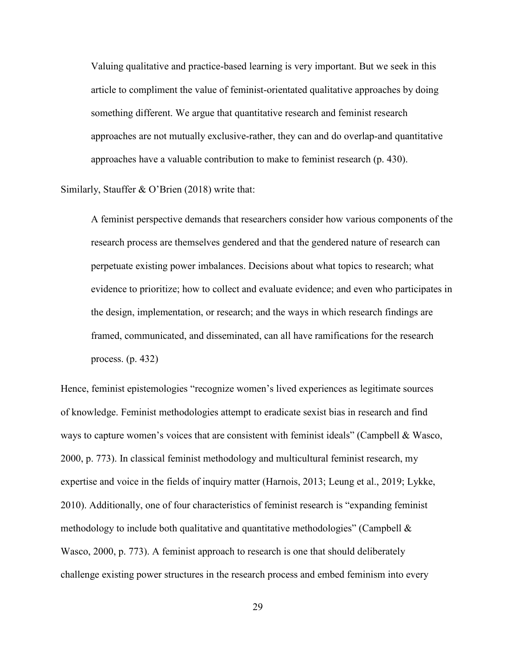Valuing qualitative and practice-based learning is very important. But we seek in this article to compliment the value of feminist-orientated qualitative approaches by doing something different. We argue that quantitative research and feminist research approaches are not mutually exclusive-rather, they can and do overlap-and quantitative approaches have a valuable contribution to make to feminist research (p. 430).

Similarly, Stauffer & O'Brien (2018) write that:

 A feminist perspective demands that researchers consider how various components of the research process are themselves gendered and that the gendered nature of research can perpetuate existing power imbalances. Decisions about what topics to research; what evidence to prioritize; how to collect and evaluate evidence; and even who participates in the design, implementation, or research; and the ways in which research findings are framed, communicated, and disseminated, can all have ramifications for the research process. (p. 432)

Hence, feminist epistemologies "recognize women's lived experiences as legitimate sources of knowledge. Feminist methodologies attempt to eradicate sexist bias in research and find ways to capture women's voices that are consistent with feminist ideals" (Campbell & Wasco, 2000, p. 773). In classical feminist methodology and multicultural feminist research, my expertise and voice in the fields of inquiry matter (Harnois, 2013; Leung et al., 2019; Lykke, 2010). Additionally, one of four characteristics of feminist research is "expanding feminist methodology to include both qualitative and quantitative methodologies" (Campbell & Wasco, 2000, p. 773). A feminist approach to research is one that should deliberately challenge existing power structures in the research process and embed feminism into every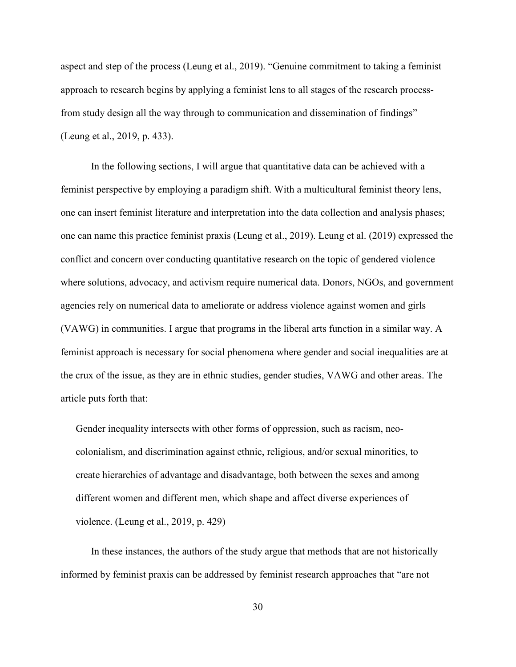aspect and step of the process (Leung et al., 2019). "Genuine commitment to taking a feminist approach to research begins by applying a feminist lens to all stages of the research processfrom study design all the way through to communication and dissemination of findings" (Leung et al., 2019, p. 433).

 In the following sections, I will argue that quantitative data can be achieved with a feminist perspective by employing a paradigm shift. With a multicultural feminist theory lens, one can insert feminist literature and interpretation into the data collection and analysis phases; one can name this practice feminist praxis (Leung et al., 2019). Leung et al. (2019) expressed the conflict and concern over conducting quantitative research on the topic of gendered violence where solutions, advocacy, and activism require numerical data. Donors, NGOs, and government agencies rely on numerical data to ameliorate or address violence against women and girls (VAWG) in communities. I argue that programs in the liberal arts function in a similar way. A feminist approach is necessary for social phenomena where gender and social inequalities are at the crux of the issue, as they are in ethnic studies, gender studies, VAWG and other areas. The article puts forth that:

Gender inequality intersects with other forms of oppression, such as racism, neocolonialism, and discrimination against ethnic, religious, and/or sexual minorities, to create hierarchies of advantage and disadvantage, both between the sexes and among different women and different men, which shape and affect diverse experiences of violence. (Leung et al., 2019, p. 429)

 In these instances, the authors of the study argue that methods that are not historically informed by feminist praxis can be addressed by feminist research approaches that "are not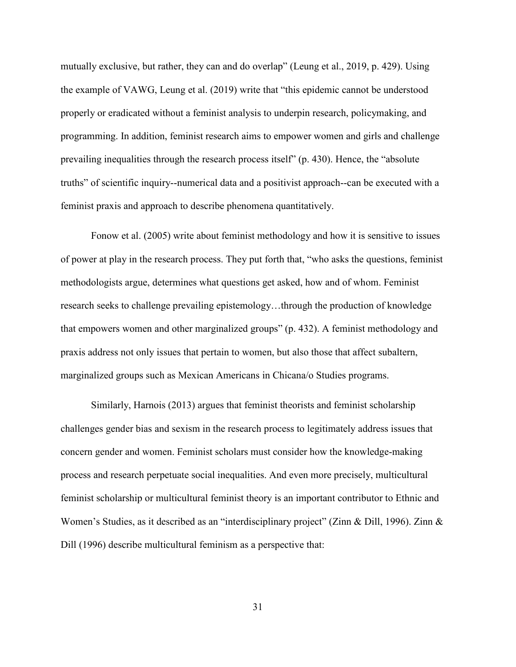mutually exclusive, but rather, they can and do overlap" (Leung et al., 2019, p. 429). Using the example of VAWG, Leung et al. (2019) write that "this epidemic cannot be understood properly or eradicated without a feminist analysis to underpin research, policymaking, and programming. In addition, feminist research aims to empower women and girls and challenge prevailing inequalities through the research process itself" (p. 430). Hence, the "absolute truths" of scientific inquiry--numerical data and a positivist approach--can be executed with a feminist praxis and approach to describe phenomena quantitatively.

 Fonow et al. (2005) write about feminist methodology and how it is sensitive to issues of power at play in the research process. They put forth that, "who asks the questions, feminist methodologists argue, determines what questions get asked, how and of whom. Feminist research seeks to challenge prevailing epistemology…through the production of knowledge that empowers women and other marginalized groups" (p. 432). A feminist methodology and praxis address not only issues that pertain to women, but also those that affect subaltern, marginalized groups such as Mexican Americans in Chicana/o Studies programs.

 Similarly, Harnois (2013) argues that feminist theorists and feminist scholarship challenges gender bias and sexism in the research process to legitimately address issues that concern gender and women. Feminist scholars must consider how the knowledge-making process and research perpetuate social inequalities. And even more precisely, multicultural feminist scholarship or multicultural feminist theory is an important contributor to Ethnic and Women's Studies, as it described as an "interdisciplinary project" (Zinn & Dill, 1996). Zinn & Dill (1996) describe multicultural feminism as a perspective that:

31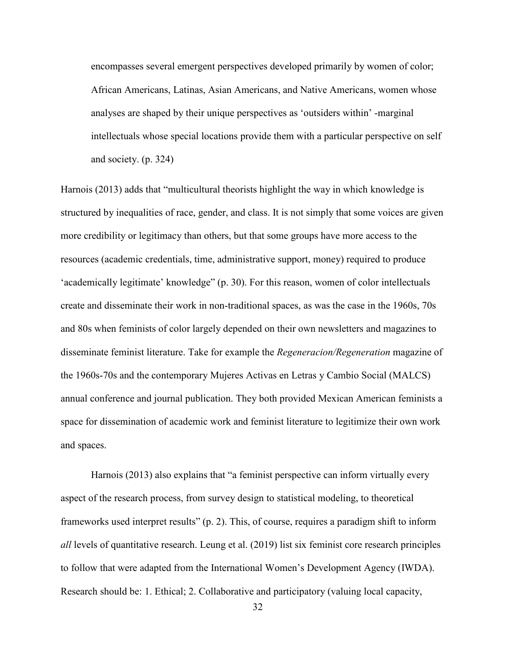encompasses several emergent perspectives developed primarily by women of color; African Americans, Latinas, Asian Americans, and Native Americans, women whose analyses are shaped by their unique perspectives as 'outsiders within' -marginal intellectuals whose special locations provide them with a particular perspective on self and society. (p. 324)

Harnois (2013) adds that "multicultural theorists highlight the way in which knowledge is structured by inequalities of race, gender, and class. It is not simply that some voices are given more credibility or legitimacy than others, but that some groups have more access to the resources (academic credentials, time, administrative support, money) required to produce 'academically legitimate' knowledge" (p. 30). For this reason, women of color intellectuals create and disseminate their work in non-traditional spaces, as was the case in the 1960s, 70s and 80s when feminists of color largely depended on their own newsletters and magazines to disseminate feminist literature. Take for example the *Regeneracion/Regeneration* magazine of the 1960s-70s and the contemporary Mujeres Activas en Letras y Cambio Social (MALCS) annual conference and journal publication. They both provided Mexican American feminists a space for dissemination of academic work and feminist literature to legitimize their own work and spaces.

 Harnois (2013) also explains that "a feminist perspective can inform virtually every aspect of the research process, from survey design to statistical modeling, to theoretical frameworks used interpret results" (p. 2). This, of course, requires a paradigm shift to inform *all* levels of quantitative research. Leung et al. (2019) list six feminist core research principles to follow that were adapted from the International Women's Development Agency (IWDA). Research should be: 1. Ethical; 2. Collaborative and participatory (valuing local capacity,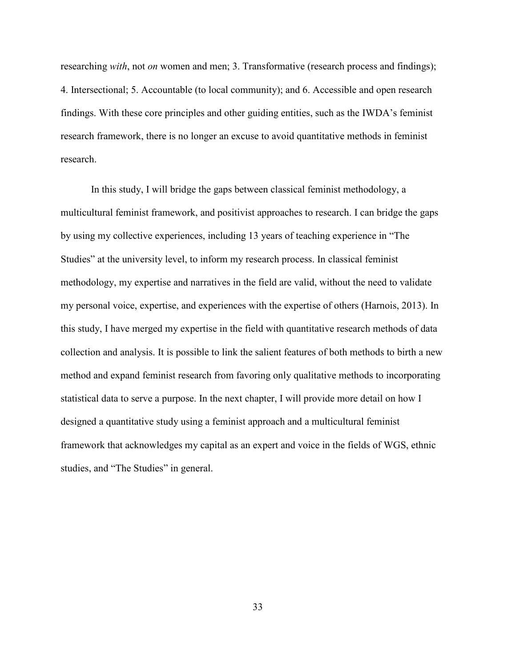researching *with*, not *on* women and men; 3. Transformative (research process and findings); 4. Intersectional; 5. Accountable (to local community); and 6. Accessible and open research findings. With these core principles and other guiding entities, such as the IWDA's feminist research framework, there is no longer an excuse to avoid quantitative methods in feminist research.

 In this study, I will bridge the gaps between classical feminist methodology, a multicultural feminist framework, and positivist approaches to research. I can bridge the gaps by using my collective experiences, including 13 years of teaching experience in "The Studies" at the university level, to inform my research process. In classical feminist methodology, my expertise and narratives in the field are valid, without the need to validate my personal voice, expertise, and experiences with the expertise of others (Harnois, 2013). In this study, I have merged my expertise in the field with quantitative research methods of data collection and analysis. It is possible to link the salient features of both methods to birth a new method and expand feminist research from favoring only qualitative methods to incorporating statistical data to serve a purpose. In the next chapter, I will provide more detail on how I designed a quantitative study using a feminist approach and a multicultural feminist framework that acknowledges my capital as an expert and voice in the fields of WGS, ethnic studies, and "The Studies" in general.

33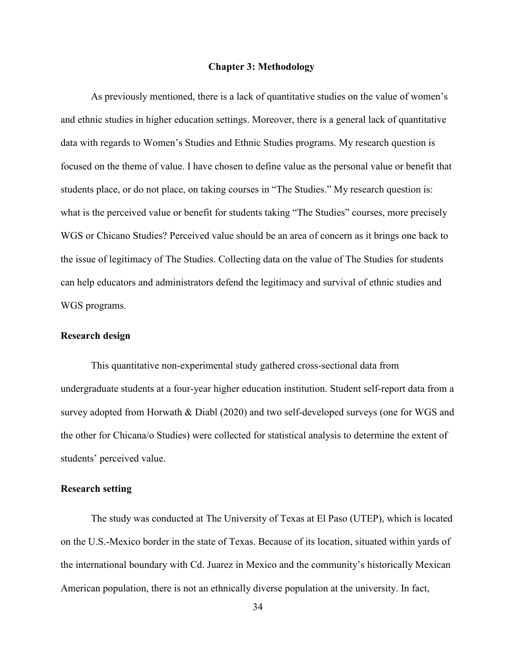#### **Chapter 3: Methodology**

As previously mentioned, there is a lack of quantitative studies on the value of women's and ethnic studies in higher education settings. Moreover, there is a general lack of quantitative data with regards to Women's Studies and Ethnic Studies programs. My research question is focused on the theme of value. I have chosen to define value as the personal value or benefit that students place, or do not place, on taking courses in "The Studies." My research question is: what is the perceived value or benefit for students taking "The Studies" courses, more precisely WGS or Chicano Studies? Perceived value should be an area of concern as it brings one back to the issue of legitimacy of The Studies. Collecting data on the value of The Studies for students can help educators and administrators defend the legitimacy and survival of ethnic studies and WGS programs.

### **Research design**

 This quantitative non-experimental study gathered cross-sectional data from undergraduate students at a four-year higher education institution. Student self-report data from a survey adopted from Horwath & Diabl (2020) and two self-developed surveys (one for WGS and the other for Chicana/o Studies) were collected for statistical analysis to determine the extent of students' perceived value.

### **Research setting**

 The study was conducted at The University of Texas at El Paso (UTEP), which is located on the U.S.-Mexico border in the state of Texas. Because of its location, situated within yards of the international boundary with Cd. Juarez in Mexico and the community's historically Mexican American population, there is not an ethnically diverse population at the university. In fact,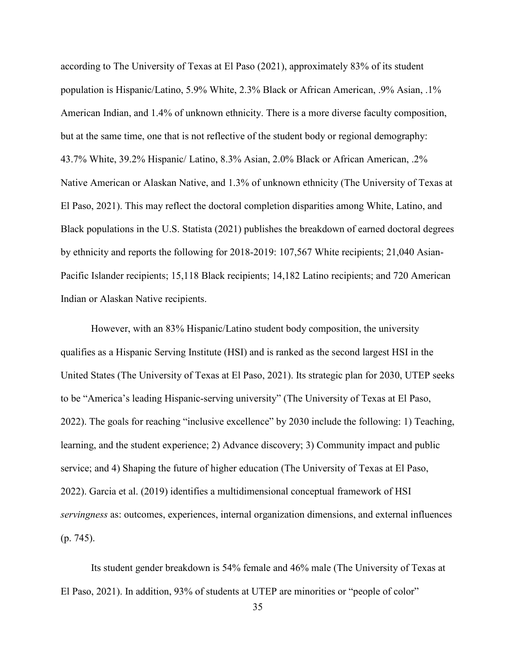according to The University of Texas at El Paso (2021), approximately 83% of its student population is Hispanic/Latino, 5.9% White, 2.3% Black or African American, .9% Asian, .1% American Indian, and 1.4% of unknown ethnicity. There is a more diverse faculty composition, but at the same time, one that is not reflective of the student body or regional demography: 43.7% White, 39.2% Hispanic/ Latino, 8.3% Asian, 2.0% Black or African American, .2% Native American or Alaskan Native, and 1.3% of unknown ethnicity (The University of Texas at El Paso, 2021). This may reflect the doctoral completion disparities among White, Latino, and Black populations in the U.S. Statista (2021) publishes the breakdown of earned doctoral degrees by ethnicity and reports the following for 2018-2019: 107,567 White recipients; 21,040 Asian-Pacific Islander recipients; 15,118 Black recipients; 14,182 Latino recipients; and 720 American Indian or Alaskan Native recipients.

 However, with an 83% Hispanic/Latino student body composition, the university qualifies as a Hispanic Serving Institute (HSI) and is ranked as the second largest HSI in the United States (The University of Texas at El Paso, 2021). Its strategic plan for 2030, UTEP seeks to be "America's leading Hispanic-serving university" (The University of Texas at El Paso, 2022). The goals for reaching "inclusive excellence" by 2030 include the following: 1) Teaching, learning, and the student experience; 2) Advance discovery; 3) Community impact and public service; and 4) Shaping the future of higher education (The University of Texas at El Paso, 2022). Garcia et al. (2019) identifies a multidimensional conceptual framework of HSI *servingness* as: outcomes, experiences, internal organization dimensions, and external influences (p. 745).

 Its student gender breakdown is 54% female and 46% male (The University of Texas at El Paso, 2021). In addition, 93% of students at UTEP are minorities or "people of color"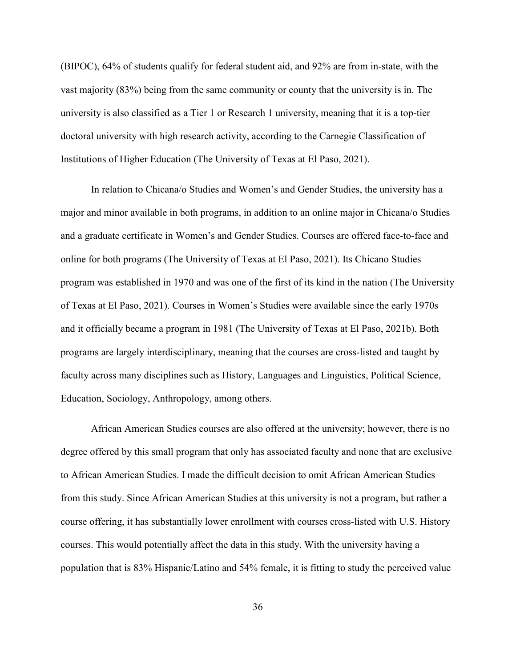(BIPOC), 64% of students qualify for federal student aid, and 92% are from in-state, with the vast majority (83%) being from the same community or county that the university is in. The university is also classified as a Tier 1 or Research 1 university, meaning that it is a top-tier doctoral university with high research activity, according to the Carnegie Classification of Institutions of Higher Education (The University of Texas at El Paso, 2021).

 In relation to Chicana/o Studies and Women's and Gender Studies, the university has a major and minor available in both programs, in addition to an online major in Chicana/o Studies and a graduate certificate in Women's and Gender Studies. Courses are offered face-to-face and online for both programs (The University of Texas at El Paso, 2021). Its Chicano Studies program was established in 1970 and was one of the first of its kind in the nation (The University of Texas at El Paso, 2021). Courses in Women's Studies were available since the early 1970s and it officially became a program in 1981 (The University of Texas at El Paso, 2021b). Both programs are largely interdisciplinary, meaning that the courses are cross-listed and taught by faculty across many disciplines such as History, Languages and Linguistics, Political Science, Education, Sociology, Anthropology, among others.

 African American Studies courses are also offered at the university; however, there is no degree offered by this small program that only has associated faculty and none that are exclusive to African American Studies. I made the difficult decision to omit African American Studies from this study. Since African American Studies at this university is not a program, but rather a course offering, it has substantially lower enrollment with courses cross-listed with U.S. History courses. This would potentially affect the data in this study. With the university having a population that is 83% Hispanic/Latino and 54% female, it is fitting to study the perceived value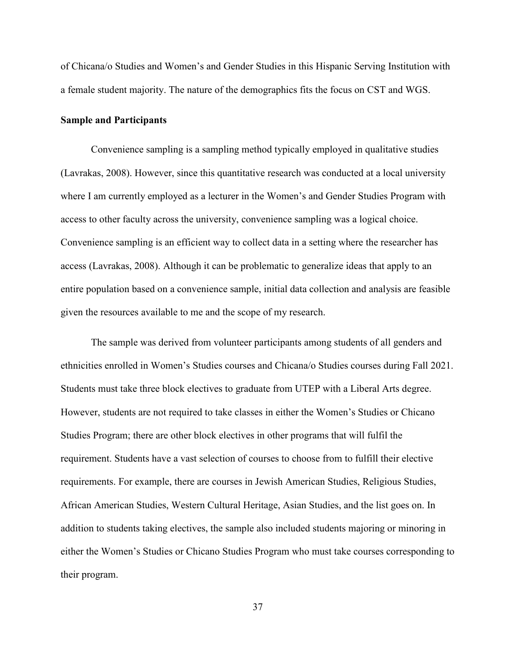of Chicana/o Studies and Women's and Gender Studies in this Hispanic Serving Institution with a female student majority. The nature of the demographics fits the focus on CST and WGS.

### **Sample and Participants**

 Convenience sampling is a sampling method typically employed in qualitative studies (Lavrakas, 2008). However, since this quantitative research was conducted at a local university where I am currently employed as a lecturer in the Women's and Gender Studies Program with access to other faculty across the university, convenience sampling was a logical choice. Convenience sampling is an efficient way to collect data in a setting where the researcher has access (Lavrakas, 2008). Although it can be problematic to generalize ideas that apply to an entire population based on a convenience sample, initial data collection and analysis are feasible given the resources available to me and the scope of my research.

The sample was derived from volunteer participants among students of all genders and ethnicities enrolled in Women's Studies courses and Chicana/o Studies courses during Fall 2021. Students must take three block electives to graduate from UTEP with a Liberal Arts degree. However, students are not required to take classes in either the Women's Studies or Chicano Studies Program; there are other block electives in other programs that will fulfil the requirement. Students have a vast selection of courses to choose from to fulfill their elective requirements. For example, there are courses in Jewish American Studies, Religious Studies, African American Studies, Western Cultural Heritage, Asian Studies, and the list goes on. In addition to students taking electives, the sample also included students majoring or minoring in either the Women's Studies or Chicano Studies Program who must take courses corresponding to their program.

37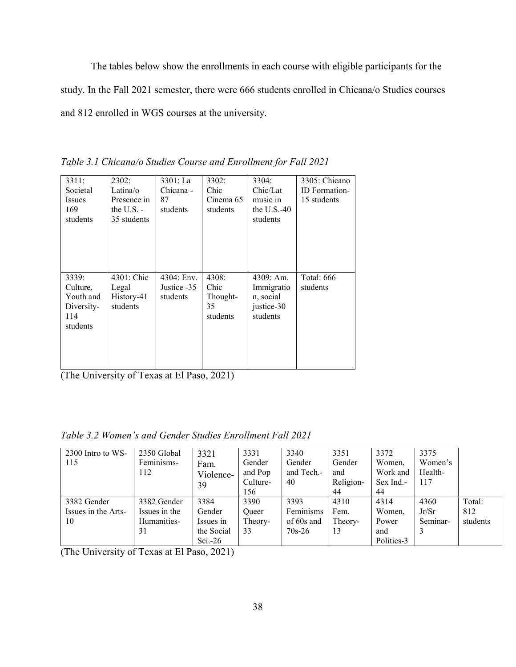The tables below show the enrollments in each course with eligible participants for the study. In the Fall 2021 semester, there were 666 students enrolled in Chicana/o Studies courses and 812 enrolled in WGS courses at the university.

*Table 3.1 Chicana/o Studies Course and Enrollment for Fall 2021* 

| 3311:<br>Societal<br>Issues<br>169<br>students                  | 2302:<br>Latina/o<br>Presence in<br>the $U.S.$ -<br>35 students | 3301: La<br>Chicana -<br>87<br>students | 3302:<br>Chic<br>Cinema 65<br>students      | 3304:<br>Chic/Lat<br>music in<br>the U.S. $-40$<br>students    | 3305: Chicano<br><b>ID</b> Formation-<br>15 students |
|-----------------------------------------------------------------|-----------------------------------------------------------------|-----------------------------------------|---------------------------------------------|----------------------------------------------------------------|------------------------------------------------------|
| 3339:<br>Culture.<br>Youth and<br>Diversity-<br>114<br>students | 4301: Chic<br>Legal<br>History-41<br>students                   | 4304: Env.<br>Justice -35<br>students   | 4308:<br>Chic<br>Thought-<br>35<br>students | 4309: Am.<br>Immigratio<br>n, social<br>justice-30<br>students | <b>Total: 666</b><br>students                        |

(The University of Texas at El Paso, 2021)

| 2300 Intro to WS-   | 2350 Global   | 3321       | 3331     | 3340       | 3351      | 3372       | 3375     |          |
|---------------------|---------------|------------|----------|------------|-----------|------------|----------|----------|
| 115                 | Feminisms-    | Fam.       | Gender   | Gender     | Gender    | Women,     | Women's  |          |
|                     | 112           | Violence-  | and Pop  | and Tech.- | and       | Work and   | Health-  |          |
|                     |               | 39         | Culture- | 40         | Religion- | Sex Ind.   | 117      |          |
|                     |               |            | 156      |            | 44        | 44         |          |          |
| 3382 Gender         | 3382 Gender   | 3384       | 3390     | 3393       | 4310      | 4314       | 4360     | Total:   |
| Issues in the Arts- | Issues in the | Gender     | Oueer    | Feminisms  | Fem.      | Women,     | Jr/Sr    | 812      |
| 10                  | Humanities-   | Issues in  | Theory-  | of 60s and | Theory-   | Power      | Seminar- | students |
|                     | 31            | the Social | 33       | $70s-26$   | 13        | and        |          |          |
|                     |               | Sci. $-26$ |          |            |           | Politics-3 |          |          |

(The University of Texas at El Paso, 2021)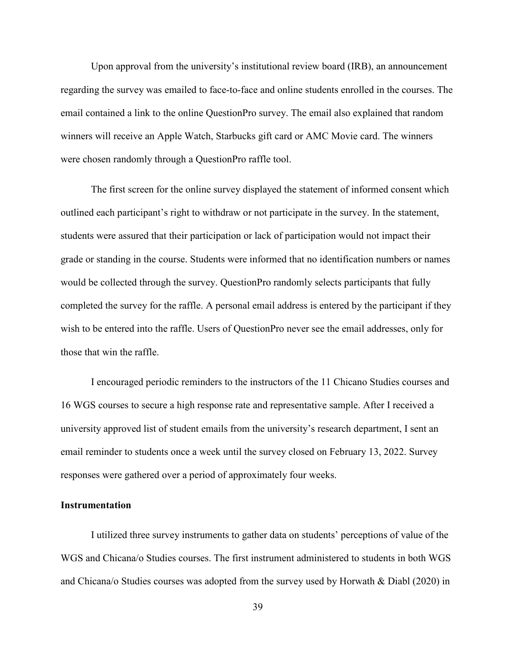Upon approval from the university's institutional review board (IRB), an announcement regarding the survey was emailed to face-to-face and online students enrolled in the courses. The email contained a link to the online QuestionPro survey. The email also explained that random winners will receive an Apple Watch, Starbucks gift card or AMC Movie card. The winners were chosen randomly through a QuestionPro raffle tool.

The first screen for the online survey displayed the statement of informed consent which outlined each participant's right to withdraw or not participate in the survey. In the statement, students were assured that their participation or lack of participation would not impact their grade or standing in the course. Students were informed that no identification numbers or names would be collected through the survey. QuestionPro randomly selects participants that fully completed the survey for the raffle. A personal email address is entered by the participant if they wish to be entered into the raffle. Users of QuestionPro never see the email addresses, only for those that win the raffle.

I encouraged periodic reminders to the instructors of the 11 Chicano Studies courses and 16 WGS courses to secure a high response rate and representative sample. After I received a university approved list of student emails from the university's research department, I sent an email reminder to students once a week until the survey closed on February 13, 2022. Survey responses were gathered over a period of approximately four weeks.

### **Instrumentation**

I utilized three survey instruments to gather data on students' perceptions of value of the WGS and Chicana/o Studies courses. The first instrument administered to students in both WGS and Chicana/o Studies courses was adopted from the survey used by Horwath & Diabl (2020) in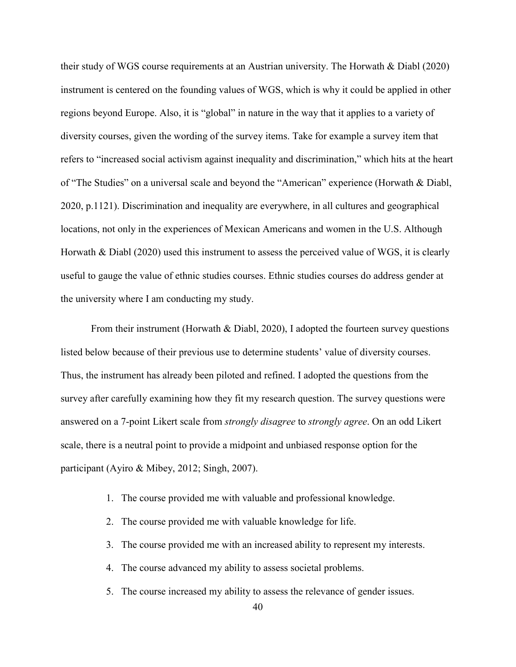their study of WGS course requirements at an Austrian university. The Horwath & Diabl (2020) instrument is centered on the founding values of WGS, which is why it could be applied in other regions beyond Europe. Also, it is "global" in nature in the way that it applies to a variety of diversity courses, given the wording of the survey items. Take for example a survey item that refers to "increased social activism against inequality and discrimination," which hits at the heart of "The Studies" on a universal scale and beyond the "American" experience (Horwath & Diabl, 2020, p.1121). Discrimination and inequality are everywhere, in all cultures and geographical locations, not only in the experiences of Mexican Americans and women in the U.S. Although Horwath & Diabl (2020) used this instrument to assess the perceived value of WGS, it is clearly useful to gauge the value of ethnic studies courses. Ethnic studies courses do address gender at the university where I am conducting my study.

From their instrument (Horwath & Diabl, 2020), I adopted the fourteen survey questions listed below because of their previous use to determine students' value of diversity courses. Thus, the instrument has already been piloted and refined. I adopted the questions from the survey after carefully examining how they fit my research question. The survey questions were answered on a 7-point Likert scale from *strongly disagree* to *strongly agree*. On an odd Likert scale, there is a neutral point to provide a midpoint and unbiased response option for the participant (Ayiro & Mibey, 2012; Singh, 2007).

- 1. The course provided me with valuable and professional knowledge.
- 2. The course provided me with valuable knowledge for life.
- 3. The course provided me with an increased ability to represent my interests.
- 4. The course advanced my ability to assess societal problems.
- 5. The course increased my ability to assess the relevance of gender issues.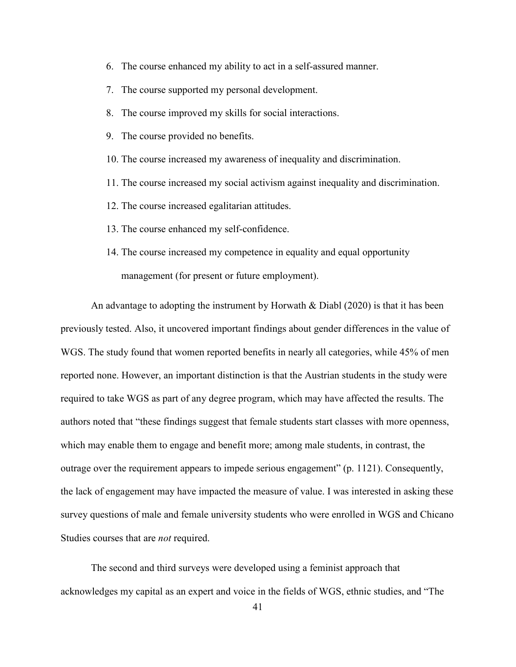- 6. The course enhanced my ability to act in a self-assured manner.
- 7. The course supported my personal development.
- 8. The course improved my skills for social interactions.
- 9. The course provided no benefits.
- 10. The course increased my awareness of inequality and discrimination.
- 11. The course increased my social activism against inequality and discrimination.
- 12. The course increased egalitarian attitudes.
- 13. The course enhanced my self-confidence.
- 14. The course increased my competence in equality and equal opportunity management (for present or future employment).

An advantage to adopting the instrument by Horwath & Diabl (2020) is that it has been previously tested. Also, it uncovered important findings about gender differences in the value of WGS. The study found that women reported benefits in nearly all categories, while 45% of men reported none. However, an important distinction is that the Austrian students in the study were required to take WGS as part of any degree program, which may have affected the results. The authors noted that "these findings suggest that female students start classes with more openness, which may enable them to engage and benefit more; among male students, in contrast, the outrage over the requirement appears to impede serious engagement" (p. 1121). Consequently, the lack of engagement may have impacted the measure of value. I was interested in asking these survey questions of male and female university students who were enrolled in WGS and Chicano Studies courses that are *not* required.

The second and third surveys were developed using a feminist approach that acknowledges my capital as an expert and voice in the fields of WGS, ethnic studies, and "The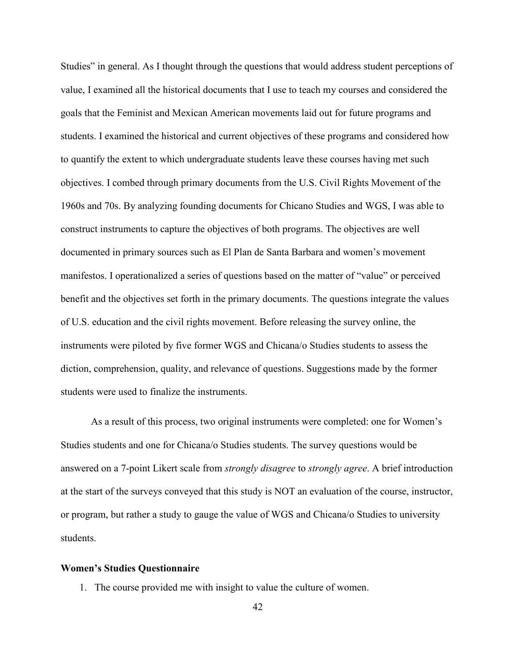Studies" in general. As I thought through the questions that would address student perceptions of value, I examined all the historical documents that I use to teach my courses and considered the goals that the Feminist and Mexican American movements laid out for future programs and students. I examined the historical and current objectives of these programs and considered how to quantify the extent to which undergraduate students leave these courses having met such objectives. I combed through primary documents from the U.S. Civil Rights Movement of the 1960s and 70s. By analyzing founding documents for Chicano Studies and WGS, I was able to construct instruments to capture the objectives of both programs. The objectives are well documented in primary sources such as El Plan de Santa Barbara and women's movement manifestos. I operationalized a series of questions based on the matter of "value" or perceived benefit and the objectives set forth in the primary documents. The questions integrate the values of U.S. education and the civil rights movement. Before releasing the survey online, the instruments were piloted by five former WGS and Chicana/o Studies students to assess the diction, comprehension, quality, and relevance of questions. Suggestions made by the former students were used to finalize the instruments.

As a result of this process, two original instruments were completed: one for Women's Studies students and one for Chicana/o Studies students. The survey questions would be answered on a 7-point Likert scale from *strongly disagree* to *strongly agree*. A brief introduction at the start of the surveys conveyed that this study is NOT an evaluation of the course, instructor, or program, but rather a study to gauge the value of WGS and Chicana/o Studies to university students.

### **Women's Studies Questionnaire**

1. The course provided me with insight to value the culture of women.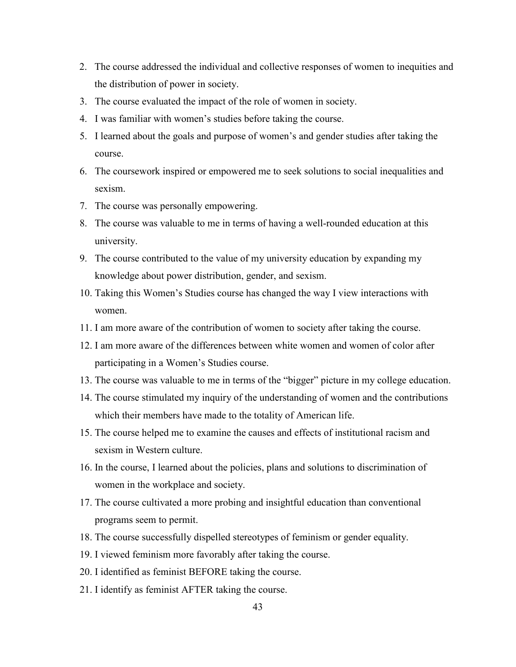- 2. The course addressed the individual and collective responses of women to inequities and the distribution of power in society.
- 3. The course evaluated the impact of the role of women in society.
- 4. I was familiar with women's studies before taking the course.
- 5. I learned about the goals and purpose of women's and gender studies after taking the course.
- 6. The coursework inspired or empowered me to seek solutions to social inequalities and sexism.
- 7. The course was personally empowering.
- 8. The course was valuable to me in terms of having a well-rounded education at this university.
- 9. The course contributed to the value of my university education by expanding my knowledge about power distribution, gender, and sexism.
- 10. Taking this Women's Studies course has changed the way I view interactions with women.
- 11. I am more aware of the contribution of women to society after taking the course.
- 12. I am more aware of the differences between white women and women of color after participating in a Women's Studies course.
- 13. The course was valuable to me in terms of the "bigger" picture in my college education.
- 14. The course stimulated my inquiry of the understanding of women and the contributions which their members have made to the totality of American life.
- 15. The course helped me to examine the causes and effects of institutional racism and sexism in Western culture.
- 16. In the course, I learned about the policies, plans and solutions to discrimination of women in the workplace and society.
- 17. The course cultivated a more probing and insightful education than conventional programs seem to permit.
- 18. The course successfully dispelled stereotypes of feminism or gender equality.
- 19. I viewed feminism more favorably after taking the course.
- 20. I identified as feminist BEFORE taking the course.
- 21. I identify as feminist AFTER taking the course.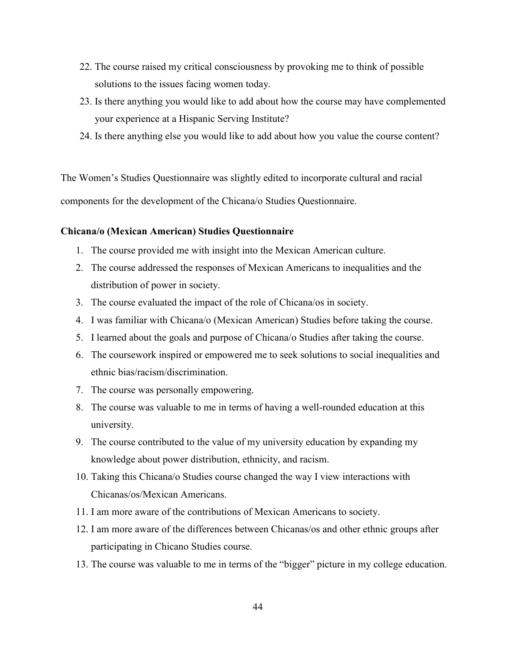- 22. The course raised my critical consciousness by provoking me to think of possible solutions to the issues facing women today.
- 23. Is there anything you would like to add about how the course may have complemented your experience at a Hispanic Serving Institute?
- 24. Is there anything else you would like to add about how you value the course content?

The Women's Studies Questionnaire was slightly edited to incorporate cultural and racial components for the development of the Chicana/o Studies Questionnaire.

### **Chicana/o (Mexican American) Studies Questionnaire**

- 1. The course provided me with insight into the Mexican American culture.
- 2. The course addressed the responses of Mexican Americans to inequalities and the distribution of power in society.
- 3. The course evaluated the impact of the role of Chicana/os in society.
- 4. I was familiar with Chicana/o (Mexican American) Studies before taking the course.
- 5. I learned about the goals and purpose of Chicana/o Studies after taking the course.
- 6. The coursework inspired or empowered me to seek solutions to social inequalities and ethnic bias/racism/discrimination.
- 7. The course was personally empowering.
- 8. The course was valuable to me in terms of having a well-rounded education at this university.
- 9. The course contributed to the value of my university education by expanding my knowledge about power distribution, ethnicity, and racism.
- 10. Taking this Chicana/o Studies course changed the way I view interactions with Chicanas/os/Mexican Americans.
- 11. I am more aware of the contributions of Mexican Americans to society.
- 12. I am more aware of the differences between Chicanas/os and other ethnic groups after participating in Chicano Studies course.
- 13. The course was valuable to me in terms of the "bigger" picture in my college education.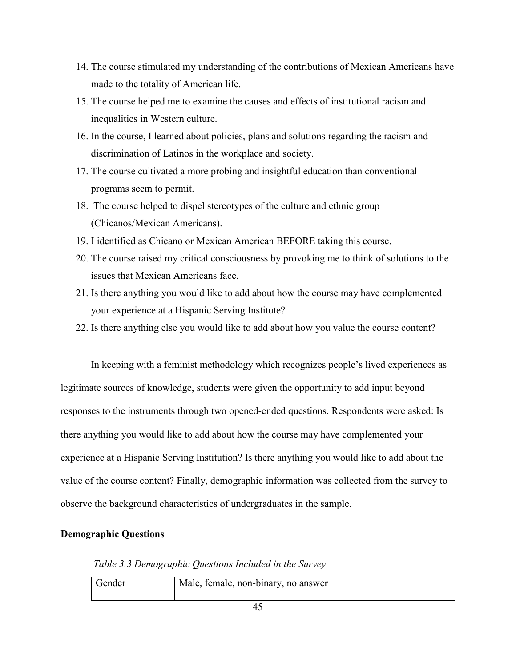- 14. The course stimulated my understanding of the contributions of Mexican Americans have made to the totality of American life.
- 15. The course helped me to examine the causes and effects of institutional racism and inequalities in Western culture.
- 16. In the course, I learned about policies, plans and solutions regarding the racism and discrimination of Latinos in the workplace and society.
- 17. The course cultivated a more probing and insightful education than conventional programs seem to permit.
- 18. The course helped to dispel stereotypes of the culture and ethnic group (Chicanos/Mexican Americans).
- 19. I identified as Chicano or Mexican American BEFORE taking this course.
- 20. The course raised my critical consciousness by provoking me to think of solutions to the issues that Mexican Americans face.
- 21. Is there anything you would like to add about how the course may have complemented your experience at a Hispanic Serving Institute?
- 22. Is there anything else you would like to add about how you value the course content?

In keeping with a feminist methodology which recognizes people's lived experiences as legitimate sources of knowledge, students were given the opportunity to add input beyond responses to the instruments through two opened-ended questions. Respondents were asked: Is there anything you would like to add about how the course may have complemented your experience at a Hispanic Serving Institution? Is there anything you would like to add about the value of the course content? Finally, demographic information was collected from the survey to observe the background characteristics of undergraduates in the sample.

### **Demographic Questions**

*Table 3.3 Demographic Questions Included in the Survey* 

| Gender | Male, female, non-binary, no answer |
|--------|-------------------------------------|
|        |                                     |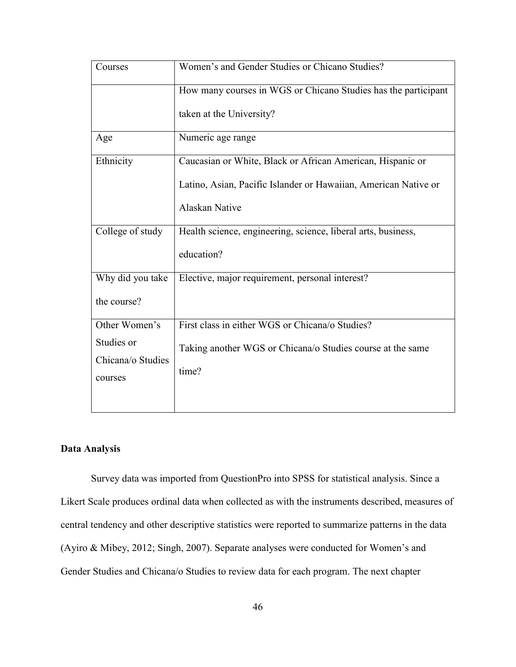| Courses                      | Women's and Gender Studies or Chicano Studies?                  |
|------------------------------|-----------------------------------------------------------------|
|                              | How many courses in WGS or Chicano Studies has the participant  |
|                              | taken at the University?                                        |
| Age                          | Numeric age range                                               |
| Ethnicity                    | Caucasian or White, Black or African American, Hispanic or      |
|                              | Latino, Asian, Pacific Islander or Hawaiian, American Native or |
|                              | <b>Alaskan Native</b>                                           |
| College of study             | Health science, engineering, science, liberal arts, business,   |
|                              | education?                                                      |
| Why did you take             | Elective, major requirement, personal interest?                 |
| the course?                  |                                                                 |
| Other Women's                | First class in either WGS or Chicana/o Studies?                 |
| Studies or                   | Taking another WGS or Chicana/o Studies course at the same      |
| Chicana/o Studies<br>courses | time?                                                           |
|                              |                                                                 |

## **Data Analysis**

Survey data was imported from QuestionPro into SPSS for statistical analysis. Since a Likert Scale produces ordinal data when collected as with the instruments described, measures of central tendency and other descriptive statistics were reported to summarize patterns in the data (Ayiro & Mibey, 2012; Singh, 2007). Separate analyses were conducted for Women's and Gender Studies and Chicana/o Studies to review data for each program. The next chapter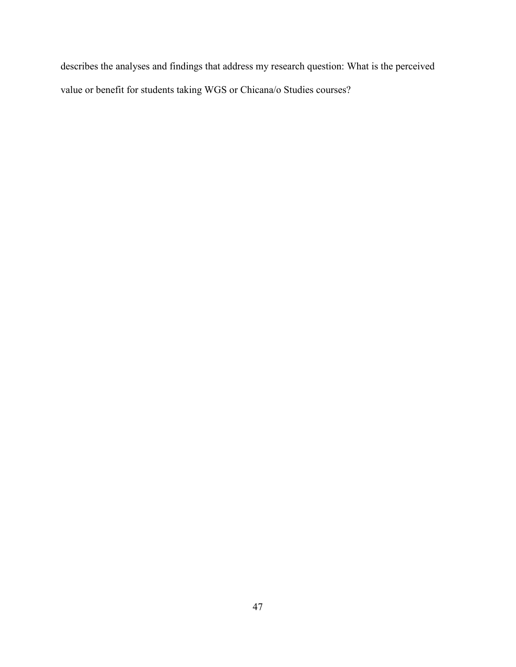describes the analyses and findings that address my research question: What is the perceived value or benefit for students taking WGS or Chicana/o Studies courses?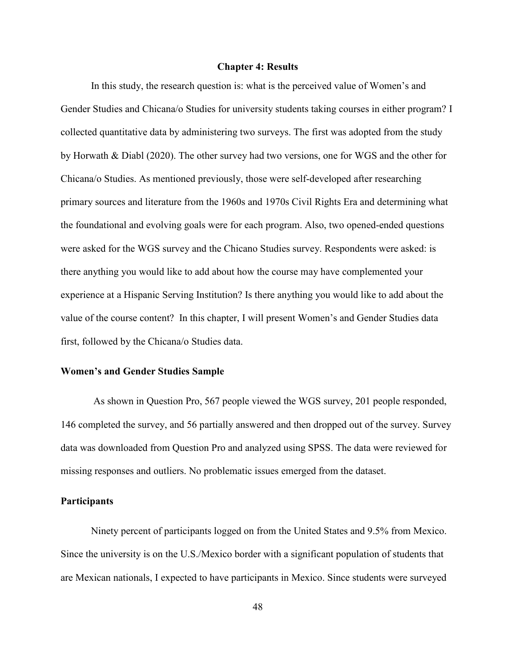### **Chapter 4: Results**

 In this study, the research question is: what is the perceived value of Women's and Gender Studies and Chicana/o Studies for university students taking courses in either program? I collected quantitative data by administering two surveys. The first was adopted from the study by Horwath & Diabl (2020). The other survey had two versions, one for WGS and the other for Chicana/o Studies. As mentioned previously, those were self-developed after researching primary sources and literature from the 1960s and 1970s Civil Rights Era and determining what the foundational and evolving goals were for each program. Also, two opened-ended questions were asked for the WGS survey and the Chicano Studies survey. Respondents were asked: is there anything you would like to add about how the course may have complemented your experience at a Hispanic Serving Institution? Is there anything you would like to add about the value of the course content? In this chapter, I will present Women's and Gender Studies data first, followed by the Chicana/o Studies data.

### **Women's and Gender Studies Sample**

 As shown in Question Pro, 567 people viewed the WGS survey, 201 people responded, 146 completed the survey, and 56 partially answered and then dropped out of the survey. Survey data was downloaded from Question Pro and analyzed using SPSS. The data were reviewed for missing responses and outliers. No problematic issues emerged from the dataset.

### **Participants**

Ninety percent of participants logged on from the United States and 9.5% from Mexico. Since the university is on the U.S./Mexico border with a significant population of students that are Mexican nationals, I expected to have participants in Mexico. Since students were surveyed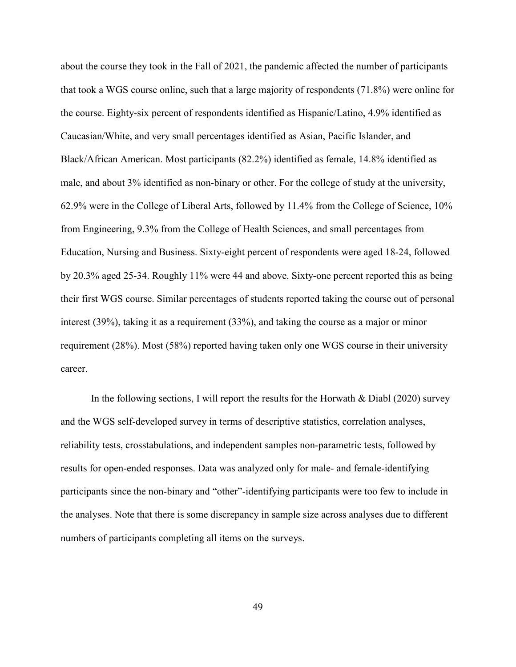about the course they took in the Fall of 2021, the pandemic affected the number of participants that took a WGS course online, such that a large majority of respondents (71.8%) were online for the course. Eighty-six percent of respondents identified as Hispanic/Latino, 4.9% identified as Caucasian/White, and very small percentages identified as Asian, Pacific Islander, and Black/African American. Most participants (82.2%) identified as female, 14.8% identified as male, and about 3% identified as non-binary or other. For the college of study at the university, 62.9% were in the College of Liberal Arts, followed by 11.4% from the College of Science, 10% from Engineering, 9.3% from the College of Health Sciences, and small percentages from Education, Nursing and Business. Sixty-eight percent of respondents were aged 18-24, followed by 20.3% aged 25-34. Roughly 11% were 44 and above. Sixty-one percent reported this as being their first WGS course. Similar percentages of students reported taking the course out of personal interest (39%), taking it as a requirement (33%), and taking the course as a major or minor requirement (28%). Most (58%) reported having taken only one WGS course in their university career.

In the following sections, I will report the results for the Horwath  $\&$  Diabl (2020) survey and the WGS self-developed survey in terms of descriptive statistics, correlation analyses, reliability tests, crosstabulations, and independent samples non-parametric tests, followed by results for open-ended responses. Data was analyzed only for male- and female-identifying participants since the non-binary and "other"-identifying participants were too few to include in the analyses. Note that there is some discrepancy in sample size across analyses due to different numbers of participants completing all items on the surveys.

49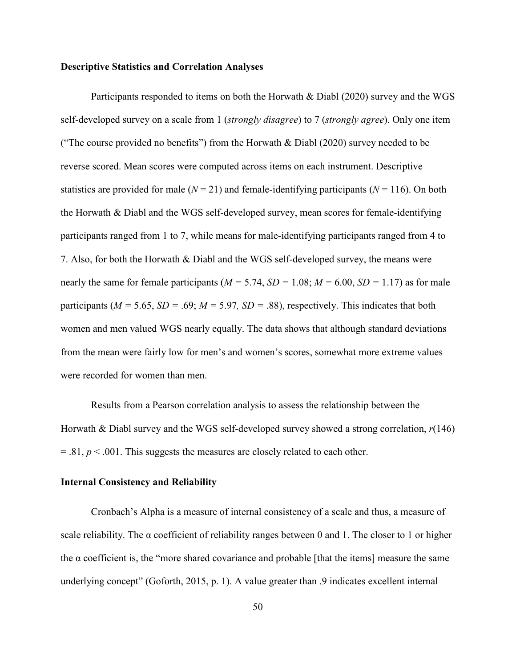### **Descriptive Statistics and Correlation Analyses**

Participants responded to items on both the Horwath & Diabl (2020) survey and the WGS self-developed survey on a scale from 1 (*strongly disagree*) to 7 (*strongly agree*). Only one item ("The course provided no benefits") from the Horwath & Diabl (2020) survey needed to be reverse scored. Mean scores were computed across items on each instrument. Descriptive statistics are provided for male  $(N = 21)$  and female-identifying participants  $(N = 116)$ . On both the Horwath & Diabl and the WGS self-developed survey, mean scores for female-identifying participants ranged from 1 to 7, while means for male-identifying participants ranged from 4 to 7. Also, for both the Horwath & Diabl and the WGS self-developed survey, the means were nearly the same for female participants ( $M = 5.74$ ,  $SD = 1.08$ ;  $M = 6.00$ ,  $SD = 1.17$ ) as for male participants ( $M = 5.65$ ,  $SD = .69$ ;  $M = 5.97$ ,  $SD = .88$ ), respectively. This indicates that both women and men valued WGS nearly equally. The data shows that although standard deviations from the mean were fairly low for men's and women's scores, somewhat more extreme values were recorded for women than men.

 Results from a Pearson correlation analysis to assess the relationship between the Horwath & Diabl survey and the WGS self-developed survey showed a strong correlation, *r*(146)  $= 0.81, p \le 0.001$ . This suggests the measures are closely related to each other.

### **Internal Consistency and Reliability**

 Cronbach's Alpha is a measure of internal consistency of a scale and thus, a measure of scale reliability. The  $\alpha$  coefficient of reliability ranges between 0 and 1. The closer to 1 or higher the  $\alpha$  coefficient is, the "more shared covariance and probable [that the items] measure the same underlying concept" (Goforth, 2015, p. 1). A value greater than .9 indicates excellent internal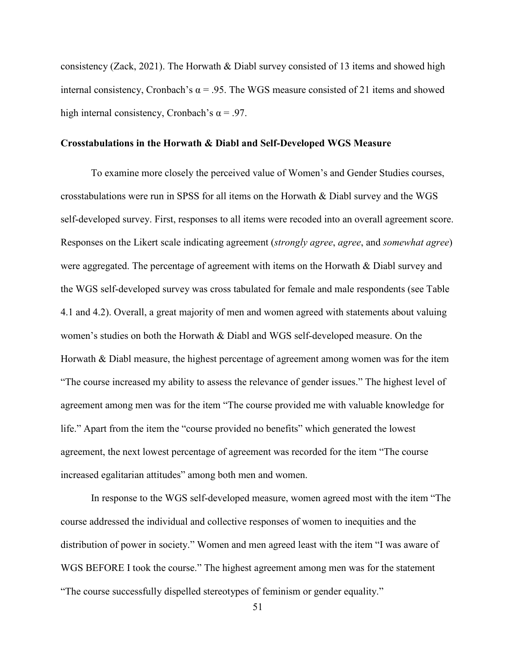consistency (Zack, 2021). The Horwath & Diabl survey consisted of 13 items and showed high internal consistency, Cronbach's  $\alpha$  = .95. The WGS measure consisted of 21 items and showed high internal consistency, Cronbach's  $\alpha$  = .97.

### **Crosstabulations in the Horwath & Diabl and Self-Developed WGS Measure**

To examine more closely the perceived value of Women's and Gender Studies courses, crosstabulations were run in SPSS for all items on the Horwath  $\&$  Diabl survey and the WGS self-developed survey. First, responses to all items were recoded into an overall agreement score. Responses on the Likert scale indicating agreement (*strongly agree*, *agree*, and *somewhat agree*) were aggregated. The percentage of agreement with items on the Horwath & Diabl survey and the WGS self-developed survey was cross tabulated for female and male respondents (see Table 4.1 and 4.2). Overall, a great majority of men and women agreed with statements about valuing women's studies on both the Horwath & Diabl and WGS self-developed measure. On the Horwath & Diabl measure, the highest percentage of agreement among women was for the item "The course increased my ability to assess the relevance of gender issues." The highest level of agreement among men was for the item "The course provided me with valuable knowledge for life." Apart from the item the "course provided no benefits" which generated the lowest agreement, the next lowest percentage of agreement was recorded for the item "The course increased egalitarian attitudes" among both men and women.

 In response to the WGS self-developed measure, women agreed most with the item "The course addressed the individual and collective responses of women to inequities and the distribution of power in society." Women and men agreed least with the item "I was aware of WGS BEFORE I took the course." The highest agreement among men was for the statement "The course successfully dispelled stereotypes of feminism or gender equality."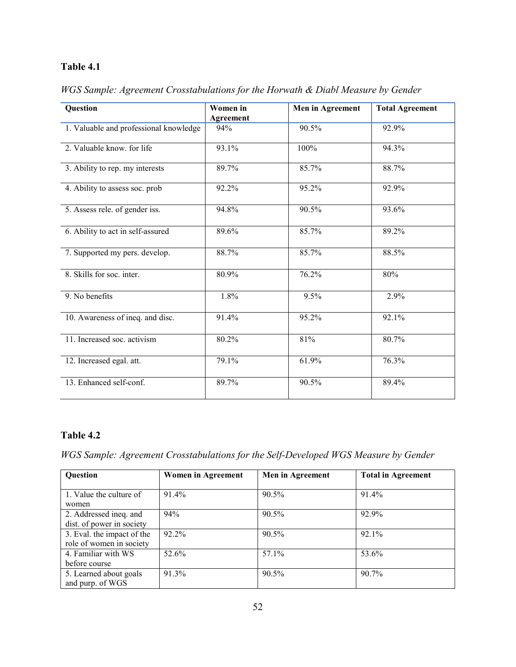# **Table 4.1**

| Question                               | Women in         | Men in Agreement | <b>Total Agreement</b> |
|----------------------------------------|------------------|------------------|------------------------|
|                                        | <b>Agreement</b> |                  |                        |
| 1. Valuable and professional knowledge | 94%              | 90.5%            | 92.9%                  |
| 2. Valuable know, for life             | 93.1%            | 100%             | 94.3%                  |
| 3. Ability to rep. my interests        | 89.7%            | 85.7%            | 88.7%                  |
| 4. Ability to assess soc. prob.        | 92.2%            | 95.2%            | 92.9%                  |
| 5. Assess rele. of gender iss.         | 94.8%            | 90.5%            | 93.6%                  |
| 6. Ability to act in self-assured      | 89.6%            | 85.7%            | 89.2%                  |
| 7. Supported my pers. develop.         | 88.7%            | 85.7%            | 88.5%                  |
| 8. Skills for soc. inter.              | 80.9%            | 76.2%            | 80%                    |
| 9. No benefits                         | 1.8%             | 9.5%             | 2.9%                   |
| 10. Awareness of ineq. and disc.       | 91.4%            | 95.2%            | 92.1%                  |
| 11. Increased soc. activism            | 80.2%            | 81%              | 80.7%                  |
| 12. Increased egal. att.               | 79.1%            | 61.9%            | 76.3%                  |
| 13. Enhanced self-conf.                | 89.7%            | 90.5%            | 89.4%                  |

*WGS Sample: Agreement Crosstabulations for the Horwath & Diabl Measure by Gender* 

# **Table 4.2**

*WGS Sample: Agreement Crosstabulations for the Self-Developed WGS Measure by Gender* 

| <b>Question</b>                                        | <b>Women in Agreement</b> | Men in Agreement | <b>Total in Agreement</b> |
|--------------------------------------------------------|---------------------------|------------------|---------------------------|
| 1. Value the culture of<br>women                       | 91.4%                     | 90.5%            | 91.4%                     |
| 2. Addressed ineq. and<br>dist. of power in society    | 94%                       | 90.5%            | 92.9%                     |
| 3. Eval. the impact of the<br>role of women in society | $92.2\%$                  | 90.5%            | $92.1\%$                  |
| 4. Familiar with WS<br>before course                   | 52.6%                     | 57.1%            | 53.6%                     |
| 5. Learned about goals<br>and purp. of WGS             | 91.3%                     | 90.5%            | $90.7\%$                  |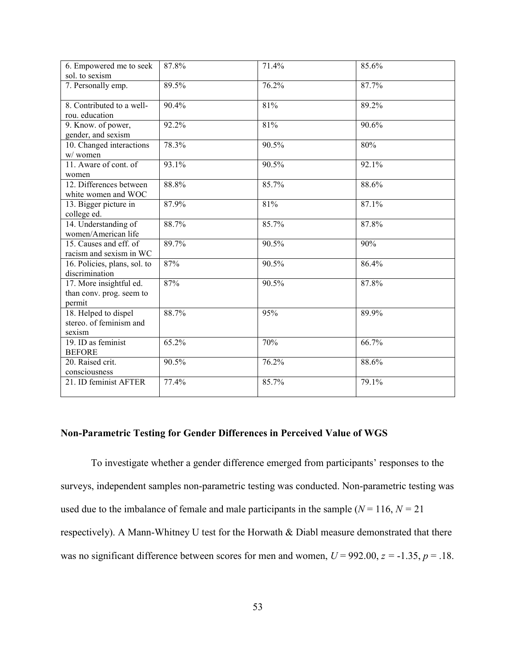| 6. Empowered me to seek<br>sol. to sexism                     | 87.8% | 71.4% | 85.6%    |
|---------------------------------------------------------------|-------|-------|----------|
| 7. Personally emp.                                            | 89.5% | 76.2% | 87.7%    |
| 8. Contributed to a well-<br>rou. education                   | 90.4% | 81%   | 89.2%    |
| 9. Know. of power,<br>gender, and sexism                      | 92.2% | 81%   | 90.6%    |
| 10. Changed interactions<br>w/women                           | 78.3% | 90.5% | 80%      |
| 11. Aware of cont. of<br>women                                | 93.1% | 90.5% | 92.1%    |
| 12. Differences between<br>white women and WOC                | 88.8% | 85.7% | 88.6%    |
| 13. Bigger picture in<br>college ed.                          | 87.9% | 81%   | 87.1%    |
| 14. Understanding of<br>women/American life                   | 88.7% | 85.7% | $87.8\%$ |
| 15. Causes and eff. of<br>racism and sexism in WC             | 89.7% | 90.5% | 90%      |
| 16. Policies, plans, sol. to<br>discrimination                | 87%   | 90.5% | 86.4%    |
| 17. More insightful ed.<br>than conv. prog. seem to<br>permit | 87%   | 90.5% | 87.8%    |
| 18. Helped to dispel<br>stereo. of feminism and<br>sexism     | 88.7% | 95%   | 89.9%    |
| 19. ID as feminist<br><b>BEFORE</b>                           | 65.2% | 70%   | 66.7%    |
| 20. Raised crit.<br>consciousness                             | 90.5% | 76.2% | 88.6%    |
| 21. ID feminist AFTER                                         | 77.4% | 85.7% | 79.1%    |

### **Non-Parametric Testing for Gender Differences in Perceived Value of WGS**

To investigate whether a gender difference emerged from participants' responses to the surveys, independent samples non-parametric testing was conducted. Non-parametric testing was used due to the imbalance of female and male participants in the sample  $(N = 116, N = 21)$ respectively). A Mann-Whitney U test for the Horwath & Diabl measure demonstrated that there was no significant difference between scores for men and women,  $U = 992.00$ ,  $z = -1.35$ ,  $p = .18$ .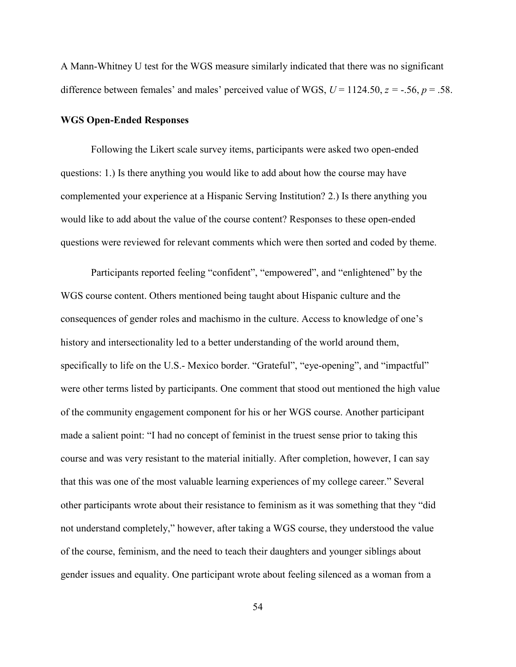A Mann-Whitney U test for the WGS measure similarly indicated that there was no significant difference between females' and males' perceived value of WGS,  $U = 1124.50$ ,  $z = -.56$ ,  $p = .58$ .

### **WGS Open-Ended Responses**

 Following the Likert scale survey items, participants were asked two open-ended questions: 1.) Is there anything you would like to add about how the course may have complemented your experience at a Hispanic Serving Institution? 2.) Is there anything you would like to add about the value of the course content? Responses to these open-ended questions were reviewed for relevant comments which were then sorted and coded by theme.

 Participants reported feeling "confident", "empowered", and "enlightened" by the WGS course content. Others mentioned being taught about Hispanic culture and the consequences of gender roles and machismo in the culture. Access to knowledge of one's history and intersectionality led to a better understanding of the world around them, specifically to life on the U.S.- Mexico border. "Grateful", "eye-opening", and "impactful" were other terms listed by participants. One comment that stood out mentioned the high value of the community engagement component for his or her WGS course. Another participant made a salient point: "I had no concept of feminist in the truest sense prior to taking this course and was very resistant to the material initially. After completion, however, I can say that this was one of the most valuable learning experiences of my college career." Several other participants wrote about their resistance to feminism as it was something that they "did not understand completely," however, after taking a WGS course, they understood the value of the course, feminism, and the need to teach their daughters and younger siblings about gender issues and equality. One participant wrote about feeling silenced as a woman from a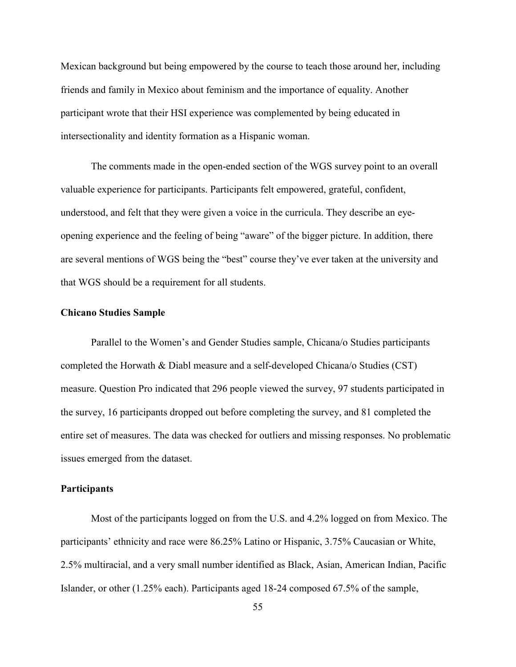Mexican background but being empowered by the course to teach those around her, including friends and family in Mexico about feminism and the importance of equality. Another participant wrote that their HSI experience was complemented by being educated in intersectionality and identity formation as a Hispanic woman.

 The comments made in the open-ended section of the WGS survey point to an overall valuable experience for participants. Participants felt empowered, grateful, confident, understood, and felt that they were given a voice in the curricula. They describe an eyeopening experience and the feeling of being "aware" of the bigger picture. In addition, there are several mentions of WGS being the "best" course they've ever taken at the university and that WGS should be a requirement for all students.

### **Chicano Studies Sample**

Parallel to the Women's and Gender Studies sample, Chicana/o Studies participants completed the Horwath & Diabl measure and a self-developed Chicana/o Studies (CST) measure. Question Pro indicated that 296 people viewed the survey, 97 students participated in the survey, 16 participants dropped out before completing the survey, and 81 completed the entire set of measures. The data was checked for outliers and missing responses. No problematic issues emerged from the dataset.

### **Participants**

Most of the participants logged on from the U.S. and 4.2% logged on from Mexico. The participants' ethnicity and race were 86.25% Latino or Hispanic, 3.75% Caucasian or White, 2.5% multiracial, and a very small number identified as Black, Asian, American Indian, Pacific Islander, or other (1.25% each). Participants aged 18-24 composed 67.5% of the sample,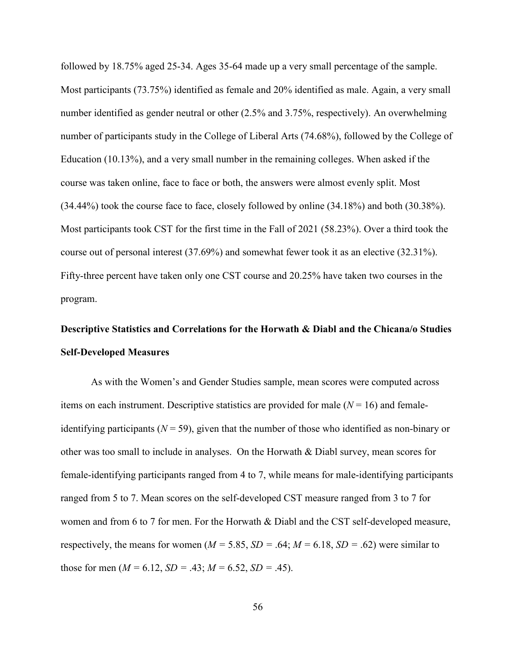followed by 18.75% aged 25-34. Ages 35-64 made up a very small percentage of the sample. Most participants (73.75%) identified as female and 20% identified as male. Again, a very small number identified as gender neutral or other (2.5% and 3.75%, respectively). An overwhelming number of participants study in the College of Liberal Arts (74.68%), followed by the College of Education (10.13%), and a very small number in the remaining colleges. When asked if the course was taken online, face to face or both, the answers were almost evenly split. Most (34.44%) took the course face to face, closely followed by online (34.18%) and both (30.38%). Most participants took CST for the first time in the Fall of 2021 (58.23%). Over a third took the course out of personal interest (37.69%) and somewhat fewer took it as an elective (32.31%). Fifty-three percent have taken only one CST course and 20.25% have taken two courses in the program.

# **Descriptive Statistics and Correlations for the Horwath & Diabl and the Chicana/o Studies Self-Developed Measures**

As with the Women's and Gender Studies sample, mean scores were computed across items on each instrument. Descriptive statistics are provided for male  $(N = 16)$  and femaleidentifying participants ( $N = 59$ ), given that the number of those who identified as non-binary or other was too small to include in analyses. On the Horwath & Diabl survey, mean scores for female-identifying participants ranged from 4 to 7, while means for male-identifying participants ranged from 5 to 7. Mean scores on the self-developed CST measure ranged from 3 to 7 for women and from 6 to 7 for men. For the Horwath & Diabl and the CST self-developed measure, respectively, the means for women  $(M = 5.85, SD = .64; M = 6.18, SD = .62)$  were similar to those for men  $(M = 6.12, SD = .43; M = 6.52, SD = .45)$ .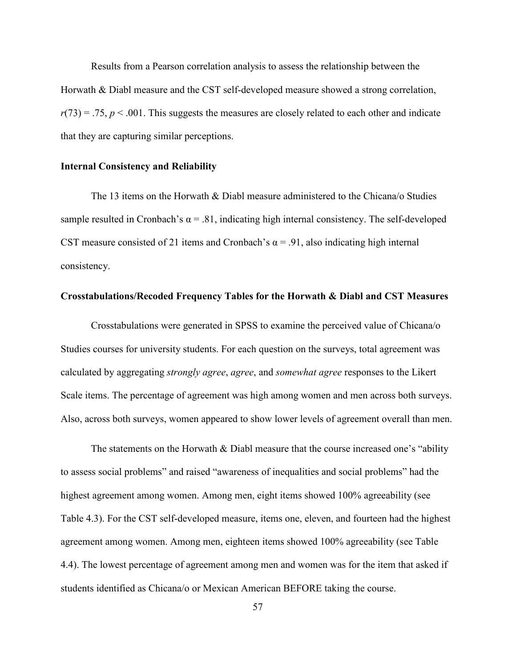Results from a Pearson correlation analysis to assess the relationship between the Horwath & Diabl measure and the CST self-developed measure showed a strong correlation,  $r(73) = .75$ ,  $p < .001$ . This suggests the measures are closely related to each other and indicate that they are capturing similar perceptions.

### **Internal Consistency and Reliability**

 The 13 items on the Horwath & Diabl measure administered to the Chicana/o Studies sample resulted in Cronbach's  $\alpha$  = .81, indicating high internal consistency. The self-developed CST measure consisted of 21 items and Cronbach's  $\alpha$  = .91, also indicating high internal consistency.

### **Crosstabulations/Recoded Frequency Tables for the Horwath & Diabl and CST Measures**

 Crosstabulations were generated in SPSS to examine the perceived value of Chicana/o Studies courses for university students. For each question on the surveys, total agreement was calculated by aggregating *strongly agree*, *agree*, and *somewhat agree* responses to the Likert Scale items. The percentage of agreement was high among women and men across both surveys. Also, across both surveys, women appeared to show lower levels of agreement overall than men.

The statements on the Horwath & Diabl measure that the course increased one's "ability" to assess social problems" and raised "awareness of inequalities and social problems" had the highest agreement among women. Among men, eight items showed 100% agreeability (see Table 4.3). For the CST self-developed measure, items one, eleven, and fourteen had the highest agreement among women. Among men, eighteen items showed 100% agreeability (see Table 4.4). The lowest percentage of agreement among men and women was for the item that asked if students identified as Chicana/o or Mexican American BEFORE taking the course.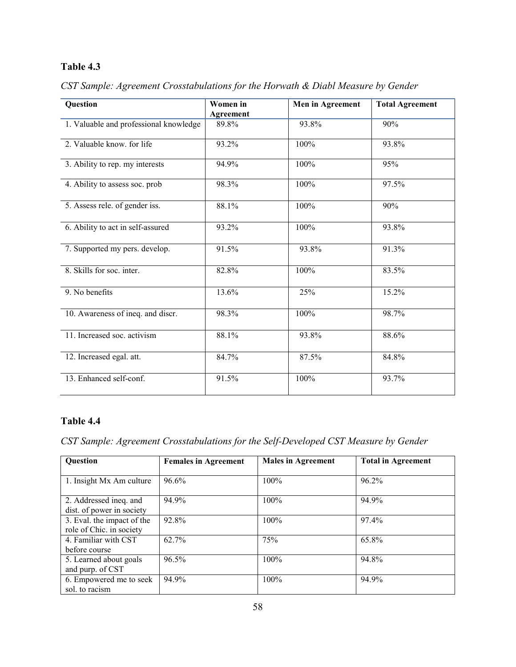# **Table 4.3**

| Question                               | Women in<br>Agreement | Men in Agreement | <b>Total Agreement</b> |
|----------------------------------------|-----------------------|------------------|------------------------|
| 1. Valuable and professional knowledge | 89.8%                 | 93.8%            | 90%                    |
| 2. Valuable know. for life             | 93.2%                 | 100%             | 93.8%                  |
| 3. Ability to rep. my interests        | 94.9%                 | 100%             | 95%                    |
| 4. Ability to assess soc. prob         | 98.3%                 | 100%             | 97.5%                  |
| 5. Assess rele. of gender iss.         | 88.1%                 | 100%             | 90%                    |
| 6. Ability to act in self-assured      | 93.2%                 | 100%             | 93.8%                  |
| 7. Supported my pers. develop.         | 91.5%                 | 93.8%            | 91.3%                  |
| 8. Skills for soc. inter.              | 82.8%                 | 100%             | 83.5%                  |
| 9. No benefits                         | 13.6%                 | 25%              | 15.2%                  |
| 10. Awareness of ineq. and discr.      | 98.3%                 | 100%             | 98.7%                  |
| 11. Increased soc. activism            | 88.1%                 | 93.8%            | 88.6%                  |
| 12. Increased egal. att.               | 84.7%                 | 87.5%            | 84.8%                  |
| 13. Enhanced self-conf.                | 91.5%                 | 100%             | 93.7%                  |

*CST Sample: Agreement Crosstabulations for the Horwath & Diabl Measure by Gender* 

# **Table 4.4**

*CST Sample: Agreement Crosstabulations for the Self-Developed CST Measure by Gender* 

| <b>Question</b>                                        | <b>Females in Agreement</b> | <b>Males in Agreement</b> | <b>Total in Agreement</b> |
|--------------------------------------------------------|-----------------------------|---------------------------|---------------------------|
| 1. Insight Mx Am culture                               | 96.6%                       | 100%                      | 96.2%                     |
| 2. Addressed ineq. and<br>dist. of power in society    | 94.9%                       | 100%                      | 94.9%                     |
| 3. Eval. the impact of the<br>role of Chic. in society | 92.8%                       | 100%                      | 97.4%                     |
| 4. Familiar with CST<br>before course                  | $62.7\%$                    | 75%                       | 65.8%                     |
| 5. Learned about goals<br>and purp. of CST             | 96.5%                       | 100%                      | 94.8%                     |
| 6. Empowered me to seek<br>sol. to racism              | 94.9%                       | 100%                      | 94.9%                     |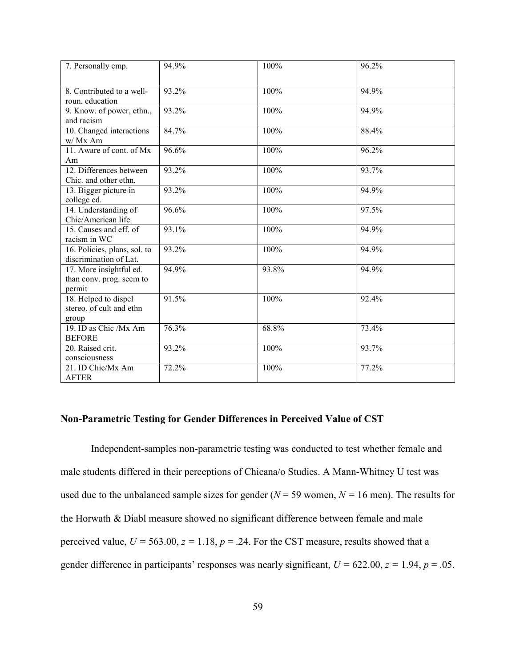| 7. Personally emp.                                     | 94.9% | 100%  | 96.2% |
|--------------------------------------------------------|-------|-------|-------|
| 8. Contributed to a well-                              | 93.2% | 100%  | 94.9% |
| roun. education                                        |       |       |       |
| 9. Know. of power, ethn.,                              | 93.2% | 100%  | 94.9% |
| and racism                                             |       |       |       |
| 10. Changed interactions                               | 84.7% | 100%  | 88.4% |
| w/ Mx Am                                               |       |       |       |
| 11. Aware of cont. of Mx                               | 96.6% | 100%  | 96.2% |
| Am                                                     |       |       |       |
| 12. Differences between                                | 93.2% | 100%  | 93.7% |
| Chic. and other ethn.                                  |       |       |       |
| 13. Bigger picture in                                  | 93.2% | 100%  | 94.9% |
| college ed.                                            |       |       |       |
| 14. Understanding of                                   | 96.6% | 100%  | 97.5% |
| Chic/American life                                     |       |       |       |
| 15. Causes and eff. of                                 | 93.1% | 100%  | 94.9% |
| racism in WC                                           | 93.2% | 100%  | 94.9% |
| 16. Policies, plans, sol. to<br>discrimination of Lat. |       |       |       |
| 17. More insightful ed.                                | 94.9% | 93.8% | 94.9% |
| than conv. prog. seem to                               |       |       |       |
| permit                                                 |       |       |       |
| 18. Helped to dispel                                   | 91.5% | 100%  | 92.4% |
| stereo. of cult and ethn                               |       |       |       |
| group                                                  |       |       |       |
| 19. ID as Chic /Mx Am                                  | 76.3% | 68.8% | 73.4% |
| <b>BEFORE</b>                                          |       |       |       |
| 20. Raised crit.                                       | 93.2% | 100%  | 93.7% |
| consciousness                                          |       |       |       |
| 21. ID Chic/Mx Am                                      | 72.2% | 100%  | 77.2% |
| <b>AFTER</b>                                           |       |       |       |

### **Non-Parametric Testing for Gender Differences in Perceived Value of CST**

 Independent-samples non-parametric testing was conducted to test whether female and male students differed in their perceptions of Chicana/o Studies. A Mann-Whitney U test was used due to the unbalanced sample sizes for gender ( $N = 59$  women,  $N = 16$  men). The results for the Horwath & Diabl measure showed no significant difference between female and male perceived value,  $U = 563.00$ ,  $z = 1.18$ ,  $p = .24$ . For the CST measure, results showed that a gender difference in participants' responses was nearly significant,  $U = 622.00$ ,  $z = 1.94$ ,  $p = .05$ .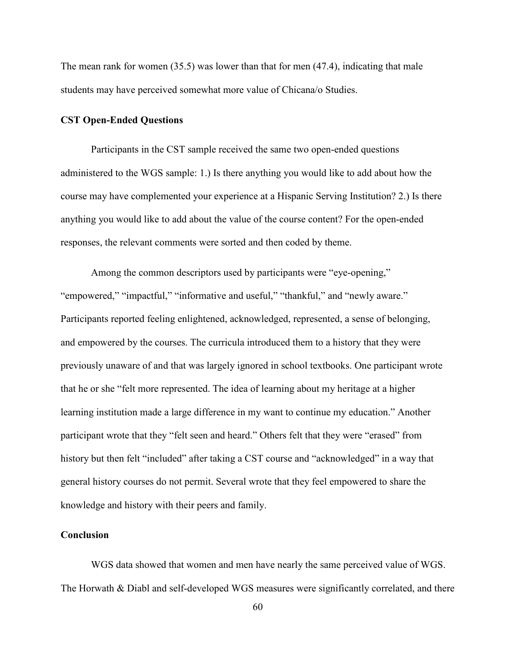The mean rank for women (35.5) was lower than that for men (47.4), indicating that male students may have perceived somewhat more value of Chicana/o Studies.

### **CST Open-Ended Questions**

 Participants in the CST sample received the same two open-ended questions administered to the WGS sample: 1.) Is there anything you would like to add about how the course may have complemented your experience at a Hispanic Serving Institution? 2.) Is there anything you would like to add about the value of the course content? For the open-ended responses, the relevant comments were sorted and then coded by theme.

 Among the common descriptors used by participants were "eye-opening," "empowered," "impactful," "informative and useful," "thankful," and "newly aware." Participants reported feeling enlightened, acknowledged, represented, a sense of belonging, and empowered by the courses. The curricula introduced them to a history that they were previously unaware of and that was largely ignored in school textbooks. One participant wrote that he or she "felt more represented. The idea of learning about my heritage at a higher learning institution made a large difference in my want to continue my education." Another participant wrote that they "felt seen and heard." Others felt that they were "erased" from history but then felt "included" after taking a CST course and "acknowledged" in a way that general history courses do not permit. Several wrote that they feel empowered to share the knowledge and history with their peers and family.

### **Conclusion**

 WGS data showed that women and men have nearly the same perceived value of WGS. The Horwath & Diabl and self-developed WGS measures were significantly correlated, and there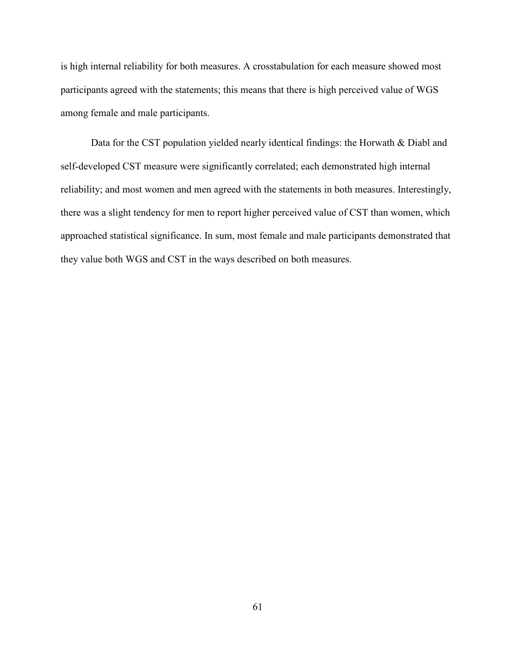is high internal reliability for both measures. A crosstabulation for each measure showed most participants agreed with the statements; this means that there is high perceived value of WGS among female and male participants.

 Data for the CST population yielded nearly identical findings: the Horwath & Diabl and self-developed CST measure were significantly correlated; each demonstrated high internal reliability; and most women and men agreed with the statements in both measures. Interestingly, there was a slight tendency for men to report higher perceived value of CST than women, which approached statistical significance. In sum, most female and male participants demonstrated that they value both WGS and CST in the ways described on both measures.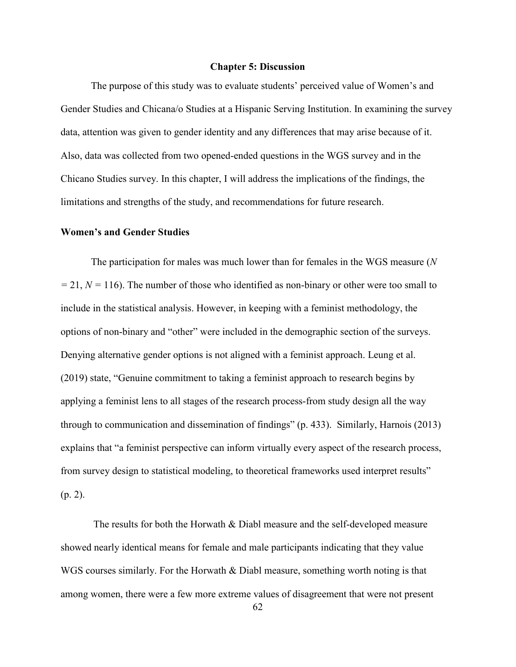### **Chapter 5: Discussion**

 The purpose of this study was to evaluate students' perceived value of Women's and Gender Studies and Chicana/o Studies at a Hispanic Serving Institution. In examining the survey data, attention was given to gender identity and any differences that may arise because of it. Also, data was collected from two opened-ended questions in the WGS survey and in the Chicano Studies survey. In this chapter, I will address the implications of the findings, the limitations and strengths of the study, and recommendations for future research.

### **Women's and Gender Studies**

 The participation for males was much lower than for females in the WGS measure (*N =* 21, *N =* 116). The number of those who identified as non-binary or other were too small to include in the statistical analysis. However, in keeping with a feminist methodology, the options of non-binary and "other" were included in the demographic section of the surveys. Denying alternative gender options is not aligned with a feminist approach. Leung et al. (2019) state, "Genuine commitment to taking a feminist approach to research begins by applying a feminist lens to all stages of the research process-from study design all the way through to communication and dissemination of findings" (p. 433). Similarly, Harnois (2013) explains that "a feminist perspective can inform virtually every aspect of the research process, from survey design to statistical modeling, to theoretical frameworks used interpret results" (p. 2).

 The results for both the Horwath & Diabl measure and the self-developed measure showed nearly identical means for female and male participants indicating that they value WGS courses similarly. For the Horwath & Diabl measure, something worth noting is that among women, there were a few more extreme values of disagreement that were not present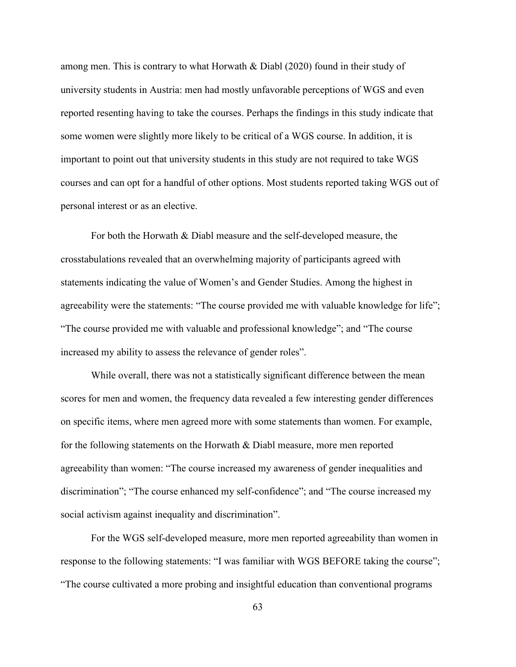among men. This is contrary to what Horwath & Diabl (2020) found in their study of university students in Austria: men had mostly unfavorable perceptions of WGS and even reported resenting having to take the courses. Perhaps the findings in this study indicate that some women were slightly more likely to be critical of a WGS course. In addition, it is important to point out that university students in this study are not required to take WGS courses and can opt for a handful of other options. Most students reported taking WGS out of personal interest or as an elective.

 For both the Horwath & Diabl measure and the self-developed measure, the crosstabulations revealed that an overwhelming majority of participants agreed with statements indicating the value of Women's and Gender Studies. Among the highest in agreeability were the statements: "The course provided me with valuable knowledge for life"; "The course provided me with valuable and professional knowledge"; and "The course increased my ability to assess the relevance of gender roles".

 While overall, there was not a statistically significant difference between the mean scores for men and women, the frequency data revealed a few interesting gender differences on specific items, where men agreed more with some statements than women. For example, for the following statements on the Horwath & Diabl measure, more men reported agreeability than women: "The course increased my awareness of gender inequalities and discrimination"; "The course enhanced my self-confidence"; and "The course increased my social activism against inequality and discrimination".

 For the WGS self-developed measure, more men reported agreeability than women in response to the following statements: "I was familiar with WGS BEFORE taking the course"; "The course cultivated a more probing and insightful education than conventional programs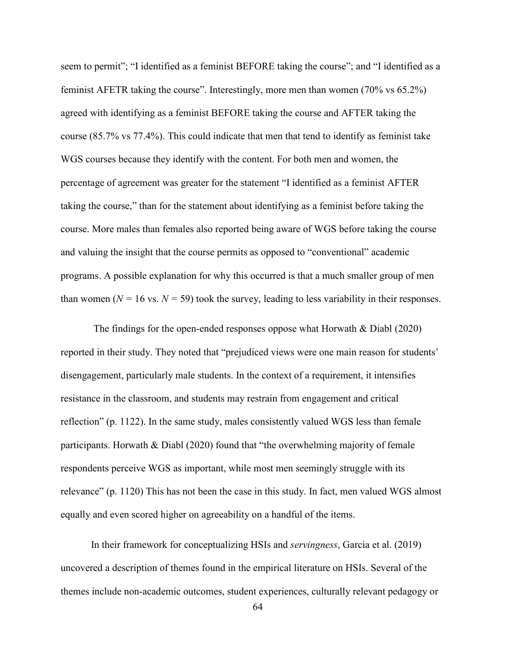seem to permit"; "I identified as a feminist BEFORE taking the course"; and "I identified as a feminist AFETR taking the course". Interestingly, more men than women (70% vs 65.2%) agreed with identifying as a feminist BEFORE taking the course and AFTER taking the course (85.7% vs 77.4%). This could indicate that men that tend to identify as feminist take WGS courses because they identify with the content. For both men and women, the percentage of agreement was greater for the statement "I identified as a feminist AFTER taking the course," than for the statement about identifying as a feminist before taking the course. More males than females also reported being aware of WGS before taking the course and valuing the insight that the course permits as opposed to "conventional" academic programs. A possible explanation for why this occurred is that a much smaller group of men than women ( $N = 16$  vs.  $N = 59$ ) took the survey, leading to less variability in their responses.

The findings for the open-ended responses oppose what Horwath  $& Diabl (2020)$ reported in their study. They noted that "prejudiced views were one main reason for students' disengagement, particularly male students. In the context of a requirement, it intensifies resistance in the classroom, and students may restrain from engagement and critical reflection" (p. 1122). In the same study, males consistently valued WGS less than female participants. Horwath  $\&$  Diabl (2020) found that "the overwhelming majority of female respondents perceive WGS as important, while most men seemingly struggle with its relevance" (p. 1120) This has not been the case in this study. In fact, men valued WGS almost equally and even scored higher on agreeability on a handful of the items.

 In their framework for conceptualizing HSIs and *servingness*, Garcia et al. (2019) uncovered a description of themes found in the empirical literature on HSIs. Several of the themes include non-academic outcomes, student experiences, culturally relevant pedagogy or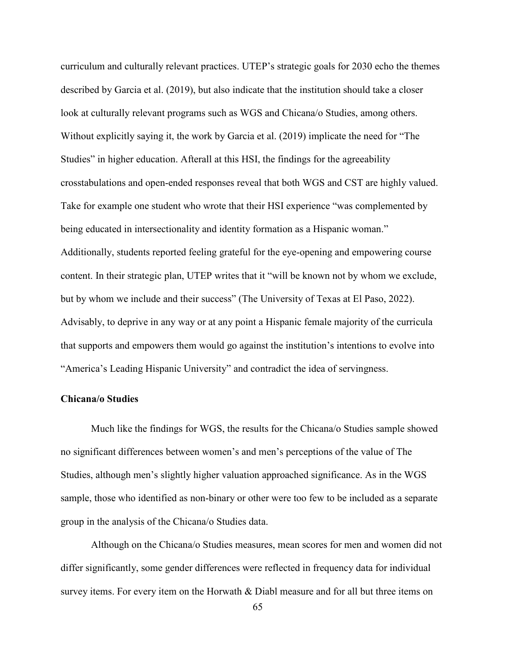curriculum and culturally relevant practices. UTEP's strategic goals for 2030 echo the themes described by Garcia et al. (2019), but also indicate that the institution should take a closer look at culturally relevant programs such as WGS and Chicana/o Studies, among others. Without explicitly saying it, the work by Garcia et al. (2019) implicate the need for "The Studies" in higher education. Afterall at this HSI, the findings for the agreeability crosstabulations and open-ended responses reveal that both WGS and CST are highly valued. Take for example one student who wrote that their HSI experience "was complemented by being educated in intersectionality and identity formation as a Hispanic woman." Additionally, students reported feeling grateful for the eye-opening and empowering course content. In their strategic plan, UTEP writes that it "will be known not by whom we exclude, but by whom we include and their success" (The University of Texas at El Paso, 2022). Advisably, to deprive in any way or at any point a Hispanic female majority of the curricula that supports and empowers them would go against the institution's intentions to evolve into "America's Leading Hispanic University" and contradict the idea of servingness.

# **Chicana/o Studies**

 Much like the findings for WGS, the results for the Chicana/o Studies sample showed no significant differences between women's and men's perceptions of the value of The Studies, although men's slightly higher valuation approached significance. As in the WGS sample, those who identified as non-binary or other were too few to be included as a separate group in the analysis of the Chicana/o Studies data.

 Although on the Chicana/o Studies measures, mean scores for men and women did not differ significantly, some gender differences were reflected in frequency data for individual survey items. For every item on the Horwath & Diabl measure and for all but three items on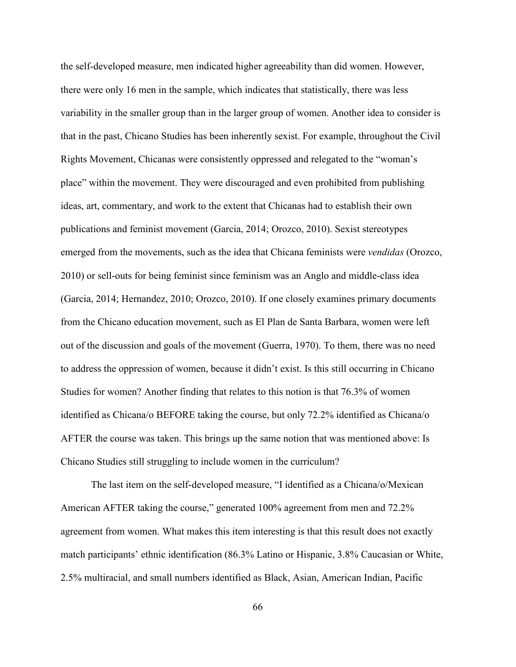the self-developed measure, men indicated higher agreeability than did women. However, there were only 16 men in the sample, which indicates that statistically, there was less variability in the smaller group than in the larger group of women. Another idea to consider is that in the past, Chicano Studies has been inherently sexist. For example, throughout the Civil Rights Movement, Chicanas were consistently oppressed and relegated to the "woman's place" within the movement. They were discouraged and even prohibited from publishing ideas, art, commentary, and work to the extent that Chicanas had to establish their own publications and feminist movement (Garcia, 2014; Orozco, 2010). Sexist stereotypes emerged from the movements, such as the idea that Chicana feminists were *vendidas* (Orozco, 2010) or sell-outs for being feminist since feminism was an Anglo and middle-class idea (Garcia, 2014; Hernandez, 2010; Orozco, 2010). If one closely examines primary documents from the Chicano education movement, such as El Plan de Santa Barbara, women were left out of the discussion and goals of the movement (Guerra, 1970). To them, there was no need to address the oppression of women, because it didn't exist. Is this still occurring in Chicano Studies for women? Another finding that relates to this notion is that 76.3% of women identified as Chicana/o BEFORE taking the course, but only 72.2% identified as Chicana/o AFTER the course was taken. This brings up the same notion that was mentioned above: Is Chicano Studies still struggling to include women in the curriculum?

 The last item on the self-developed measure, "I identified as a Chicana/o/Mexican American AFTER taking the course," generated 100% agreement from men and 72.2% agreement from women. What makes this item interesting is that this result does not exactly match participants' ethnic identification (86.3% Latino or Hispanic, 3.8% Caucasian or White, 2.5% multiracial, and small numbers identified as Black, Asian, American Indian, Pacific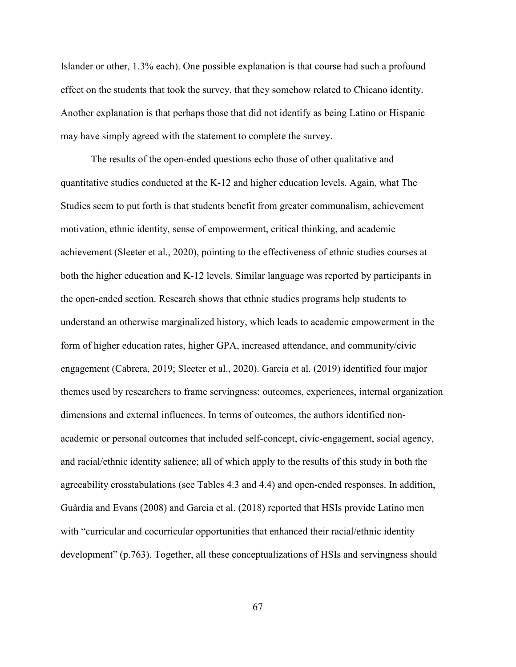Islander or other, 1.3% each). One possible explanation is that course had such a profound effect on the students that took the survey, that they somehow related to Chicano identity. Another explanation is that perhaps those that did not identify as being Latino or Hispanic may have simply agreed with the statement to complete the survey.

 The results of the open-ended questions echo those of other qualitative and quantitative studies conducted at the K-12 and higher education levels. Again, what The Studies seem to put forth is that students benefit from greater communalism, achievement motivation, ethnic identity, sense of empowerment, critical thinking, and academic achievement (Sleeter et al., 2020), pointing to the effectiveness of ethnic studies courses at both the higher education and K-12 levels. Similar language was reported by participants in the open-ended section. Research shows that ethnic studies programs help students to understand an otherwise marginalized history, which leads to academic empowerment in the form of higher education rates, higher GPA, increased attendance, and community/civic engagement (Cabrera, 2019; Sleeter et al., 2020). Garcia et al. (2019) identified four major themes used by researchers to frame servingness: outcomes, experiences, internal organization dimensions and external influences. In terms of outcomes, the authors identified nonacademic or personal outcomes that included self-concept, civic-engagement, social agency, and racial/ethnic identity salience; all of which apply to the results of this study in both the agreeability crosstabulations (see Tables 4.3 and 4.4) and open-ended responses. In addition, Guàrdia and Evans (2008) and Garcia et al. (2018) reported that HSIs provide Latino men with "curricular and cocurricular opportunities that enhanced their racial/ethnic identity development" (p.763). Together, all these conceptualizations of HSIs and servingness should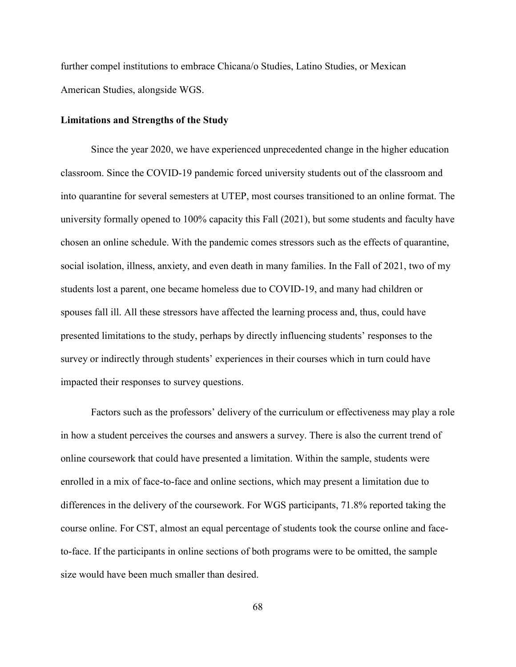further compel institutions to embrace Chicana/o Studies, Latino Studies, or Mexican American Studies, alongside WGS.

#### **Limitations and Strengths of the Study**

 Since the year 2020, we have experienced unprecedented change in the higher education classroom. Since the COVID-19 pandemic forced university students out of the classroom and into quarantine for several semesters at UTEP, most courses transitioned to an online format. The university formally opened to 100% capacity this Fall (2021), but some students and faculty have chosen an online schedule. With the pandemic comes stressors such as the effects of quarantine, social isolation, illness, anxiety, and even death in many families. In the Fall of 2021, two of my students lost a parent, one became homeless due to COVID-19, and many had children or spouses fall ill. All these stressors have affected the learning process and, thus, could have presented limitations to the study, perhaps by directly influencing students' responses to the survey or indirectly through students' experiences in their courses which in turn could have impacted their responses to survey questions.

 Factors such as the professors' delivery of the curriculum or effectiveness may play a role in how a student perceives the courses and answers a survey. There is also the current trend of online coursework that could have presented a limitation. Within the sample, students were enrolled in a mix of face-to-face and online sections, which may present a limitation due to differences in the delivery of the coursework. For WGS participants, 71.8% reported taking the course online. For CST, almost an equal percentage of students took the course online and faceto-face. If the participants in online sections of both programs were to be omitted, the sample size would have been much smaller than desired.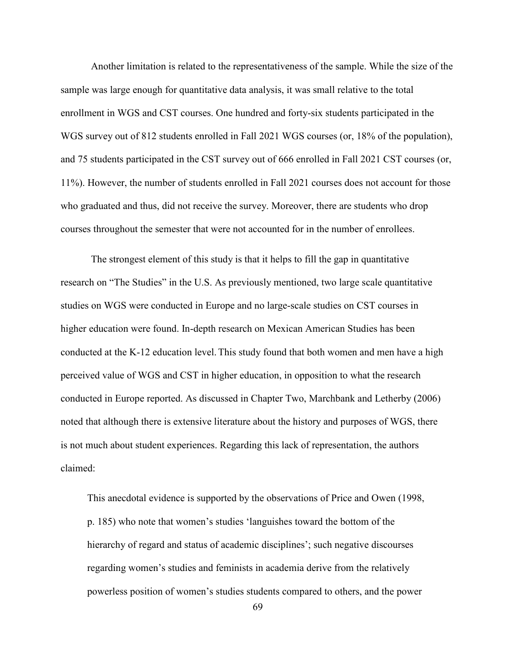Another limitation is related to the representativeness of the sample. While the size of the sample was large enough for quantitative data analysis, it was small relative to the total enrollment in WGS and CST courses. One hundred and forty-six students participated in the WGS survey out of 812 students enrolled in Fall 2021 WGS courses (or, 18% of the population), and 75 students participated in the CST survey out of 666 enrolled in Fall 2021 CST courses (or, 11%). However, the number of students enrolled in Fall 2021 courses does not account for those who graduated and thus, did not receive the survey. Moreover, there are students who drop courses throughout the semester that were not accounted for in the number of enrollees.

 The strongest element of this study is that it helps to fill the gap in quantitative research on "The Studies" in the U.S. As previously mentioned, two large scale quantitative studies on WGS were conducted in Europe and no large-scale studies on CST courses in higher education were found. In-depth research on Mexican American Studies has been conducted at the K-12 education level.This study found that both women and men have a high perceived value of WGS and CST in higher education, in opposition to what the research conducted in Europe reported. As discussed in Chapter Two, Marchbank and Letherby (2006) noted that although there is extensive literature about the history and purposes of WGS, there is not much about student experiences. Regarding this lack of representation, the authors claimed:

This anecdotal evidence is supported by the observations of Price and Owen (1998, p. 185) who note that women's studies 'languishes toward the bottom of the hierarchy of regard and status of academic disciplines'; such negative discourses regarding women's studies and feminists in academia derive from the relatively powerless position of women's studies students compared to others, and the power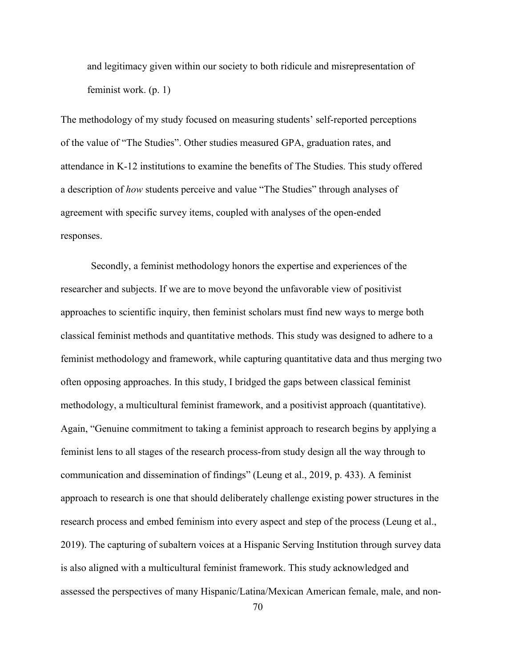and legitimacy given within our society to both ridicule and misrepresentation of feminist work. (p. 1)

The methodology of my study focused on measuring students' self-reported perceptions of the value of "The Studies". Other studies measured GPA, graduation rates, and attendance in K-12 institutions to examine the benefits of The Studies. This study offered a description of *how* students perceive and value "The Studies" through analyses of agreement with specific survey items, coupled with analyses of the open-ended responses.

 Secondly, a feminist methodology honors the expertise and experiences of the researcher and subjects. If we are to move beyond the unfavorable view of positivist approaches to scientific inquiry, then feminist scholars must find new ways to merge both classical feminist methods and quantitative methods. This study was designed to adhere to a feminist methodology and framework, while capturing quantitative data and thus merging two often opposing approaches. In this study, I bridged the gaps between classical feminist methodology, a multicultural feminist framework, and a positivist approach (quantitative). Again, "Genuine commitment to taking a feminist approach to research begins by applying a feminist lens to all stages of the research process-from study design all the way through to communication and dissemination of findings" (Leung et al., 2019, p. 433). A feminist approach to research is one that should deliberately challenge existing power structures in the research process and embed feminism into every aspect and step of the process (Leung et al., 2019). The capturing of subaltern voices at a Hispanic Serving Institution through survey data is also aligned with a multicultural feminist framework. This study acknowledged and assessed the perspectives of many Hispanic/Latina/Mexican American female, male, and non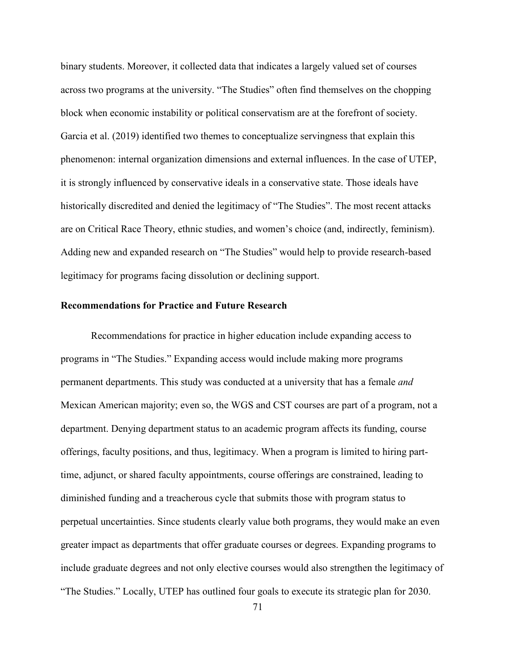binary students. Moreover, it collected data that indicates a largely valued set of courses across two programs at the university. "The Studies" often find themselves on the chopping block when economic instability or political conservatism are at the forefront of society. Garcia et al. (2019) identified two themes to conceptualize servingness that explain this phenomenon: internal organization dimensions and external influences. In the case of UTEP, it is strongly influenced by conservative ideals in a conservative state. Those ideals have historically discredited and denied the legitimacy of "The Studies". The most recent attacks are on Critical Race Theory, ethnic studies, and women's choice (and, indirectly, feminism). Adding new and expanded research on "The Studies" would help to provide research-based legitimacy for programs facing dissolution or declining support.

# **Recommendations for Practice and Future Research**

Recommendations for practice in higher education include expanding access to programs in "The Studies." Expanding access would include making more programs permanent departments. This study was conducted at a university that has a female *and* Mexican American majority; even so, the WGS and CST courses are part of a program, not a department. Denying department status to an academic program affects its funding, course offerings, faculty positions, and thus, legitimacy. When a program is limited to hiring parttime, adjunct, or shared faculty appointments, course offerings are constrained, leading to diminished funding and a treacherous cycle that submits those with program status to perpetual uncertainties. Since students clearly value both programs, they would make an even greater impact as departments that offer graduate courses or degrees. Expanding programs to include graduate degrees and not only elective courses would also strengthen the legitimacy of "The Studies." Locally, UTEP has outlined four goals to execute its strategic plan for 2030.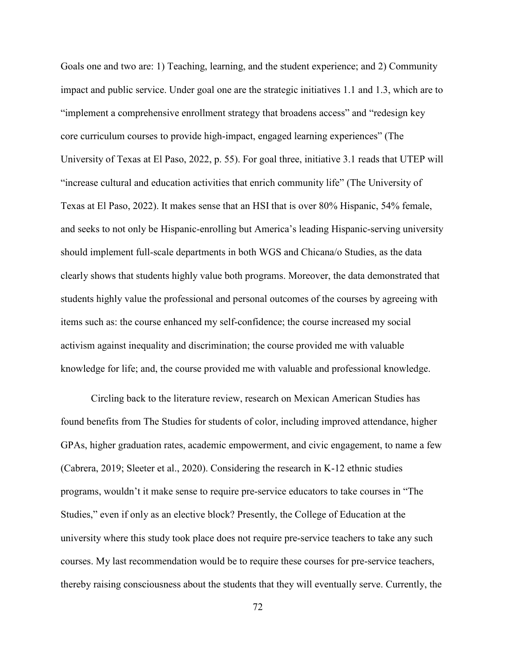Goals one and two are: 1) Teaching, learning, and the student experience; and 2) Community impact and public service. Under goal one are the strategic initiatives 1.1 and 1.3, which are to "implement a comprehensive enrollment strategy that broadens access" and "redesign key core curriculum courses to provide high-impact, engaged learning experiences" (The University of Texas at El Paso, 2022, p. 55). For goal three, initiative 3.1 reads that UTEP will "increase cultural and education activities that enrich community life" (The University of Texas at El Paso, 2022). It makes sense that an HSI that is over 80% Hispanic, 54% female, and seeks to not only be Hispanic-enrolling but America's leading Hispanic-serving university should implement full-scale departments in both WGS and Chicana/o Studies, as the data clearly shows that students highly value both programs. Moreover, the data demonstrated that students highly value the professional and personal outcomes of the courses by agreeing with items such as: the course enhanced my self-confidence; the course increased my social activism against inequality and discrimination; the course provided me with valuable knowledge for life; and, the course provided me with valuable and professional knowledge.

 Circling back to the literature review, research on Mexican American Studies has found benefits from The Studies for students of color, including improved attendance, higher GPAs, higher graduation rates, academic empowerment, and civic engagement, to name a few (Cabrera, 2019; Sleeter et al., 2020). Considering the research in K-12 ethnic studies programs, wouldn't it make sense to require pre-service educators to take courses in "The Studies," even if only as an elective block? Presently, the College of Education at the university where this study took place does not require pre-service teachers to take any such courses. My last recommendation would be to require these courses for pre-service teachers, thereby raising consciousness about the students that they will eventually serve. Currently, the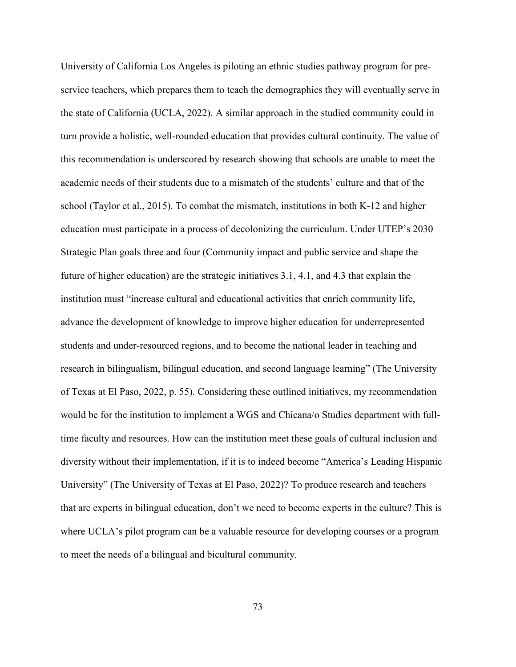University of California Los Angeles is piloting an ethnic studies pathway program for preservice teachers, which prepares them to teach the demographics they will eventually serve in the state of California (UCLA, 2022). A similar approach in the studied community could in turn provide a holistic, well-rounded education that provides cultural continuity. The value of this recommendation is underscored by research showing that schools are unable to meet the academic needs of their students due to a mismatch of the students' culture and that of the school (Taylor et al., 2015). To combat the mismatch, institutions in both K-12 and higher education must participate in a process of decolonizing the curriculum. Under UTEP's 2030 Strategic Plan goals three and four (Community impact and public service and shape the future of higher education) are the strategic initiatives 3.1, 4.1, and 4.3 that explain the institution must "increase cultural and educational activities that enrich community life, advance the development of knowledge to improve higher education for underrepresented students and under-resourced regions, and to become the national leader in teaching and research in bilingualism, bilingual education, and second language learning" (The University of Texas at El Paso, 2022, p. 55). Considering these outlined initiatives, my recommendation would be for the institution to implement a WGS and Chicana/o Studies department with fulltime faculty and resources. How can the institution meet these goals of cultural inclusion and diversity without their implementation, if it is to indeed become "America's Leading Hispanic University" (The University of Texas at El Paso, 2022)? To produce research and teachers that are experts in bilingual education, don't we need to become experts in the culture? This is where UCLA's pilot program can be a valuable resource for developing courses or a program to meet the needs of a bilingual and bicultural community.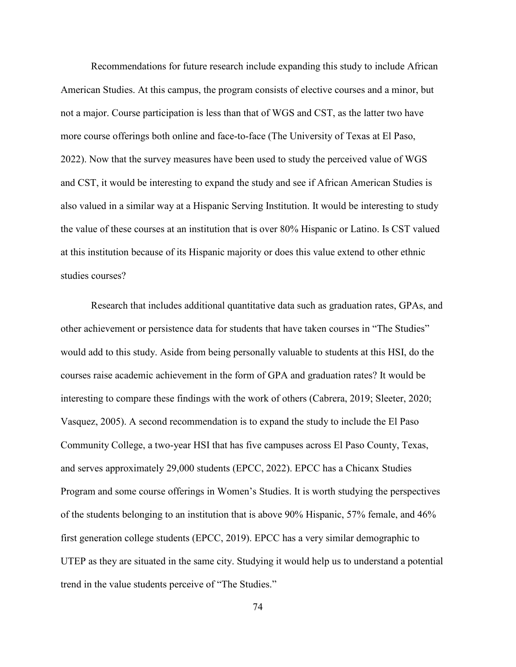Recommendations for future research include expanding this study to include African American Studies. At this campus, the program consists of elective courses and a minor, but not a major. Course participation is less than that of WGS and CST, as the latter two have more course offerings both online and face-to-face (The University of Texas at El Paso, 2022). Now that the survey measures have been used to study the perceived value of WGS and CST, it would be interesting to expand the study and see if African American Studies is also valued in a similar way at a Hispanic Serving Institution. It would be interesting to study the value of these courses at an institution that is over 80% Hispanic or Latino. Is CST valued at this institution because of its Hispanic majority or does this value extend to other ethnic studies courses?

 Research that includes additional quantitative data such as graduation rates, GPAs, and other achievement or persistence data for students that have taken courses in "The Studies" would add to this study. Aside from being personally valuable to students at this HSI, do the courses raise academic achievement in the form of GPA and graduation rates? It would be interesting to compare these findings with the work of others (Cabrera, 2019; Sleeter, 2020; Vasquez, 2005). A second recommendation is to expand the study to include the El Paso Community College, a two-year HSI that has five campuses across El Paso County, Texas, and serves approximately 29,000 students (EPCC, 2022). EPCC has a Chicanx Studies Program and some course offerings in Women's Studies. It is worth studying the perspectives of the students belonging to an institution that is above 90% Hispanic, 57% female, and 46% first generation college students (EPCC, 2019). EPCC has a very similar demographic to UTEP as they are situated in the same city. Studying it would help us to understand a potential trend in the value students perceive of "The Studies."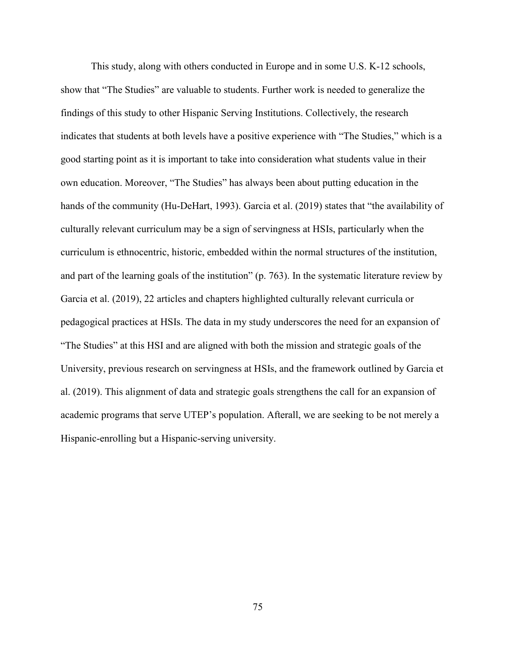This study, along with others conducted in Europe and in some U.S. K-12 schools, show that "The Studies" are valuable to students. Further work is needed to generalize the findings of this study to other Hispanic Serving Institutions. Collectively, the research indicates that students at both levels have a positive experience with "The Studies," which is a good starting point as it is important to take into consideration what students value in their own education. Moreover, "The Studies" has always been about putting education in the hands of the community (Hu-DeHart, 1993). Garcia et al. (2019) states that "the availability of culturally relevant curriculum may be a sign of servingness at HSIs, particularly when the curriculum is ethnocentric, historic, embedded within the normal structures of the institution, and part of the learning goals of the institution" (p. 763). In the systematic literature review by Garcia et al. (2019), 22 articles and chapters highlighted culturally relevant curricula or pedagogical practices at HSIs. The data in my study underscores the need for an expansion of "The Studies" at this HSI and are aligned with both the mission and strategic goals of the University, previous research on servingness at HSIs, and the framework outlined by Garcia et al. (2019). This alignment of data and strategic goals strengthens the call for an expansion of academic programs that serve UTEP's population. Afterall, we are seeking to be not merely a Hispanic-enrolling but a Hispanic-serving university.

75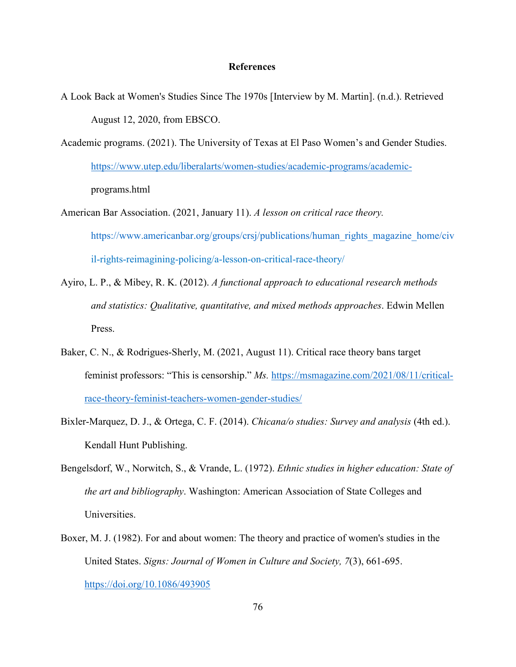### **References**

- A Look Back at Women's Studies Since The 1970s [Interview by M. Martin]. (n.d.). Retrieved August 12, 2020, from EBSCO.
- Academic programs. (2021). The University of Texas at El Paso Women's and Gender Studies. https://www.utep.edu/liberalarts/women-studies/academic-programs/academic programs.html

American Bar Association. (2021, January 11). *A lesson on critical race theory.* https://www.americanbar.org/groups/crsj/publications/human\_rights\_magazine\_home/civ il-rights-reimagining-policing/a-lesson-on-critical-race-theory/

- Ayiro, L. P., & Mibey, R. K. (2012). *A functional approach to educational research methods and statistics: Qualitative, quantitative, and mixed methods approaches*. Edwin Mellen Press.
- Baker, C. N., & Rodrigues-Sherly, M. (2021, August 11). Critical race theory bans target feminist professors: "This is censorship." *Ms.* https://msmagazine.com/2021/08/11/criticalrace-theory-feminist-teachers-women-gender-studies/
- Bixler-Marquez, D. J., & Ortega, C. F. (2014). *Chicana/o studies: Survey and analysis* (4th ed.). Kendall Hunt Publishing.
- Bengelsdorf, W., Norwitch, S., & Vrande, L. (1972). *Ethnic studies in higher education: State of the art and bibliography*. Washington: American Association of State Colleges and Universities.
- Boxer, M. J. (1982). For and about women: The theory and practice of women's studies in the United States. *Signs: Journal of Women in Culture and Society, 7*(3), 661-695. https://doi.org/10.1086/493905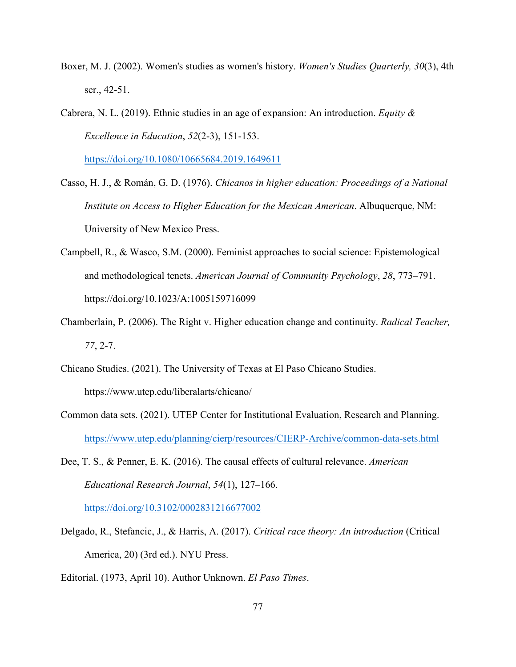- Boxer, M. J. (2002). Women's studies as women's history. *Women's Studies Quarterly, 30*(3), 4th ser., 42-51.
- Cabrera, N. L. (2019). Ethnic studies in an age of expansion: An introduction. *Equity & Excellence in Education*, *52*(2-3), 151-153.

https://doi.org/10.1080/10665684.2019.1649611

- Casso, H. J., & Román, G. D. (1976). *Chicanos in higher education: Proceedings of a National Institute on Access to Higher Education for the Mexican American*. Albuquerque, NM: University of New Mexico Press.
- Campbell, R., & Wasco, S.M. (2000). Feminist approaches to social science: Epistemological and methodological tenets. *American Journal of Community Psychology*, *28*, 773–791. https://doi.org/10.1023/A:1005159716099
- Chamberlain, P. (2006). The Right v. Higher education change and continuity. *Radical Teacher, 77*, 2-7.
- Chicano Studies. (2021). The University of Texas at El Paso Chicano Studies. https://www.utep.edu/liberalarts/chicano/
- Common data sets. (2021). UTEP Center for Institutional Evaluation, Research and Planning. https://www.utep.edu/planning/cierp/resources/CIERP-Archive/common-data-sets.html
- Dee, T. S., & Penner, E. K. (2016). The causal effects of cultural relevance. *American Educational Research Journal*, *54*(1), 127–166. https://doi.org/10.3102/0002831216677002
- Delgado, R., Stefancic, J., & Harris, A. (2017). *Critical race theory: An introduction* (Critical America, 20) (3rd ed.). NYU Press.
- Editorial. (1973, April 10). Author Unknown. *El Paso Times*.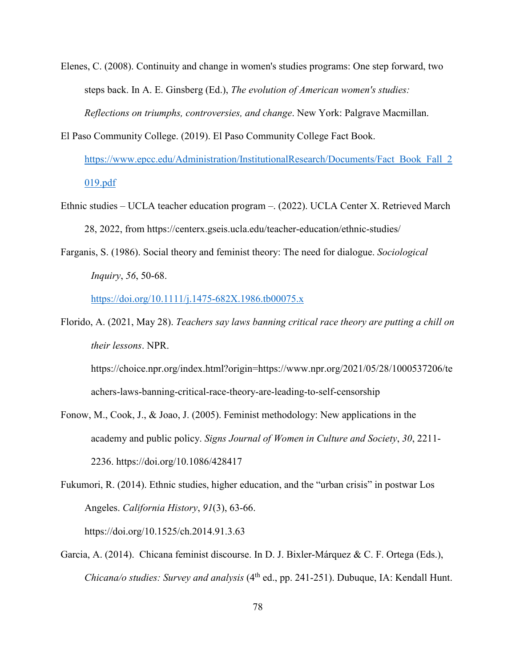- Elenes, C. (2008). Continuity and change in women's studies programs: One step forward, two steps back. In A. E. Ginsberg (Ed.), *The evolution of American women's studies: Reflections on triumphs, controversies, and change*. New York: Palgrave Macmillan.
- El Paso Community College. (2019). El Paso Community College Fact Book. https://www.epcc.edu/Administration/InstitutionalResearch/Documents/Fact\_Book\_Fall\_2 019.pdf
- Ethnic studies UCLA teacher education program –. (2022). UCLA Center X. Retrieved March 28, 2022, from https://centerx.gseis.ucla.edu/teacher-education/ethnic-studies/
- Farganis, S. (1986). Social theory and feminist theory: The need for dialogue. *Sociological Inquiry*, *56*, 50-68.

https://doi.org/10.1111/j.1475-682X.1986.tb00075.x

Florido, A. (2021, May 28). *Teachers say laws banning critical race theory are putting a chill on their lessons*. NPR.

https://choice.npr.org/index.html?origin=https://www.npr.org/2021/05/28/1000537206/te achers-laws-banning-critical-race-theory-are-leading-to-self-censorship

- Fonow, M., Cook, J., & Joao, J. (2005). Feminist methodology: New applications in the academy and public policy. *Signs Journal of Women in Culture and Society*, *30*, 2211- 2236. https://doi.org/10.1086/428417
- Fukumori, R. (2014). Ethnic studies, higher education, and the "urban crisis" in postwar Los Angeles. *California History*, *91*(3), 63-66. https://doi.org/10.1525/ch.2014.91.3.63
- Garcia, A. (2014). Chicana feminist discourse. In D. J. Bixler-Márquez & C. F. Ortega (Eds.), *Chicana/o studies: Survey and analysis* (4<sup>th</sup> ed., pp. 241-251). Dubuque, IA: Kendall Hunt.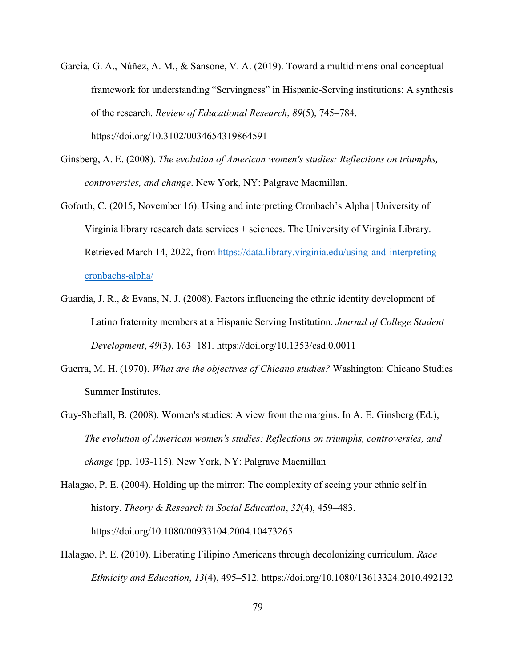- Garcia, G. A., Núñez, A. M., & Sansone, V. A. (2019). Toward a multidimensional conceptual framework for understanding "Servingness" in Hispanic-Serving institutions: A synthesis of the research. *Review of Educational Research*, *89*(5), 745–784. https://doi.org/10.3102/0034654319864591
- Ginsberg, A. E. (2008). *The evolution of American women's studies: Reflections on triumphs, controversies, and change*. New York, NY: Palgrave Macmillan.
- Goforth, C. (2015, November 16). Using and interpreting Cronbach's Alpha | University of Virginia library research data services + sciences. The University of Virginia Library. Retrieved March 14, 2022, from https://data.library.virginia.edu/using-and-interpretingcronbachs-alpha/
- Guardia, J. R., & Evans, N. J. (2008). Factors influencing the ethnic identity development of Latino fraternity members at a Hispanic Serving Institution. *Journal of College Student Development*, *49*(3), 163–181. https://doi.org/10.1353/csd.0.0011
- Guerra, M. H. (1970). *What are the objectives of Chicano studies?* Washington: Chicano Studies Summer Institutes.
- Guy-Sheftall, B. (2008). Women's studies: A view from the margins. In A. E. Ginsberg (Ed.), *The evolution of American women's studies: Reflections on triumphs, controversies, and change* (pp. 103-115). New York, NY: Palgrave Macmillan
- Halagao, P. E. (2004). Holding up the mirror: The complexity of seeing your ethnic self in history. *Theory & Research in Social Education*, *32*(4), 459–483. https://doi.org/10.1080/00933104.2004.10473265
- Halagao, P. E. (2010). Liberating Filipino Americans through decolonizing curriculum. *Race Ethnicity and Education*, *13*(4), 495–512. https://doi.org/10.1080/13613324.2010.492132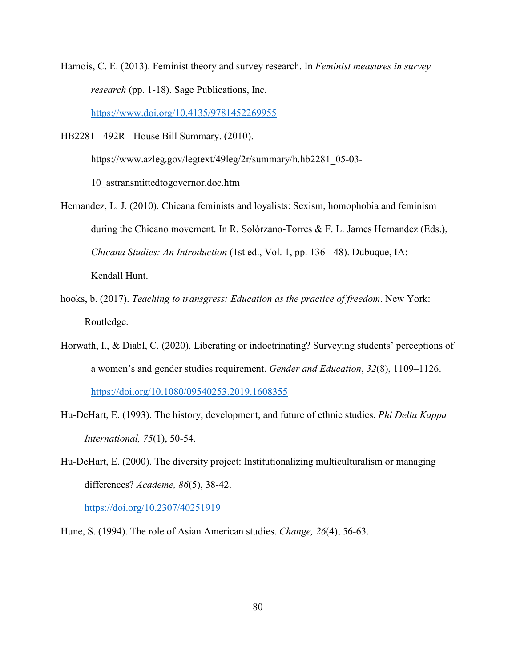Harnois, C. E. (2013). Feminist theory and survey research. In *Feminist measures in survey research* (pp. 1-18). Sage Publications, Inc.

https://www.doi.org/10.4135/9781452269955

HB2281 - 492R - House Bill Summary. (2010).

https://www.azleg.gov/legtext/49leg/2r/summary/h.hb2281\_05-03-

10\_astransmittedtogovernor.doc.htm

- Hernandez, L. J. (2010). Chicana feminists and loyalists: Sexism, homophobia and feminism during the Chicano movement. In R. Solórzano-Torres & F. L. James Hernandez (Eds.), *Chicana Studies: An Introduction* (1st ed., Vol. 1, pp. 136-148). Dubuque, IA: Kendall Hunt.
- hooks, b. (2017). *Teaching to transgress: Education as the practice of freedom*. New York: Routledge.
- Horwath, I., & Diabl, C. (2020). Liberating or indoctrinating? Surveying students' perceptions of a women's and gender studies requirement. *Gender and Education*, *32*(8), 1109–1126. https://doi.org/10.1080/09540253.2019.1608355
- Hu-DeHart, E. (1993). The history, development, and future of ethnic studies. *Phi Delta Kappa International, 75*(1), 50-54.
- Hu-DeHart, E. (2000). The diversity project: Institutionalizing multiculturalism or managing differences? *Academe, 86*(5), 38-42.

https://doi.org/10.2307/40251919

Hune, S. (1994). The role of Asian American studies. *Change, 26*(4), 56-63.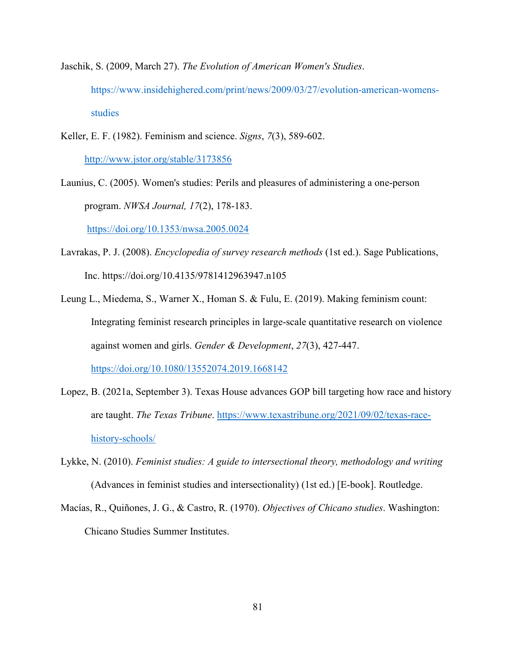- Jaschik, S. (2009, March 27). *The Evolution of American Women's Studies*. https://www.insidehighered.com/print/news/2009/03/27/evolution-american-womens studies
- Keller, E. F. (1982). Feminism and science. *Signs*, *7*(3), 589-602. http://www.jstor.org/stable/3173856
- Launius, C. (2005). Women's studies: Perils and pleasures of administering a one-person program. *NWSA Journal, 17*(2), 178-183.

https://doi.org/10.1353/nwsa.2005.0024

- Lavrakas, P. J. (2008). *Encyclopedia of survey research methods* (1st ed.). Sage Publications, Inc. https://doi.org/10.4135/9781412963947.n105
- Leung L., Miedema, S., Warner X., Homan S. & Fulu, E. (2019). Making feminism count: Integrating feminist research principles in large-scale quantitative research on violence against women and girls. *Gender & Development*, *27*(3), 427-447. https://doi.org/10.1080/13552074.2019.1668142
- Lopez, B. (2021a, September 3). Texas House advances GOP bill targeting how race and history are taught. *The Texas Tribune*. https://www.texastribune.org/2021/09/02/texas-racehistory-schools/
- Lykke, N. (2010). *Feminist studies: A guide to intersectional theory, methodology and writing* (Advances in feminist studies and intersectionality) (1st ed.) [E-book]. Routledge.
- Macías, R., Quiñones, J. G., & Castro, R. (1970). *Objectives of Chicano studies*. Washington: Chicano Studies Summer Institutes.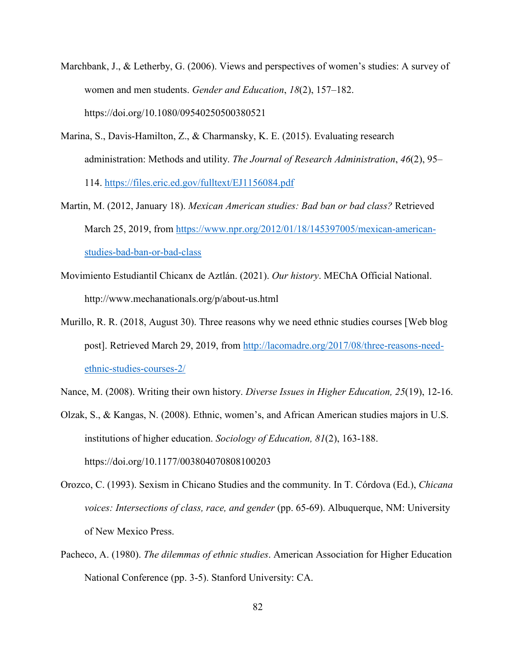- Marchbank, J., & Letherby, G. (2006). Views and perspectives of women's studies: A survey of women and men students. *Gender and Education*, *18*(2), 157–182. https://doi.org/10.1080/09540250500380521
- Marina, S., Davis-Hamilton, Z., & Charmansky, K. E. (2015). Evaluating research administration: Methods and utility. *The Journal of Research Administration*, *46*(2), 95– 114. https://files.eric.ed.gov/fulltext/EJ1156084.pdf
- Martin, M. (2012, January 18). *Mexican American studies: Bad ban or bad class?* Retrieved March 25, 2019, from https://www.npr.org/2012/01/18/145397005/mexican-americanstudies-bad-ban-or-bad-class
- Movimiento Estudiantil Chicanx de Aztlán. (2021). *Our history*. MEChA Official National. http://www.mechanationals.org/p/about-us.html
- Murillo, R. R. (2018, August 30). Three reasons why we need ethnic studies courses [Web blog post]. Retrieved March 29, 2019, from http://lacomadre.org/2017/08/three-reasons-needethnic-studies-courses-2/
- Nance, M. (2008). Writing their own history. *Diverse Issues in Higher Education, 25*(19), 12-16.
- Olzak, S., & Kangas, N. (2008). Ethnic, women's, and African American studies majors in U.S. institutions of higher education. *Sociology of Education, 81*(2), 163-188. https://doi.org/10.1177/003804070808100203
- Orozco, C. (1993). Sexism in Chicano Studies and the community. In T. Córdova (Ed.), *Chicana voices: Intersections of class, race, and gender* (pp. 65-69). Albuquerque, NM: University of New Mexico Press.
- Pacheco, A. (1980). *The dilemmas of ethnic studies*. American Association for Higher Education National Conference (pp. 3-5). Stanford University: CA.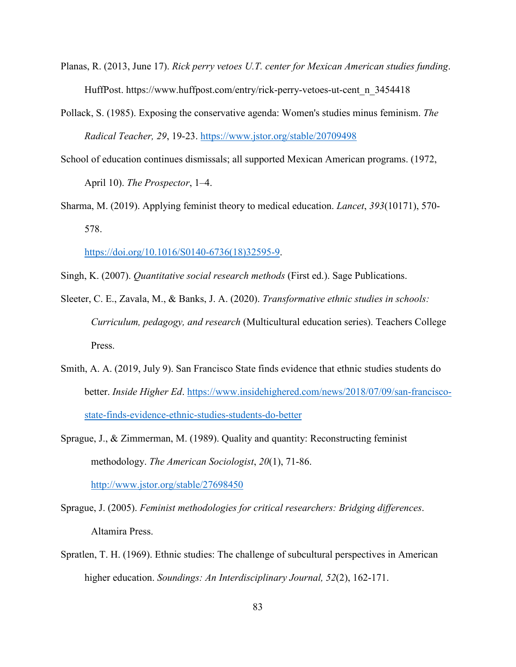- Planas, R. (2013, June 17). *Rick perry vetoes U.T. center for Mexican American studies funding*. HuffPost. https://www.huffpost.com/entry/rick-perry-vetoes-ut-cent\_n\_3454418
- Pollack, S. (1985). Exposing the conservative agenda: Women's studies minus feminism. *The Radical Teacher, 29*, 19-23. https://www.jstor.org/stable/20709498
- School of education continues dismissals; all supported Mexican American programs. (1972, April 10). *The Prospector*, 1–4.
- Sharma, M. (2019). Applying feminist theory to medical education. *Lancet*, *393*(10171), 570- 578.

https://doi.org/10.1016/S0140-6736(18)32595-9.

- Singh, K. (2007). *Quantitative social research methods* (First ed.). Sage Publications.
- Sleeter, C. E., Zavala, M., & Banks, J. A. (2020). *Transformative ethnic studies in schools: Curriculum, pedagogy, and research* (Multicultural education series). Teachers College Press.
- Smith, A. A. (2019, July 9). San Francisco State finds evidence that ethnic studies students do better. *Inside Higher Ed*. https://www.insidehighered.com/news/2018/07/09/san-franciscostate-finds-evidence-ethnic-studies-students-do-better
- Sprague, J., & Zimmerman, M. (1989). Quality and quantity: Reconstructing feminist methodology. *The American Sociologist*, *20*(1), 71-86.

http://www.jstor.org/stable/27698450

- Sprague, J. (2005). *Feminist methodologies for critical researchers: Bridging differences*. Altamira Press.
- Spratlen, T. H. (1969). Ethnic studies: The challenge of subcultural perspectives in American higher education. *Soundings: An Interdisciplinary Journal, 52*(2), 162-171.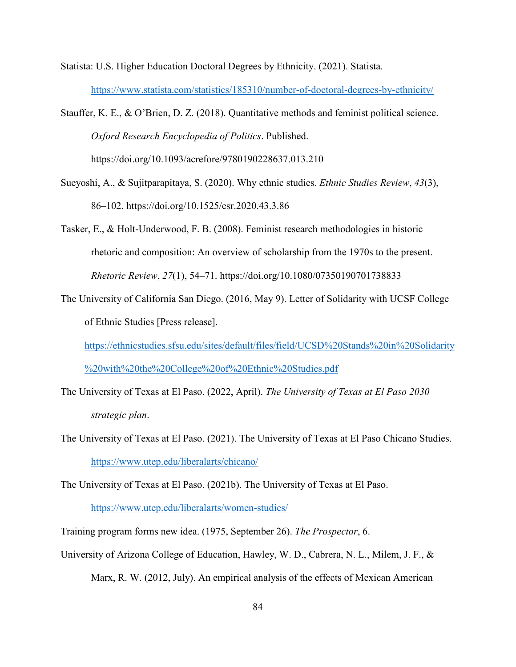Statista: U.S. Higher Education Doctoral Degrees by Ethnicity. (2021). Statista. https://www.statista.com/statistics/185310/number-of-doctoral-degrees-by-ethnicity/

Stauffer, K. E., & O'Brien, D. Z. (2018). Quantitative methods and feminist political science. *Oxford Research Encyclopedia of Politics*. Published. https://doi.org/10.1093/acrefore/9780190228637.013.210

Sueyoshi, A., & Sujitparapitaya, S. (2020). Why ethnic studies. *Ethnic Studies Review*, *43*(3), 86–102. https://doi.org/10.1525/esr.2020.43.3.86

Tasker, E., & Holt-Underwood, F. B. (2008). Feminist research methodologies in historic rhetoric and composition: An overview of scholarship from the 1970s to the present. *Rhetoric Review*, *27*(1), 54–71. https://doi.org/10.1080/07350190701738833

The University of California San Diego. (2016, May 9). Letter of Solidarity with UCSF College of Ethnic Studies [Press release].

https://ethnicstudies.sfsu.edu/sites/default/files/field/UCSD%20Stands%20in%20Solidarity %20with%20the%20College%20of%20Ethnic%20Studies.pdf

- The University of Texas at El Paso. (2022, April). *The University of Texas at El Paso 2030 strategic plan*.
- The University of Texas at El Paso. (2021). The University of Texas at El Paso Chicano Studies. https://www.utep.edu/liberalarts/chicano/

The University of Texas at El Paso. (2021b). The University of Texas at El Paso.

https://www.utep.edu/liberalarts/women-studies/

Training program forms new idea. (1975, September 26). *The Prospector*, 6.

University of Arizona College of Education, Hawley, W. D., Cabrera, N. L., Milem, J. F., &

Marx, R. W. (2012, July). An empirical analysis of the effects of Mexican American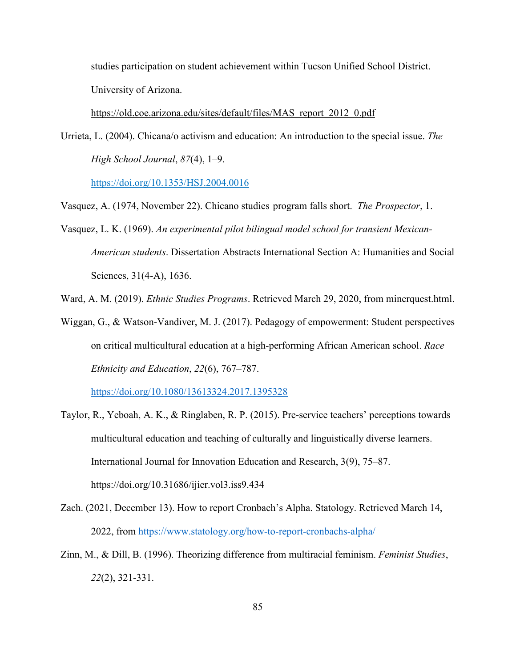studies participation on student achievement within Tucson Unified School District. University of Arizona.

https://old.coe.arizona.edu/sites/default/files/MAS\_report\_2012\_0.pdf

Urrieta, L. (2004). Chicana/o activism and education: An introduction to the special issue. *The High School Journal*, *87*(4), 1–9.

https://doi.org/10.1353/HSJ.2004.0016

Vasquez, A. (1974, November 22). Chicano studies program falls short. *The Prospector*, 1.

Vasquez, L. K. (1969). *An experimental pilot bilingual model school for transient Mexican- American students*. Dissertation Abstracts International Section A: Humanities and Social Sciences, 31(4-A), 1636.

Ward, A. M. (2019). *Ethnic Studies Programs*. Retrieved March 29, 2020, from minerquest.html.

Wiggan, G., & Watson-Vandiver, M. J. (2017). Pedagogy of empowerment: Student perspectives on critical multicultural education at a high-performing African American school. *Race Ethnicity and Education*, *22*(6), 767–787.

https://doi.org/10.1080/13613324.2017.1395328

- Taylor, R., Yeboah, A. K., & Ringlaben, R. P. (2015). Pre-service teachers' perceptions towards multicultural education and teaching of culturally and linguistically diverse learners. International Journal for Innovation Education and Research, 3(9), 75–87. https://doi.org/10.31686/ijier.vol3.iss9.434
- Zach. (2021, December 13). How to report Cronbach's Alpha. Statology. Retrieved March 14, 2022, from https://www.statology.org/how-to-report-cronbachs-alpha/
- Zinn, M., & Dill, B. (1996). Theorizing difference from multiracial feminism. *Feminist Studies*, *22*(2), 321-331.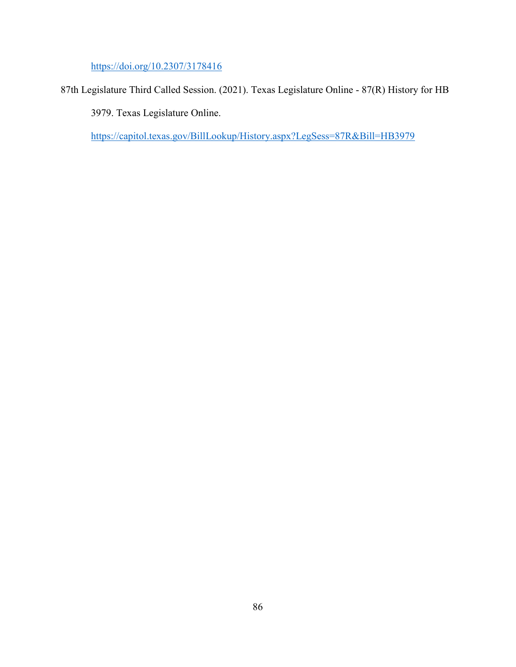https://doi.org/10.2307/3178416

87th Legislature Third Called Session. (2021). Texas Legislature Online - 87(R) History for HB

3979. Texas Legislature Online.

https://capitol.texas.gov/BillLookup/History.aspx?LegSess=87R&Bill=HB3979